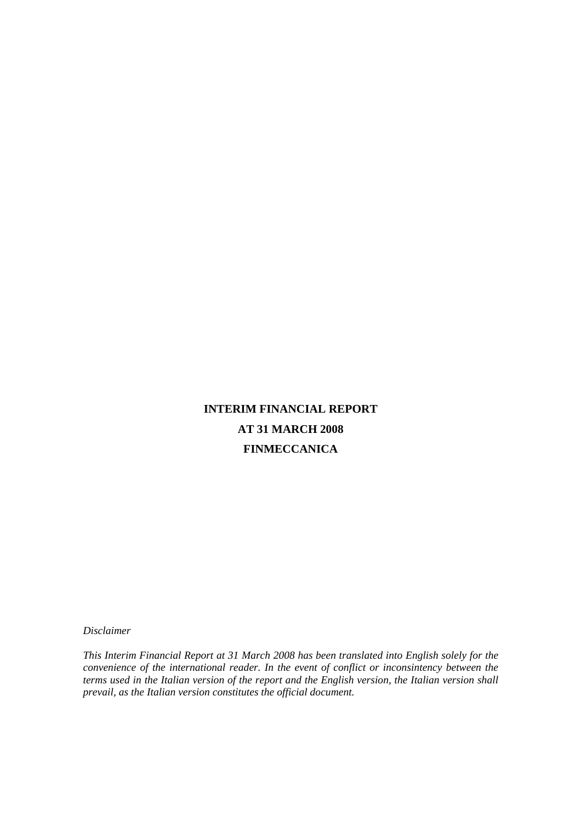# **INTERIM FINANCIAL REPORT AT 31 MARCH 2008 FINMECCANICA**

*Disclaimer* 

*This Interim Financial Report at 31 March 2008 has been translated into English solely for the convenience of the international reader. In the event of conflict or inconsintency between the terms used in the Italian version of the report and the English version, the Italian version shall prevail, as the Italian version constitutes the official document.*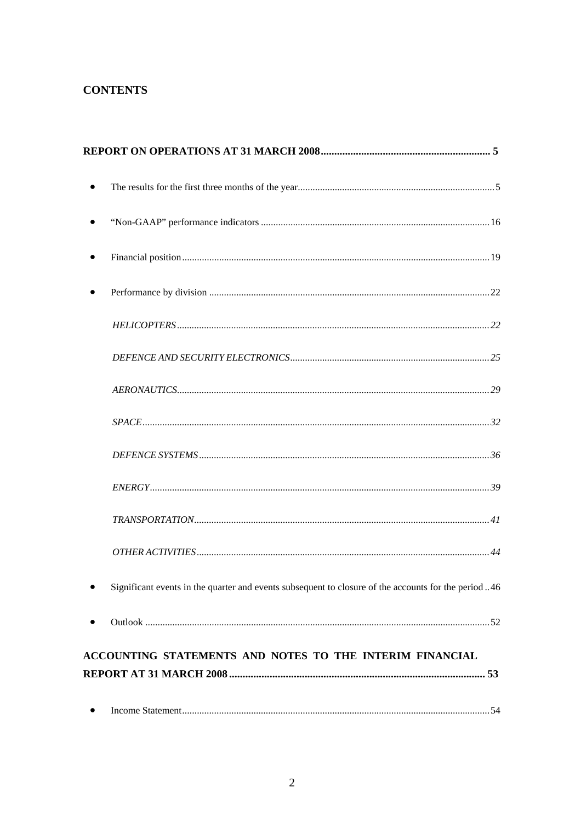# **CONTENTS**

| $\bullet$ |                                                                                                     |
|-----------|-----------------------------------------------------------------------------------------------------|
|           |                                                                                                     |
|           |                                                                                                     |
|           |                                                                                                     |
|           |                                                                                                     |
|           |                                                                                                     |
|           |                                                                                                     |
|           |                                                                                                     |
|           |                                                                                                     |
|           |                                                                                                     |
|           |                                                                                                     |
|           |                                                                                                     |
|           | Significant events in the quarter and events subsequent to closure of the accounts for the period46 |
| $\bullet$ |                                                                                                     |
|           | ACCOUNTING STATEMENTS AND NOTES TO THE INTERIM FINANCIAL                                            |
|           |                                                                                                     |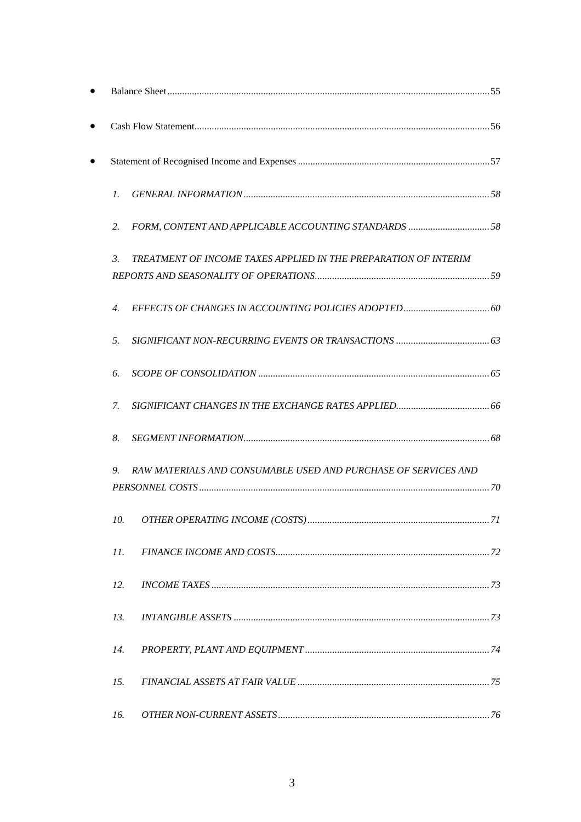| $\mathcal{I}$ .       |                                                                 |
|-----------------------|-----------------------------------------------------------------|
| 2.                    |                                                                 |
| 3.                    | TREATMENT OF INCOME TAXES APPLIED IN THE PREPARATION OF INTERIM |
| $\mathcal{A}_{\cdot}$ |                                                                 |
| 5.                    |                                                                 |
| 6.                    |                                                                 |
| 7.                    |                                                                 |
| 8.                    |                                                                 |
| 9.                    | RAW MATERIALS AND CONSUMABLE USED AND PURCHASE OF SERVICES AND  |
| $10-10$               | OTHER OPERATING INCOME (COSTS)<br>71                            |
| 11.                   |                                                                 |
| 12.                   |                                                                 |
| 13.                   |                                                                 |
| 14.                   |                                                                 |
| 15.                   |                                                                 |
| 16.                   |                                                                 |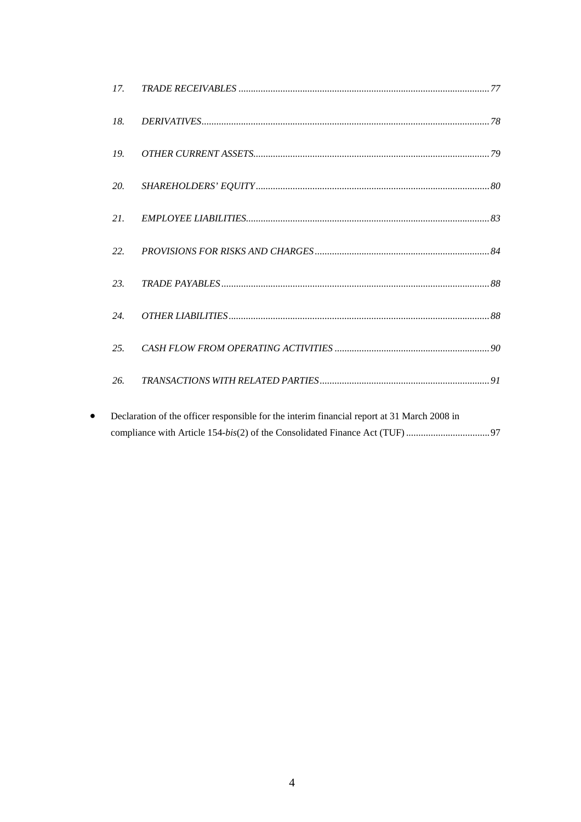| 17. |                                                                                             |
|-----|---------------------------------------------------------------------------------------------|
| 18. |                                                                                             |
| 19. |                                                                                             |
| 20. |                                                                                             |
| 21. |                                                                                             |
| 22. |                                                                                             |
| 23. |                                                                                             |
| 24. |                                                                                             |
| 25. |                                                                                             |
| 26. |                                                                                             |
|     | Declaration of the officer responsible for the interim financial report at 31 March 2008 in |

| Declaration of the officer responsible for the interim financial report at 31 March 2008 in |
|---------------------------------------------------------------------------------------------|
|                                                                                             |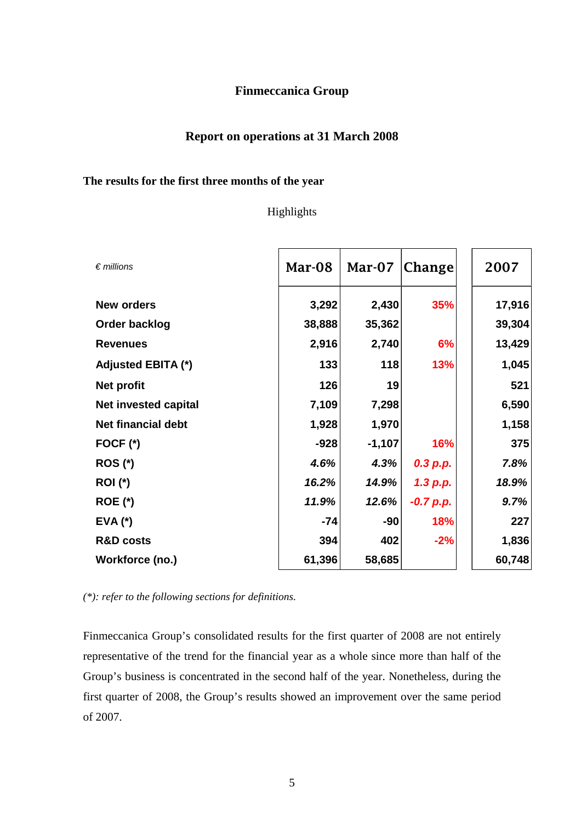# **Finmeccanica Group**

# **Report on operations at 31 March 2008**

## **The results for the first three months of the year**

## Highlights

| $\epsilon$ millions         | Mar-08 | Mar-07   | Change      | 2007   |
|-----------------------------|--------|----------|-------------|--------|
| <b>New orders</b>           | 3,292  | 2,430    | 35%         | 17,916 |
| Order backlog               | 38,888 | 35,362   |             | 39,304 |
| <b>Revenues</b>             | 2,916  | 2,740    | 6%          | 13,429 |
| <b>Adjusted EBITA (*)</b>   | 133    | 118      | 13%         | 1,045  |
| <b>Net profit</b>           | 126    | 19       |             | 521    |
| <b>Net invested capital</b> | 7,109  | 7,298    |             | 6,590  |
| <b>Net financial debt</b>   | 1,928  | 1,970    |             | 1,158  |
| FOCF $(*)$                  | $-928$ | $-1,107$ | 16%         | 375    |
| <b>ROS (*)</b>              | 4.6%   | 4.3%     | 0.3 p.p.    | 7.8%   |
| <b>ROI</b> (*)              | 16.2%  | 14.9%    | 1.3 p.p.    | 18.9%  |
| <b>ROE (*)</b>              | 11.9%  | 12.6%    | $-0.7 p.p.$ | 9.7%   |
| $EVA$ $(*)$                 | $-74$  | -90      | 18%         | 227    |
| <b>R&amp;D costs</b>        | 394    | 402      | $-2%$       | 1,836  |
| Workforce (no.)             | 61,396 | 58,685   |             | 60,748 |

*(\*): refer to the following sections for definitions.* 

Finmeccanica Group's consolidated results for the first quarter of 2008 are not entirely representative of the trend for the financial year as a whole since more than half of the Group's business is concentrated in the second half of the year. Nonetheless, during the first quarter of 2008, the Group's results showed an improvement over the same period of 2007.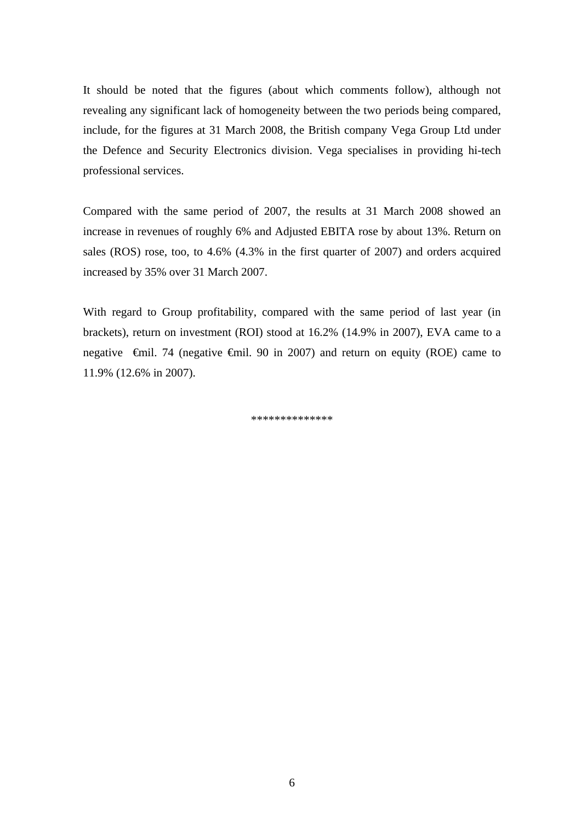It should be noted that the figures (about which comments follow), although not revealing any significant lack of homogeneity between the two periods being compared, include, for the figures at 31 March 2008, the British company Vega Group Ltd under the Defence and Security Electronics division. Vega specialises in providing hi-tech professional services.

Compared with the same period of 2007, the results at 31 March 2008 showed an increase in revenues of roughly 6% and Adjusted EBITA rose by about 13%. Return on sales (ROS) rose, too, to 4.6% (4.3% in the first quarter of 2007) and orders acquired increased by 35% over 31 March 2007.

With regard to Group profitability, compared with the same period of last year (in brackets), return on investment (ROI) stood at 16.2% (14.9% in 2007), EVA came to a negative  $\theta$ mil. 74 (negative  $\theta$ mil. 90 in 2007) and return on equity (ROE) came to 11.9% (12.6% in 2007).

\*\*\*\*\*\*\*\*\*\*\*\*\*\*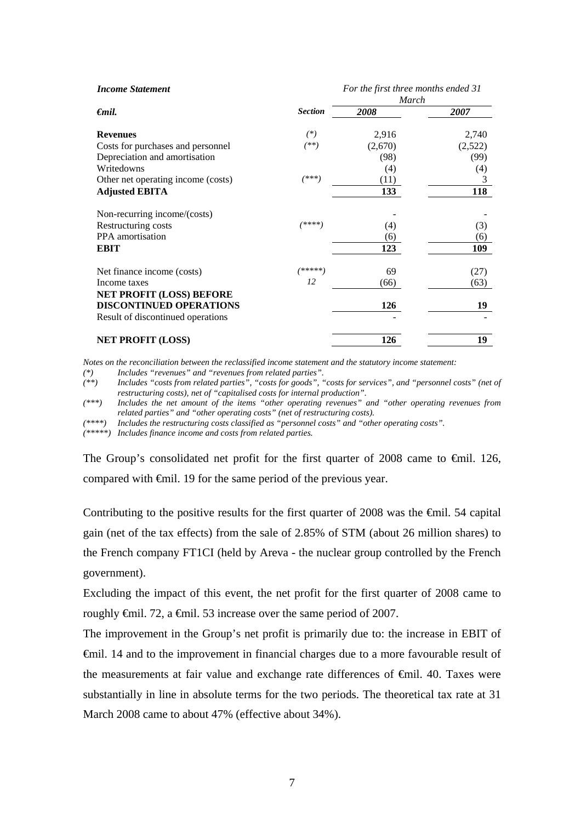| <b>Income Statement</b>            |                | For the first three months ended 31<br>March |         |  |
|------------------------------------|----------------|----------------------------------------------|---------|--|
| $\epsilon$ mil.                    | <b>Section</b> | 2008                                         | 2007    |  |
| <b>Revenues</b>                    | $(*)$          | 2,916                                        | 2,740   |  |
| Costs for purchases and personnel  | $(**)$         | (2,670)                                      | (2,522) |  |
| Depreciation and amortisation      |                | (98)                                         | (99)    |  |
| Writedowns                         |                | (4)                                          | (4)     |  |
| Other net operating income (costs) | (***)          | (11)                                         | 3       |  |
| <b>Adjusted EBITA</b>              |                | 133                                          | 118     |  |
| Non-recurring income/(costs)       |                |                                              |         |  |
| Restructuring costs                | /米米米米          | (4)                                          | (3)     |  |
| PPA amortisation                   |                | (6)                                          | (6)     |  |
| <b>EBIT</b>                        |                | 123                                          | 109     |  |
| Net finance income (costs)         | $(*****)$      | 69                                           | (27)    |  |
| Income taxes                       | 12             | (66)                                         | (63)    |  |
| <b>NET PROFIT (LOSS) BEFORE</b>    |                |                                              |         |  |
| <b>DISCONTINUED OPERATIONS</b>     |                | 126                                          | 19      |  |
| Result of discontinued operations  |                |                                              |         |  |
| <b>NET PROFIT (LOSS)</b>           |                | 126                                          | 19      |  |

*Notes on the reconciliation between the reclassified income statement and the statutory income statement:* 

*(\*) Includes "revenues" and "revenues from related parties". (\*\*) Includes "costs from related parties", "costs for goods", "costs for services", and "personnel costs" (net of restructuring costs), net of "capitalised costs for internal production".* 

*(\*\*\*) Includes the net amount of the items "other operating revenues" and "other operating revenues from related parties" and "other operating costs" (net of restructuring costs).* 

*(\*\*\*\*) Includes the restructuring costs classified as "personnel costs" and "other operating costs".* 

*(\*\*\*\*\*) Includes finance income and costs from related parties.* 

The Group's consolidated net profit for the first quarter of 2008 came to €mil. 126, compared with €mil. 19 for the same period of the previous year.

Contributing to the positive results for the first quarter of 2008 was the  $\epsilon$ mil. 54 capital gain (net of the tax effects) from the sale of 2.85% of STM (about 26 million shares) to the French company FT1CI (held by Areva - the nuclear group controlled by the French government).

Excluding the impact of this event, the net profit for the first quarter of 2008 came to roughly <del>€mil.</del> 72, a <del>€mil.</del> 53 increase over the same period of 2007.

The improvement in the Group's net profit is primarily due to: the increase in EBIT of €mil. 14 and to the improvement in financial charges due to a more favourable result of the measurements at fair value and exchange rate differences of  $\epsilon$ mil. 40. Taxes were substantially in line in absolute terms for the two periods. The theoretical tax rate at 31 March 2008 came to about 47% (effective about 34%).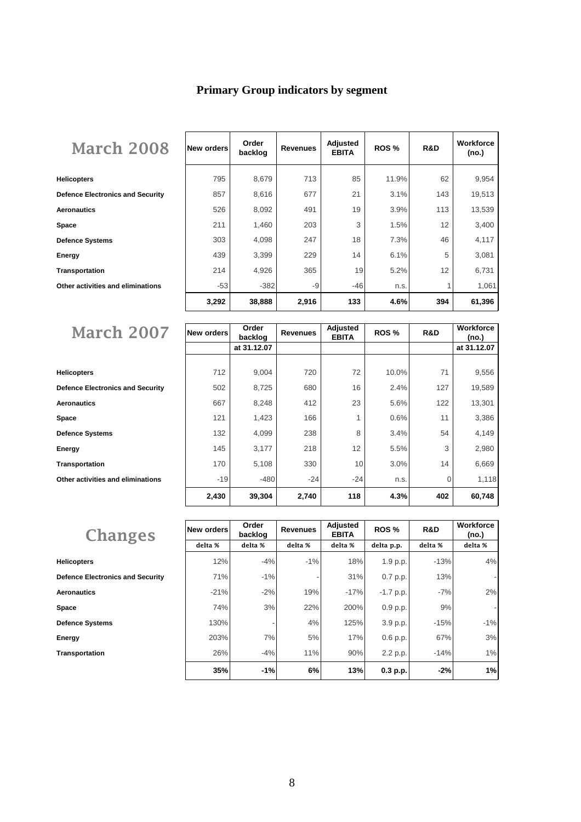# **Primary Group indicators by segment**

| <b>March 2008</b>                       | New orders | Order<br>backlog | <b>Revenues</b> | Adjusted<br><b>EBITA</b> | ROS <sub>%</sub> | R&D | Workforce<br>(no.) |
|-----------------------------------------|------------|------------------|-----------------|--------------------------|------------------|-----|--------------------|
| <b>Helicopters</b>                      | 795        | 8,679            | 713             | 85                       | 11.9%            | 62  | 9,954              |
| <b>Defence Electronics and Security</b> | 857        | 8,616            | 677             | 21                       | 3.1%             | 143 | 19,513             |
| Aeronautics                             | 526        | 8,092            | 491             | 19                       | 3.9%             | 113 | 13,539             |
| Space                                   | 211        | 1,460            | 203             | 3                        | 1.5%             | 12  | 3,400              |
| Defence Systems                         | 303        | 4,098            | 247             | 18                       | 7.3%             | 46  | 4,117              |
| Energy                                  | 439        | 3,399            | 229             | 14                       | 6.1%             | 5   | 3,081              |
| Transportation                          | 214        | 4,926            | 365             | 19                       | 5.2%             | 12  | 6,731              |
| Other activities and eliminations       | $-53$      | $-382$           | -9              | $-46$                    | n.s.             |     | 1,061              |
|                                         | 3,292      | 38,888           | 2,916           | 133                      | 4.6%             | 394 | 61,396             |

| <b>March 2007</b>                       | <b>New orders</b> | Order       | <b>Revenues</b> | Adjusted     | ROS <sub>%</sub> | R&D | Workforce   |
|-----------------------------------------|-------------------|-------------|-----------------|--------------|------------------|-----|-------------|
|                                         |                   | backlog     |                 | <b>EBITA</b> |                  |     | (no.)       |
|                                         |                   | at 31.12.07 |                 |              |                  |     | at 31.12.07 |
|                                         |                   |             |                 |              |                  |     |             |
| <b>Helicopters</b>                      | 712               | 9,004       | 720             | 72           | 10.0%            | 71  | 9,556       |
| <b>Defence Electronics and Security</b> | 502               | 8,725       | 680             | 16           | 2.4%             | 127 | 19,589      |
| <b>Aeronautics</b>                      | 667               | 8,248       | 412             | 23           | 5.6%             | 122 | 13,301      |
| Space                                   | 121               | 1,423       | 166             |              | 0.6%             | 11  | 3,386       |
| <b>Defence Systems</b>                  | 132               | 4,099       | 238             | 8            | 3.4%             | 54  | 4,149       |
| Energy                                  | 145               | 3,177       | 218             | 12           | 5.5%             | 3   | 2,980       |
| <b>Transportation</b>                   | 170               | 5,108       | 330             | 10           | 3.0%             | 14  | 6,669       |
| Other activities and eliminations       | $-19$             | $-480$      | $-24$           | $-24$        | n.s.             | 0   | 1,118       |
|                                         | 2,430             | 39,304      | 2,740           | 118          | 4.3%             | 402 | 60,748      |

| <b>Changes</b>                          | New orders | Order<br>backlog | <b>Revenues</b> | Adjusted<br><b>EBITA</b> | ROS <sub>%</sub> | R&D     | Workforce<br>(no.)       |
|-----------------------------------------|------------|------------------|-----------------|--------------------------|------------------|---------|--------------------------|
|                                         | delta %    | delta %          | delta %         | delta %                  | delta p.p.       | delta % | delta %                  |
| <b>Helicopters</b>                      | 12%        | $-4%$            | $-1%$           | 18%                      | 1.9 p.p.         | $-13%$  | 4%                       |
| <b>Defence Electronics and Security</b> | 71%        | $-1%$            |                 | 31%                      | 0.7 p.p.         | 13%     | -                        |
| <b>Aeronautics</b>                      | $-21%$     | $-2%$            | 19%             | $-17%$                   | $-1.7$ p.p.      | $-7%$   | 2%                       |
| Space                                   | 74%        | 3%               | 22%             | 200%                     | 0.9 p.p.         | 9%      | $\overline{\phantom{a}}$ |
| <b>Defence Systems</b>                  | 130%       |                  | 4%              | 125%                     | 3.9 p.p.         | $-15%$  | $-1%$                    |
| Energy                                  | 203%       | 7%               | 5%              | 17%                      | 0.6 p.p.         | 67%     | 3%                       |
| <b>Transportation</b>                   | 26%        | $-4%$            | 11%             | 90%                      | 2.2 p.p.         | $-14%$  | 1%                       |
|                                         | 35%        | $-1%$            | 6%              | 13%                      | 0.3 p.p.         | $-2%$   | 1%                       |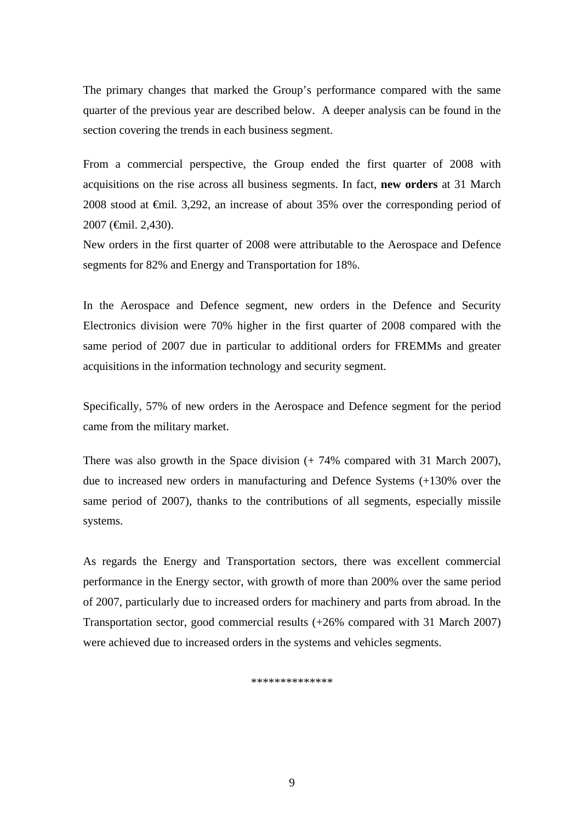The primary changes that marked the Group's performance compared with the same quarter of the previous year are described below. A deeper analysis can be found in the section covering the trends in each business segment.

From a commercial perspective, the Group ended the first quarter of 2008 with acquisitions on the rise across all business segments. In fact, **new orders** at 31 March 2008 stood at €mil. 3,292, an increase of about 35% over the corresponding period of 2007 (€mil. 2,430).

New orders in the first quarter of 2008 were attributable to the Aerospace and Defence segments for 82% and Energy and Transportation for 18%.

In the Aerospace and Defence segment, new orders in the Defence and Security Electronics division were 70% higher in the first quarter of 2008 compared with the same period of 2007 due in particular to additional orders for FREMMs and greater acquisitions in the information technology and security segment.

Specifically, 57% of new orders in the Aerospace and Defence segment for the period came from the military market.

There was also growth in the Space division (+ 74% compared with 31 March 2007), due to increased new orders in manufacturing and Defence Systems (+130% over the same period of 2007), thanks to the contributions of all segments, especially missile systems.

As regards the Energy and Transportation sectors, there was excellent commercial performance in the Energy sector, with growth of more than 200% over the same period of 2007, particularly due to increased orders for machinery and parts from abroad. In the Transportation sector, good commercial results (+26% compared with 31 March 2007) were achieved due to increased orders in the systems and vehicles segments.

\*\*\*\*\*\*\*\*\*\*\*\*\*\*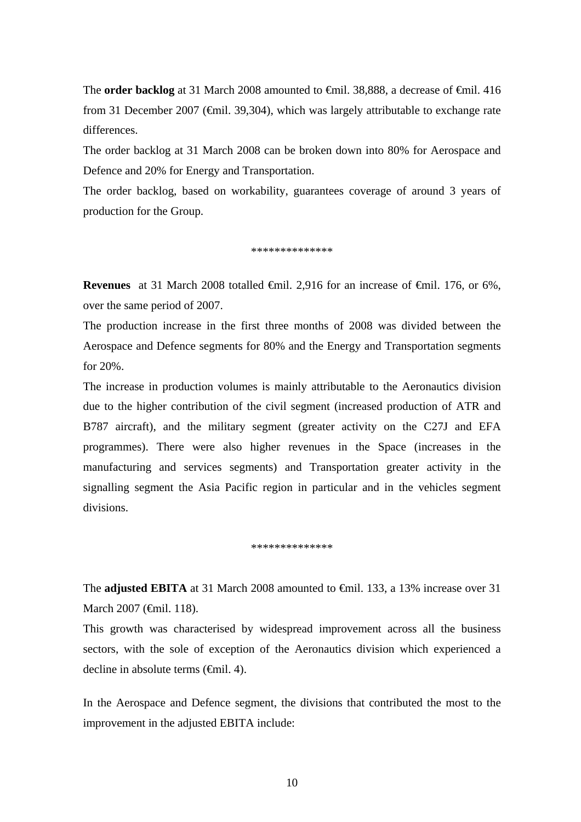The **order backlog** at 31 March 2008 amounted to €mil. 38,888, a decrease of €mil. 416 from 31 December 2007 (€mil. 39,304), which was largely attributable to exchange rate differences.

The order backlog at 31 March 2008 can be broken down into 80% for Aerospace and Defence and 20% for Energy and Transportation.

The order backlog, based on workability, guarantees coverage of around 3 years of production for the Group.

\*\*\*\*\*\*\*\*\*\*\*\*\*\*

**Revenues** at 31 March 2008 totalled <del>∈mil.</del> 2,916 for an increase of ∈mil. 176, or 6%, over the same period of 2007.

The production increase in the first three months of 2008 was divided between the Aerospace and Defence segments for 80% and the Energy and Transportation segments for 20%.

The increase in production volumes is mainly attributable to the Aeronautics division due to the higher contribution of the civil segment (increased production of ATR and B787 aircraft), and the military segment (greater activity on the C27J and EFA programmes). There were also higher revenues in the Space (increases in the manufacturing and services segments) and Transportation greater activity in the signalling segment the Asia Pacific region in particular and in the vehicles segment divisions.

\*\*\*\*\*\*\*\*\*\*\*\*\*\*

The **adjusted EBITA** at 31 March 2008 amounted to €mil. 133, a 13% increase over 31 March 2007 (€mil. 118).

This growth was characterised by widespread improvement across all the business sectors, with the sole of exception of the Aeronautics division which experienced a decline in absolute terms (€mil. 4).

In the Aerospace and Defence segment, the divisions that contributed the most to the improvement in the adjusted EBITA include: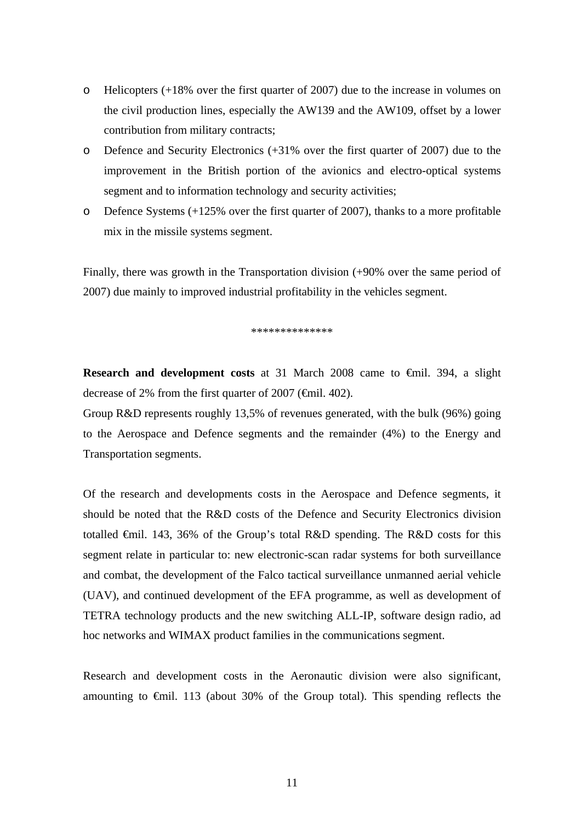- o Helicopters (+18% over the first quarter of 2007) due to the increase in volumes on the civil production lines, especially the AW139 and the AW109, offset by a lower contribution from military contracts;
- o Defence and Security Electronics (+31% over the first quarter of 2007) due to the improvement in the British portion of the avionics and electro-optical systems segment and to information technology and security activities;
- $\circ$  Defence Systems (+125% over the first quarter of 2007), thanks to a more profitable mix in the missile systems segment.

Finally, there was growth in the Transportation division (+90% over the same period of 2007) due mainly to improved industrial profitability in the vehicles segment.

\*\*\*\*\*\*\*\*\*\*\*\*

**Research and development costs** at 31 March 2008 came to €mil. 394, a slight decrease of 2% from the first quarter of 2007 (€mil. 402).

Group R&D represents roughly 13,5% of revenues generated, with the bulk (96%) going to the Aerospace and Defence segments and the remainder (4%) to the Energy and Transportation segments.

Of the research and developments costs in the Aerospace and Defence segments, it should be noted that the R&D costs of the Defence and Security Electronics division totalled €mil. 143, 36% of the Group's total R&D spending. The R&D costs for this segment relate in particular to: new electronic-scan radar systems for both surveillance and combat, the development of the Falco tactical surveillance unmanned aerial vehicle (UAV), and continued development of the EFA programme, as well as development of TETRA technology products and the new switching ALL-IP, software design radio, ad hoc networks and WIMAX product families in the communications segment.

Research and development costs in the Aeronautic division were also significant, amounting to  $\theta$ mil. 113 (about 30% of the Group total). This spending reflects the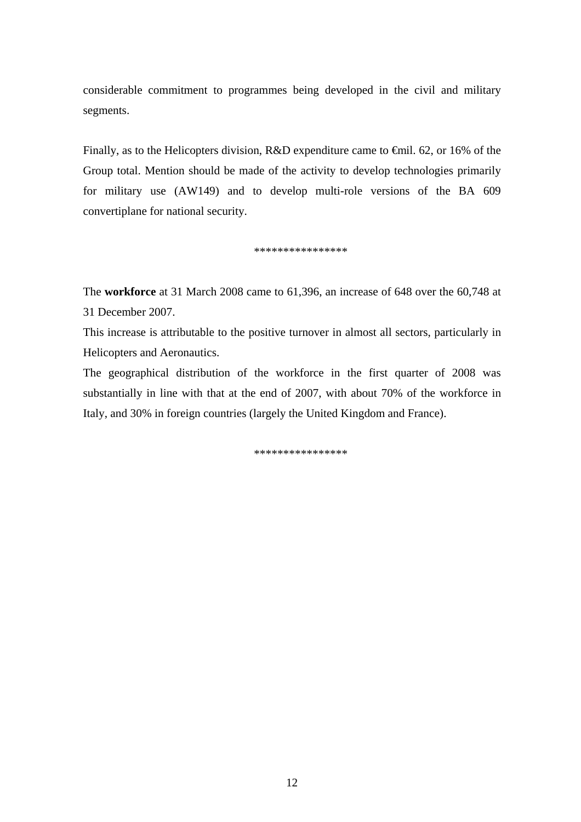considerable commitment to programmes being developed in the civil and military segments.

Finally, as to the Helicopters division, R&D expenditure came to €mil. 62, or 16% of the Group total. Mention should be made of the activity to develop technologies primarily for military use (AW149) and to develop multi-role versions of the BA 609 convertiplane for national security.

\*\*\*\*\*\*\*\*\*\*\*\*\*\*\*\*

The **workforce** at 31 March 2008 came to 61,396, an increase of 648 over the 60,748 at 31 December 2007.

This increase is attributable to the positive turnover in almost all sectors, particularly in Helicopters and Aeronautics.

The geographical distribution of the workforce in the first quarter of 2008 was substantially in line with that at the end of 2007, with about 70% of the workforce in Italy, and 30% in foreign countries (largely the United Kingdom and France).

\*\*\*\*\*\*\*\*\*\*\*\*\*\*\*\*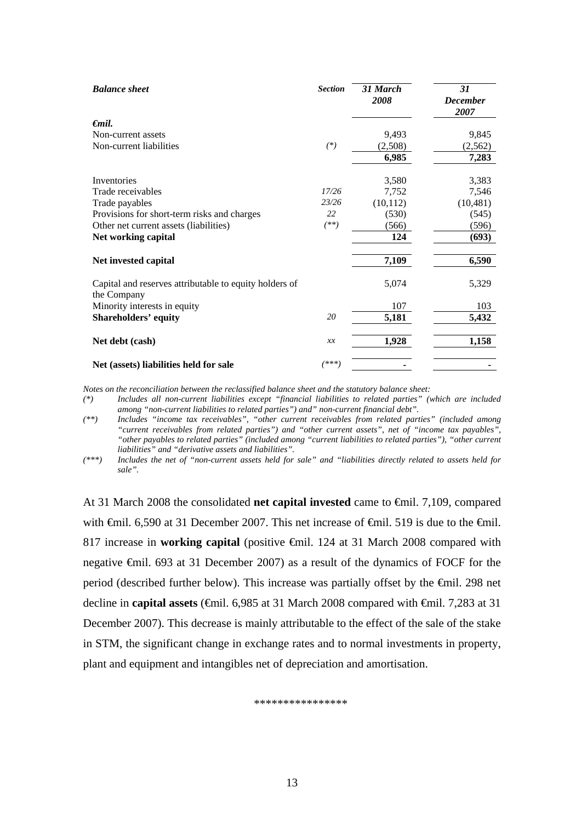| <b>Balance</b> sheet                                                  | <b>Section</b> | 31 March<br>2008 | 31<br><b>December</b> |
|-----------------------------------------------------------------------|----------------|------------------|-----------------------|
|                                                                       |                |                  | 2007                  |
| $\epsilon$ mil.                                                       |                |                  |                       |
| Non-current assets                                                    |                | 9,493            | 9,845                 |
| Non-current liabilities                                               | $(*)$          | (2,508)          | (2,562)               |
|                                                                       |                | 6,985            | 7,283                 |
| Inventories                                                           |                | 3,580            | 3,383                 |
| Trade receivables                                                     | 17/26          | 7,752            | 7,546                 |
| Trade payables                                                        | 23/26          | (10, 112)        | (10, 481)             |
| Provisions for short-term risks and charges                           | 22             | (530)            | (545)                 |
| Other net current assets (liabilities)                                | $(**)$         | (566)            | (596)                 |
| Net working capital                                                   |                | 124              | (693)                 |
| Net invested capital                                                  |                | 7,109            | 6,590                 |
| Capital and reserves attributable to equity holders of<br>the Company |                | 5,074            | 5,329                 |
| Minority interests in equity                                          |                | 107              | 103                   |
| <b>Shareholders' equity</b>                                           | 20             | 5,181            | 5,432                 |
| Net debt (cash)                                                       | x x            | 1,928            | 1,158                 |
| Net (assets) liabilities held for sale                                | (***)          |                  |                       |

*Notes on the reconciliation between the reclassified balance sheet and the statutory balance sheet:* 

*(\*) Includes all non-current liabilities except "financial liabilities to related parties" (which are included among "non-current liabilities to related parties") and" non-current financial debt".* 

*(\*\*) Includes "income tax receivables", "other current receivables from related parties" (included among "current receivables from related parties") and "other current assets", net of "income tax payables", "other payables to related parties" (included among "current liabilities to related parties"), "other current liabilities" and "derivative assets and liabilities".* 

*(\*\*\*) Includes the net of "non-current assets held for sale" and "liabilities directly related to assets held for sale".*

At 31 March 2008 the consolidated **net capital invested** came to €mil. 7,109, compared with  $\bigoplus$  at 31 December 2007. This net increase of  $\bigoplus$  in 1.519 is due to the  $\bigoplus$  il. 817 increase in **working capital** (positive €mil. 124 at 31 March 2008 compared with negative €mil. 693 at 31 December 2007) as a result of the dynamics of FOCF for the period (described further below). This increase was partially offset by the €mil. 298 net decline in **capital assets** (€mil. 6,985 at 31 March 2008 compared with €mil. 7,283 at 31 December 2007). This decrease is mainly attributable to the effect of the sale of the stake in STM, the significant change in exchange rates and to normal investments in property, plant and equipment and intangibles net of depreciation and amortisation.

\*\*\*\*\*\*\*\*\*\*\*\*\*\*\*\*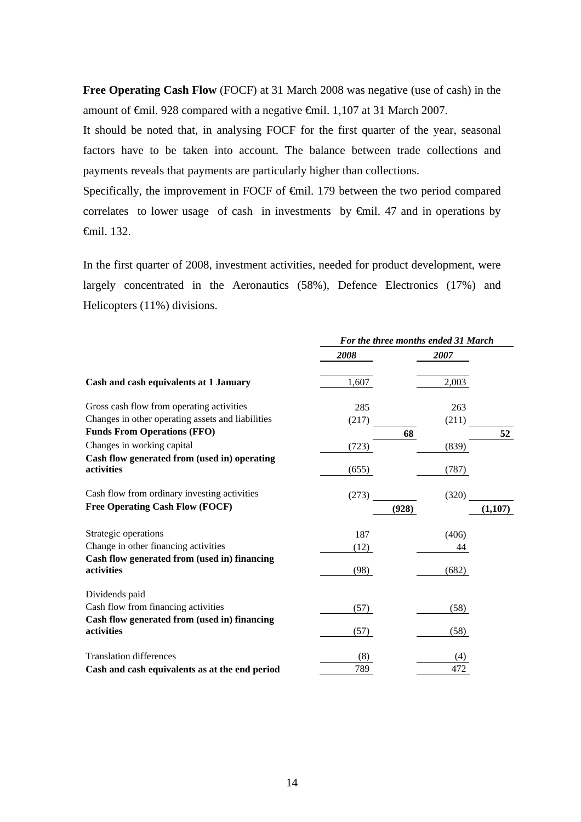**Free Operating Cash Flow** (FOCF) at 31 March 2008 was negative (use of cash) in the amount of €mil. 928 compared with a negative €mil. 1,107 at 31 March 2007.

It should be noted that, in analysing FOCF for the first quarter of the year, seasonal factors have to be taken into account. The balance between trade collections and payments reveals that payments are particularly higher than collections.

Specifically, the improvement in FOCF of €mil. 179 between the two period compared correlates to lower usage of cash in investments by  $\epsilon$ mil. 47 and in operations by €mil. 132.

In the first quarter of 2008, investment activities, needed for product development, were largely concentrated in the Aeronautics (58%), Defence Electronics (17%) and Helicopters (11%) divisions.

|                                                            | For the three months ended 31 March |       |         |
|------------------------------------------------------------|-------------------------------------|-------|---------|
|                                                            | 2008                                | 2007  |         |
| Cash and cash equivalents at 1 January                     | 1,607                               | 2,003 |         |
| Gross cash flow from operating activities                  | 285                                 | 263   |         |
| Changes in other operating assets and liabilities          | (217)                               | (211) |         |
| <b>Funds From Operations (FFO)</b>                         |                                     | 68    | 52      |
| Changes in working capital                                 | (723)                               | (839) |         |
| Cash flow generated from (used in) operating<br>activities | (655)                               | (787) |         |
| Cash flow from ordinary investing activities               | (273)                               | (320) |         |
| <b>Free Operating Cash Flow (FOCF)</b>                     |                                     | (928) | (1,107) |
| Strategic operations                                       | 187                                 | (406) |         |
| Change in other financing activities                       | (12)                                | 44    |         |
| Cash flow generated from (used in) financing               |                                     |       |         |
| activities                                                 | (98)                                | (682) |         |
| Dividends paid                                             |                                     |       |         |
| Cash flow from financing activities                        | (57)                                | (58)  |         |
| Cash flow generated from (used in) financing<br>activities | (57)                                | (58)  |         |
| <b>Translation differences</b>                             | (8)                                 | (4)   |         |
| Cash and cash equivalents as at the end period             | 789                                 | 472   |         |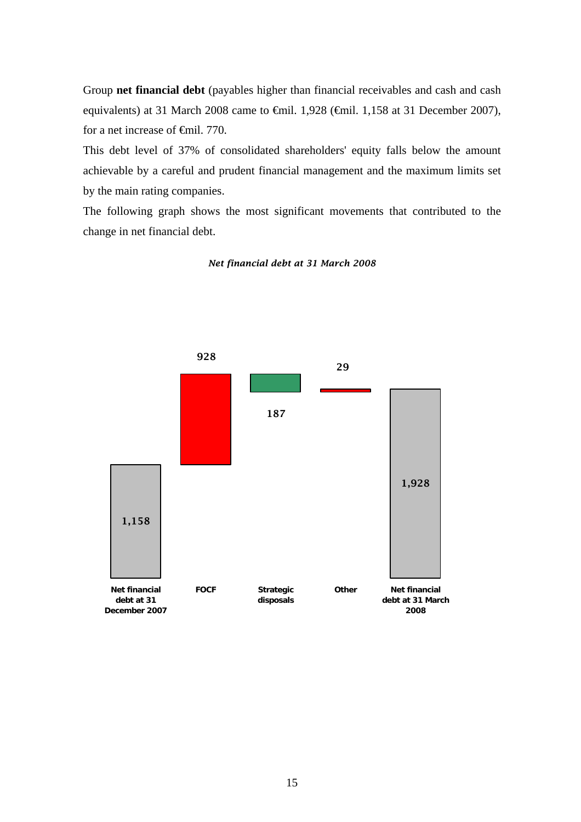Group **net financial debt** (payables higher than financial receivables and cash and cash equivalents) at 31 March 2008 came to €mil. 1,928 (€mil. 1,158 at 31 December 2007), for a net increase of €mil. 770.

This debt level of 37% of consolidated shareholders' equity falls below the amount achievable by a careful and prudent financial management and the maximum limits set by the main rating companies.

The following graph shows the most significant movements that contributed to the change in net financial debt.



*Net financial debt at 31 March 2008*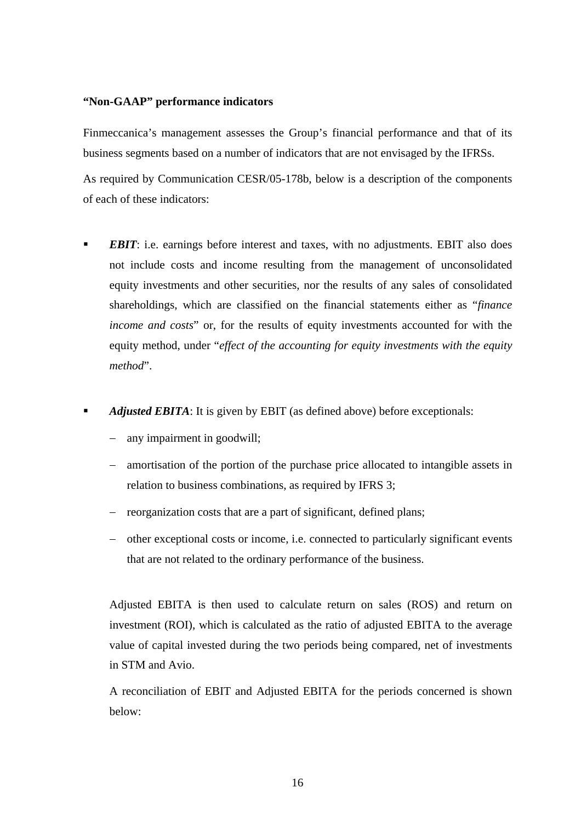## **"Non-GAAP" performance indicators**

Finmeccanica's management assesses the Group's financial performance and that of its business segments based on a number of indicators that are not envisaged by the IFRSs.

As required by Communication CESR/05-178b, below is a description of the components of each of these indicators:

- *EBIT*: i.e. earnings before interest and taxes, with no adjustments. EBIT also does not include costs and income resulting from the management of unconsolidated equity investments and other securities, nor the results of any sales of consolidated shareholdings, which are classified on the financial statements either as "*finance income and costs*" or, for the results of equity investments accounted for with the equity method, under "*effect of the accounting for equity investments with the equity method*".
- *Adjusted EBITA*: It is given by EBIT (as defined above) before exceptionals:
	- any impairment in goodwill;
	- − amortisation of the portion of the purchase price allocated to intangible assets in relation to business combinations, as required by IFRS 3;
	- − reorganization costs that are a part of significant, defined plans;
	- − other exceptional costs or income, i.e. connected to particularly significant events that are not related to the ordinary performance of the business.

Adjusted EBITA is then used to calculate return on sales (ROS) and return on investment (ROI), which is calculated as the ratio of adjusted EBITA to the average value of capital invested during the two periods being compared, net of investments in STM and Avio.

A reconciliation of EBIT and Adjusted EBITA for the periods concerned is shown below: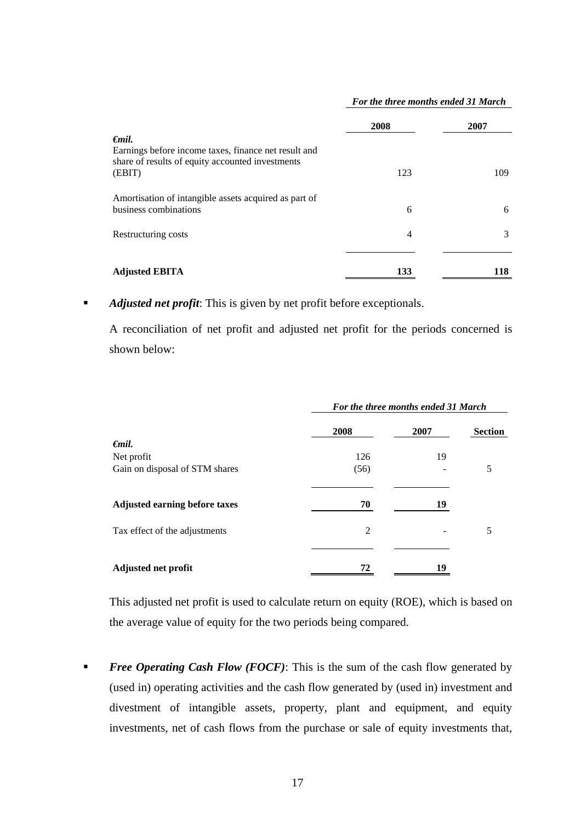|                                                                                                                                       | 2008 | 2007 |
|---------------------------------------------------------------------------------------------------------------------------------------|------|------|
| $\epsilon$ mil.<br>Earnings before income taxes, finance net result and<br>share of results of equity accounted investments<br>(EBIT) | 123  | 109  |
| Amortisation of intangible assets acquired as part of<br>business combinations                                                        | 6    | 6    |
| Restructuring costs                                                                                                                   | 4    | 3    |
| <b>Adjusted EBITA</b>                                                                                                                 | 133  | 118  |

#### *For the three months ended 31 March*

**Adjusted net profit:** This is given by net profit before exceptionals.

A reconciliation of net profit and adjusted net profit for the periods concerned is shown below:

|                                      | For the three months ended 31 March |      |                |
|--------------------------------------|-------------------------------------|------|----------------|
|                                      | 2008                                | 2007 | <b>Section</b> |
| $\epsilon$ mil.                      |                                     |      |                |
| Net profit                           | 126                                 | 19   |                |
| Gain on disposal of STM shares       | (56)                                |      | 5              |
| <b>Adjusted earning before taxes</b> | 70                                  | 19   |                |
| Tax effect of the adjustments        | 2                                   |      | 5              |
|                                      |                                     |      |                |
| Adjusted net profit                  | 72                                  | 19   |                |

This adjusted net profit is used to calculate return on equity (ROE), which is based on the average value of equity for the two periods being compared.

**Free Operating Cash Flow (FOCF):** This is the sum of the cash flow generated by (used in) operating activities and the cash flow generated by (used in) investment and divestment of intangible assets, property, plant and equipment, and equity investments, net of cash flows from the purchase or sale of equity investments that,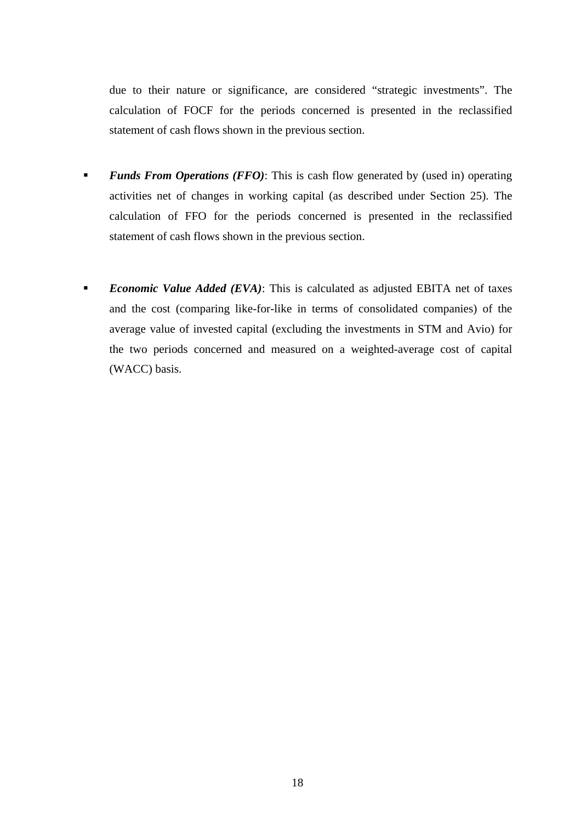due to their nature or significance, are considered "strategic investments". The calculation of FOCF for the periods concerned is presented in the reclassified statement of cash flows shown in the previous section.

- *Funds From Operations (FFO)*: This is cash flow generated by (used in) operating activities net of changes in working capital (as described under Section 25). The calculation of FFO for the periods concerned is presented in the reclassified statement of cash flows shown in the previous section.
- *Economic Value Added (EVA)*: This is calculated as adjusted EBITA net of taxes and the cost (comparing like-for-like in terms of consolidated companies) of the average value of invested capital (excluding the investments in STM and Avio) for the two periods concerned and measured on a weighted-average cost of capital (WACC) basis.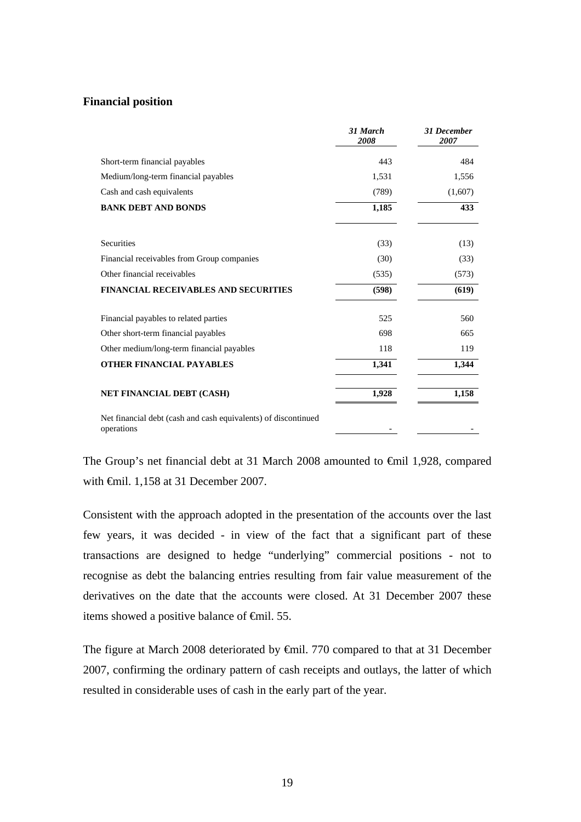## **Financial position**

|                                                                              | 31 March<br>2008 | <b>31 December</b><br>2007 |
|------------------------------------------------------------------------------|------------------|----------------------------|
| Short-term financial payables                                                | 443              | 484                        |
| Medium/long-term financial payables                                          | 1,531            | 1,556                      |
| Cash and cash equivalents                                                    | (789)            | (1,607)                    |
| <b>BANK DEBT AND BONDS</b>                                                   | 1,185            | 433                        |
| Securities                                                                   | (33)             | (13)                       |
| Financial receivables from Group companies                                   | (30)             | (33)                       |
| Other financial receivables                                                  | (535)            | (573)                      |
| <b>FINANCIAL RECEIVABLES AND SECURITIES</b>                                  | (598)            | (619)                      |
| Financial payables to related parties                                        | 525              | 560                        |
| Other short-term financial payables                                          | 698              | 665                        |
| Other medium/long-term financial payables                                    | 118              | 119                        |
| <b>OTHER FINANCIAL PAYABLES</b>                                              | 1,341            | 1,344                      |
| <b>NET FINANCIAL DEBT (CASH)</b>                                             | 1,928            | 1,158                      |
| Net financial debt (cash and cash equivalents) of discontinued<br>operations |                  |                            |

The Group's net financial debt at 31 March 2008 amounted to €mil 1,928, compared with €mil. 1,158 at 31 December 2007.

Consistent with the approach adopted in the presentation of the accounts over the last few years, it was decided - in view of the fact that a significant part of these transactions are designed to hedge "underlying" commercial positions - not to recognise as debt the balancing entries resulting from fair value measurement of the derivatives on the date that the accounts were closed. At 31 December 2007 these items showed a positive balance of €mil. 55.

The figure at March 2008 deteriorated by €mil. 770 compared to that at 31 December 2007, confirming the ordinary pattern of cash receipts and outlays, the latter of which resulted in considerable uses of cash in the early part of the year.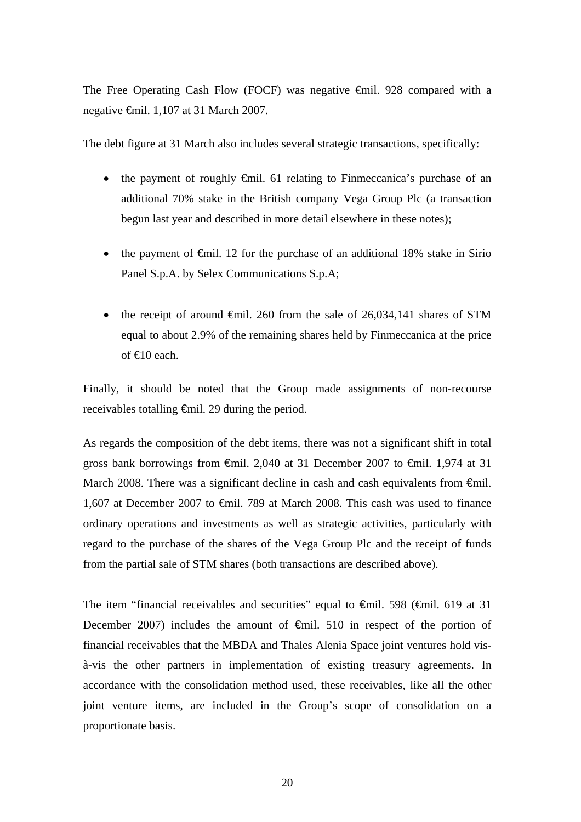The Free Operating Cash Flow (FOCF) was negative €mil. 928 compared with a negative €mil. 1,107 at 31 March 2007.

The debt figure at 31 March also includes several strategic transactions, specifically:

- the payment of roughly  $\oplus$ mil. 61 relating to Finmeccanica's purchase of an additional 70% stake in the British company Vega Group Plc (a transaction begun last year and described in more detail elsewhere in these notes);
- the payment of  $\oplus$ mil. 12 for the purchase of an additional 18% stake in Sirio Panel S.p.A. by Selex Communications S.p.A;
- the receipt of around  $\oplus$ mil. 260 from the sale of 26,034,141 shares of STM equal to about 2.9% of the remaining shares held by Finmeccanica at the price of  $\bigoplus$  0 each.

Finally, it should be noted that the Group made assignments of non-recourse receivables totalling €mil. 29 during the period.

As regards the composition of the debt items, there was not a significant shift in total gross bank borrowings from  $\epsilon$ mil. 2,040 at 31 December 2007 to  $\epsilon$ mil. 1,974 at 31 March 2008. There was a significant decline in cash and cash equivalents from €mil. 1,607 at December 2007 to €mil. 789 at March 2008. This cash was used to finance ordinary operations and investments as well as strategic activities, particularly with regard to the purchase of the shares of the Vega Group Plc and the receipt of funds from the partial sale of STM shares (both transactions are described above).

The item "financial receivables and securities" equal to  $\epsilon$ mil. 598 ( $\epsilon$ mil. 619 at 31 December 2007) includes the amount of  $\epsilon$ mil. 510 in respect of the portion of financial receivables that the MBDA and Thales Alenia Space joint ventures hold visà-vis the other partners in implementation of existing treasury agreements. In accordance with the consolidation method used, these receivables, like all the other joint venture items, are included in the Group's scope of consolidation on a proportionate basis.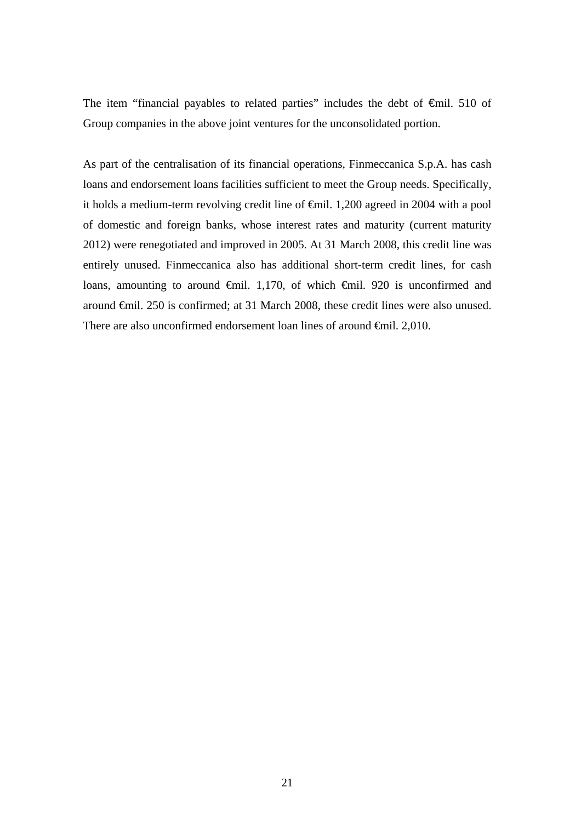The item "financial payables to related parties" includes the debt of €mil. 510 of Group companies in the above joint ventures for the unconsolidated portion.

As part of the centralisation of its financial operations, Finmeccanica S.p.A. has cash loans and endorsement loans facilities sufficient to meet the Group needs. Specifically, it holds a medium-term revolving credit line of €mil. 1,200 agreed in 2004 with a pool of domestic and foreign banks, whose interest rates and maturity (current maturity 2012) were renegotiated and improved in 2005. At 31 March 2008, this credit line was entirely unused. Finmeccanica also has additional short-term credit lines, for cash loans, amounting to around €mil. 1,170, of which €mil. 920 is unconfirmed and around €mil. 250 is confirmed; at 31 March 2008, these credit lines were also unused. There are also unconfirmed endorsement loan lines of around €mil. 2,010.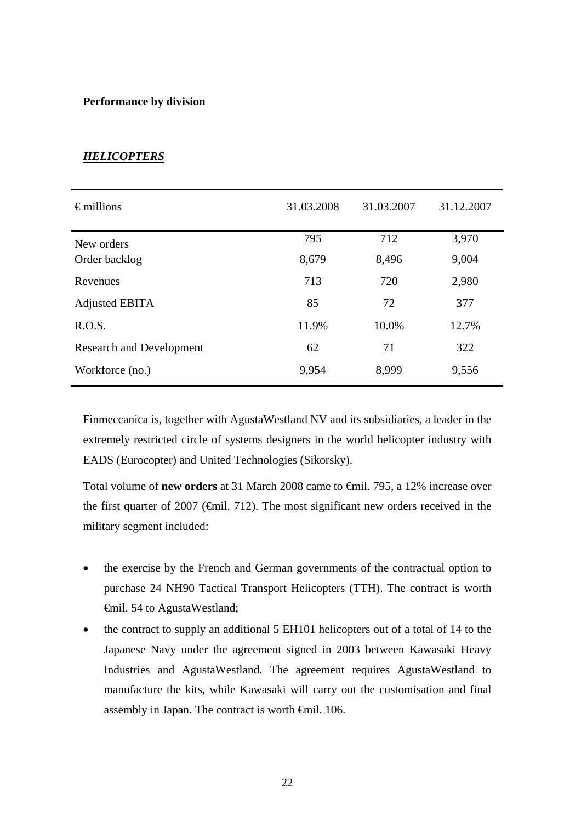# **Performance by division**

| $\epsilon$ millions             | 31.03.2008 | 31.03.2007 | 31.12.2007 |
|---------------------------------|------------|------------|------------|
| New orders                      | 795        | 712        | 3,970      |
| Order backlog                   | 8,679      | 8,496      | 9,004      |
| Revenues                        | 713        | 720        | 2,980      |
| Adjusted EBITA                  | 85         | 72         | 377        |
| R.O.S.                          | 11.9%      | 10.0%      | 12.7%      |
| <b>Research and Development</b> | 62         | 71         | 322        |
| Workforce (no.)                 | 9,954      | 8,999      | 9,556      |

# *HELICOPTERS*

Finmeccanica is, together with AgustaWestland NV and its subsidiaries, a leader in the extremely restricted circle of systems designers in the world helicopter industry with EADS (Eurocopter) and United Technologies (Sikorsky).

Total volume of **new orders** at 31 March 2008 came to €mil. 795, a 12% increase over the first quarter of 2007 (€mil. 712). The most significant new orders received in the military segment included:

- the exercise by the French and German governments of the contractual option to purchase 24 NH90 Tactical Transport Helicopters (TTH). The contract is worth €mil. 54 to AgustaWestland;
- the contract to supply an additional 5 EH101 helicopters out of a total of 14 to the Japanese Navy under the agreement signed in 2003 between Kawasaki Heavy Industries and AgustaWestland. The agreement requires AgustaWestland to manufacture the kits, while Kawasaki will carry out the customisation and final assembly in Japan. The contract is worth €mil. 106.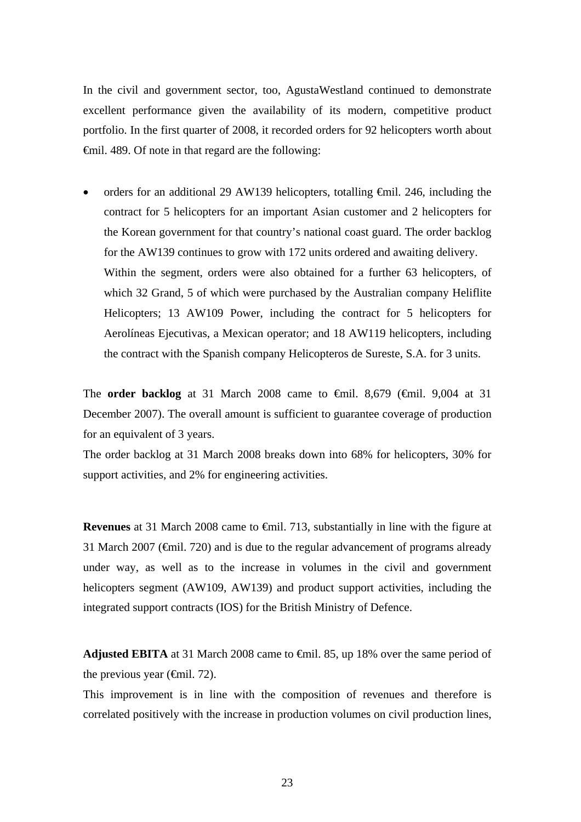In the civil and government sector, too, AgustaWestland continued to demonstrate excellent performance given the availability of its modern, competitive product portfolio. In the first quarter of 2008, it recorded orders for 92 helicopters worth about €mil. 489. Of note in that regard are the following:

• orders for an additional 29 AW139 helicopters, totalling €mil. 246, including the contract for 5 helicopters for an important Asian customer and 2 helicopters for the Korean government for that country's national coast guard. The order backlog for the AW139 continues to grow with 172 units ordered and awaiting delivery. Within the segment, orders were also obtained for a further 63 helicopters, of which 32 Grand, 5 of which were purchased by the Australian company Heliflite Helicopters; 13 AW109 Power, including the contract for 5 helicopters for Aerolíneas Ejecutivas, a Mexican operator; and 18 AW119 helicopters, including the contract with the Spanish company Helicopteros de Sureste, S.A. for 3 units.

The **order backlog** at 31 March 2008 came to €mil. 8,679 (€mil. 9,004 at 31 December 2007). The overall amount is sufficient to guarantee coverage of production for an equivalent of 3 years.

The order backlog at 31 March 2008 breaks down into 68% for helicopters, 30% for support activities, and 2% for engineering activities.

**Revenues** at 31 March 2008 came to €mil. 713, substantially in line with the figure at 31 March 2007 ( $\epsilon$ mil. 720) and is due to the regular advancement of programs already under way, as well as to the increase in volumes in the civil and government helicopters segment (AW109, AW139) and product support activities, including the integrated support contracts (IOS) for the British Ministry of Defence.

**Adjusted EBITA** at 31 March 2008 came to €mil. 85, up 18% over the same period of the previous year ( $\epsilon$ mil. 72).

This improvement is in line with the composition of revenues and therefore is correlated positively with the increase in production volumes on civil production lines,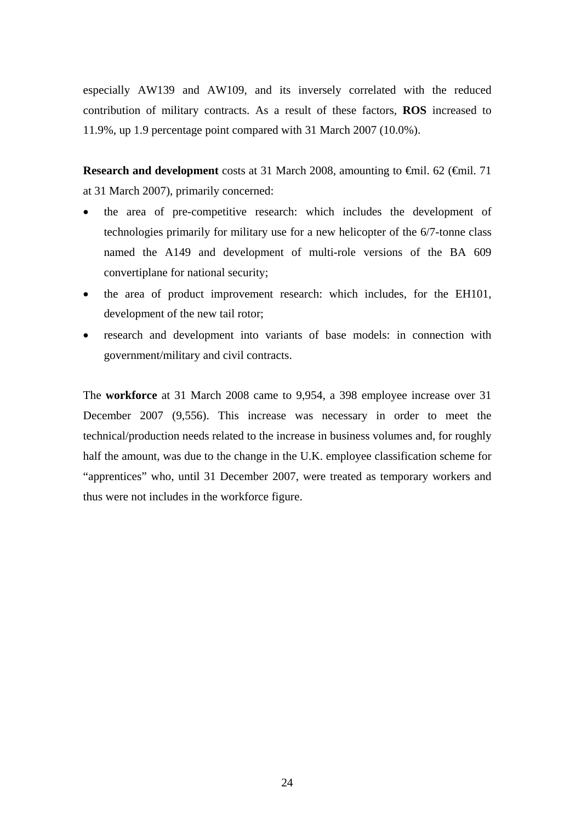especially AW139 and AW109, and its inversely correlated with the reduced contribution of military contracts. As a result of these factors, **ROS** increased to 11.9%, up 1.9 percentage point compared with 31 March 2007 (10.0%).

**Research and development** costs at 31 March 2008, amounting to €mil. 62 (€mil. 71 at 31 March 2007), primarily concerned:

- the area of pre-competitive research: which includes the development of technologies primarily for military use for a new helicopter of the 6/7-tonne class named the A149 and development of multi-role versions of the BA 609 convertiplane for national security;
- the area of product improvement research: which includes, for the EH101, development of the new tail rotor;
- research and development into variants of base models: in connection with government/military and civil contracts.

The **workforce** at 31 March 2008 came to 9,954, a 398 employee increase over 31 December 2007 (9,556). This increase was necessary in order to meet the technical/production needs related to the increase in business volumes and, for roughly half the amount, was due to the change in the U.K. employee classification scheme for "apprentices" who, until 31 December 2007, were treated as temporary workers and thus were not includes in the workforce figure.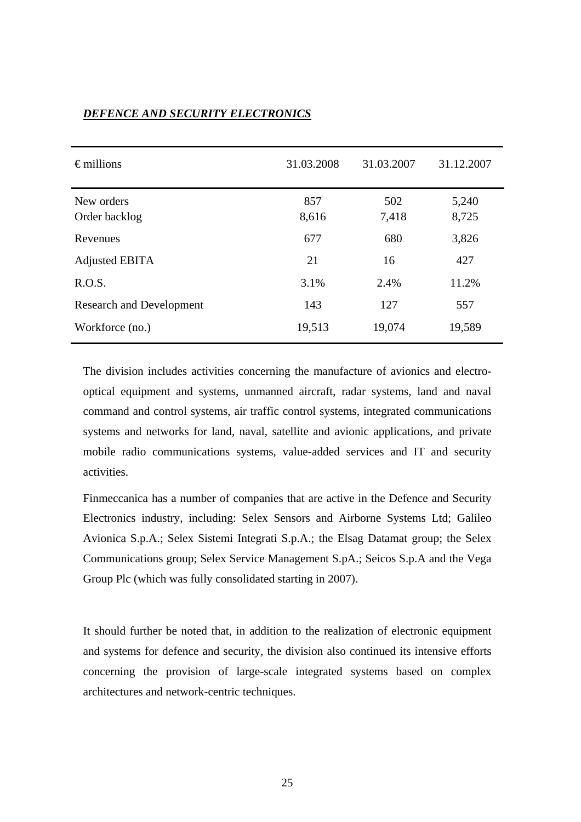| $\epsilon$ millions             | 31.03.2008   | 31.03.2007   | 31.12.2007     |
|---------------------------------|--------------|--------------|----------------|
| New orders<br>Order backlog     | 857<br>8,616 | 502<br>7,418 | 5,240<br>8,725 |
| Revenues                        | 677          | 680          | 3,826          |
| Adjusted EBITA                  | 21           | 16           | 427            |
| R.O.S.                          | 3.1%         | 2.4%         | 11.2%          |
| <b>Research and Development</b> | 143          | 127          | 557            |
| Workforce (no.)                 | 19,513       | 19,074       | 19,589         |

# *DEFENCE AND SECURITY ELECTRONICS*

The division includes activities concerning the manufacture of avionics and electrooptical equipment and systems, unmanned aircraft, radar systems, land and naval command and control systems, air traffic control systems, integrated communications systems and networks for land, naval, satellite and avionic applications, and private mobile radio communications systems, value-added services and IT and security activities.

Finmeccanica has a number of companies that are active in the Defence and Security Electronics industry, including: Selex Sensors and Airborne Systems Ltd; Galileo Avionica S.p.A.; Selex Sistemi Integrati S.p.A.; the Elsag Datamat group; the Selex Communications group; Selex Service Management S.pA.; Seicos S.p.A and the Vega Group Plc (which was fully consolidated starting in 2007).

It should further be noted that, in addition to the realization of electronic equipment and systems for defence and security, the division also continued its intensive efforts concerning the provision of large-scale integrated systems based on complex architectures and network-centric techniques.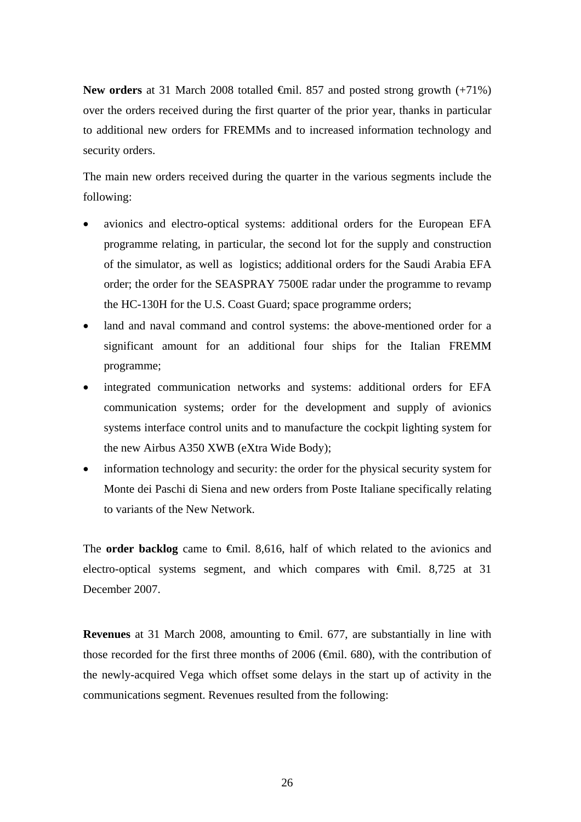New orders at 31 March 2008 totalled <del>€</del>mil. 857 and posted strong growth (+71%) over the orders received during the first quarter of the prior year, thanks in particular to additional new orders for FREMMs and to increased information technology and security orders.

The main new orders received during the quarter in the various segments include the following:

- avionics and electro-optical systems: additional orders for the European EFA programme relating, in particular, the second lot for the supply and construction of the simulator, as well as logistics; additional orders for the Saudi Arabia EFA order; the order for the SEASPRAY 7500E radar under the programme to revamp the HC-130H for the U.S. Coast Guard; space programme orders;
- land and naval command and control systems: the above-mentioned order for a significant amount for an additional four ships for the Italian FREMM programme;
- integrated communication networks and systems: additional orders for EFA communication systems; order for the development and supply of avionics systems interface control units and to manufacture the cockpit lighting system for the new Airbus A350 XWB (eXtra Wide Body);
- information technology and security: the order for the physical security system for Monte dei Paschi di Siena and new orders from Poste Italiane specifically relating to variants of the New Network.

The **order backlog** came to €mil. 8,616, half of which related to the avionics and electro-optical systems segment, and which compares with  $\theta$ mil. 8,725 at 31 December 2007.

**Revenues** at 31 March 2008, amounting to €mil. 677, are substantially in line with those recorded for the first three months of 2006 ( $\epsilon$ mil. 680), with the contribution of the newly-acquired Vega which offset some delays in the start up of activity in the communications segment. Revenues resulted from the following: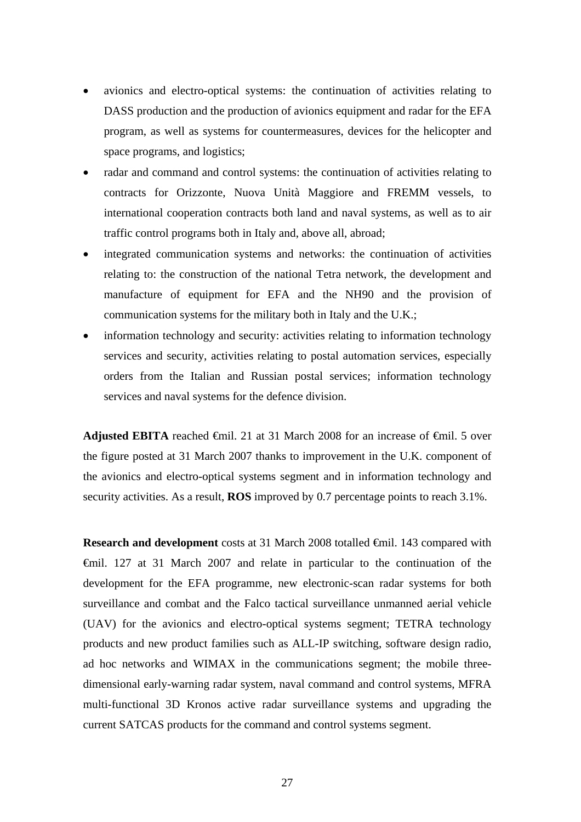- avionics and electro-optical systems: the continuation of activities relating to DASS production and the production of avionics equipment and radar for the EFA program, as well as systems for countermeasures, devices for the helicopter and space programs, and logistics;
- radar and command and control systems: the continuation of activities relating to contracts for Orizzonte, Nuova Unità Maggiore and FREMM vessels, to international cooperation contracts both land and naval systems, as well as to air traffic control programs both in Italy and, above all, abroad;
- integrated communication systems and networks: the continuation of activities relating to: the construction of the national Tetra network, the development and manufacture of equipment for EFA and the NH90 and the provision of communication systems for the military both in Italy and the U.K.;
- information technology and security: activities relating to information technology services and security, activities relating to postal automation services, especially orders from the Italian and Russian postal services; information technology services and naval systems for the defence division.

**Adjusted EBITA** reached  $\bigoplus$  finil. 21 at 31 March 2008 for an increase of  $\bigoplus$  inil. 5 over the figure posted at 31 March 2007 thanks to improvement in the U.K. component of the avionics and electro-optical systems segment and in information technology and security activities. As a result, **ROS** improved by 0.7 percentage points to reach 3.1%.

**Research and development** costs at 31 March 2008 totalled €mil. 143 compared with €mil. 127 at 31 March 2007 and relate in particular to the continuation of the development for the EFA programme, new electronic-scan radar systems for both surveillance and combat and the Falco tactical surveillance unmanned aerial vehicle (UAV) for the avionics and electro-optical systems segment; TETRA technology products and new product families such as ALL-IP switching, software design radio, ad hoc networks and WIMAX in the communications segment; the mobile threedimensional early-warning radar system, naval command and control systems, MFRA multi-functional 3D Kronos active radar surveillance systems and upgrading the current SATCAS products for the command and control systems segment.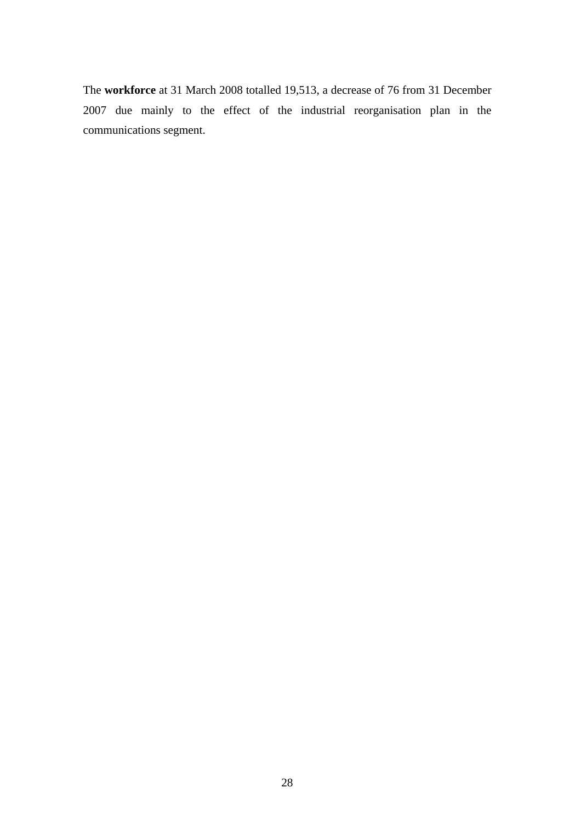The **workforce** at 31 March 2008 totalled 19,513, a decrease of 76 from 31 December 2007 due mainly to the effect of the industrial reorganisation plan in the communications segment.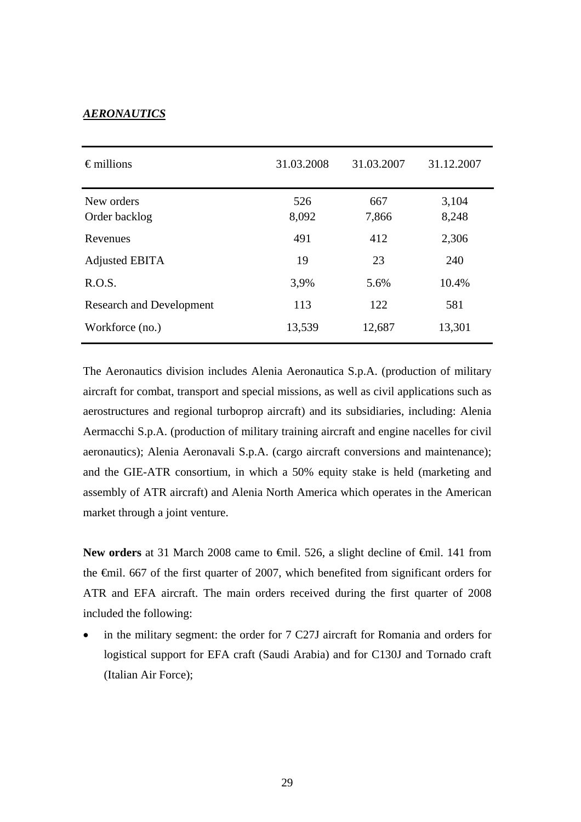## *AERONAUTICS*

| $\epsilon$ millions             | 31.03.2008   | 31.03.2007   | 31.12.2007     |
|---------------------------------|--------------|--------------|----------------|
| New orders<br>Order backlog     | 526<br>8,092 | 667<br>7,866 | 3,104<br>8,248 |
| Revenues                        | 491          | 412          | 2,306          |
| Adjusted EBITA                  | 19           | 23           | 240            |
| R.O.S.                          | 3,9%         | 5.6%         | 10.4%          |
| <b>Research and Development</b> | 113          | 122          | 581            |
| Workforce (no.)                 | 13,539       | 12,687       | 13,301         |

The Aeronautics division includes Alenia Aeronautica S.p.A. (production of military aircraft for combat, transport and special missions, as well as civil applications such as aerostructures and regional turboprop aircraft) and its subsidiaries, including: Alenia Aermacchi S.p.A. (production of military training aircraft and engine nacelles for civil aeronautics); Alenia Aeronavali S.p.A. (cargo aircraft conversions and maintenance); and the GIE-ATR consortium, in which a 50% equity stake is held (marketing and assembly of ATR aircraft) and Alenia North America which operates in the American market through a joint venture.

New orders at 31 March 2008 came to <del>€mil.</del> 526, a slight decline of <del>€mil</del>. 141 from the €mil. 667 of the first quarter of 2007, which benefited from significant orders for ATR and EFA aircraft. The main orders received during the first quarter of 2008 included the following:

• in the military segment: the order for 7 C27J aircraft for Romania and orders for logistical support for EFA craft (Saudi Arabia) and for C130J and Tornado craft (Italian Air Force);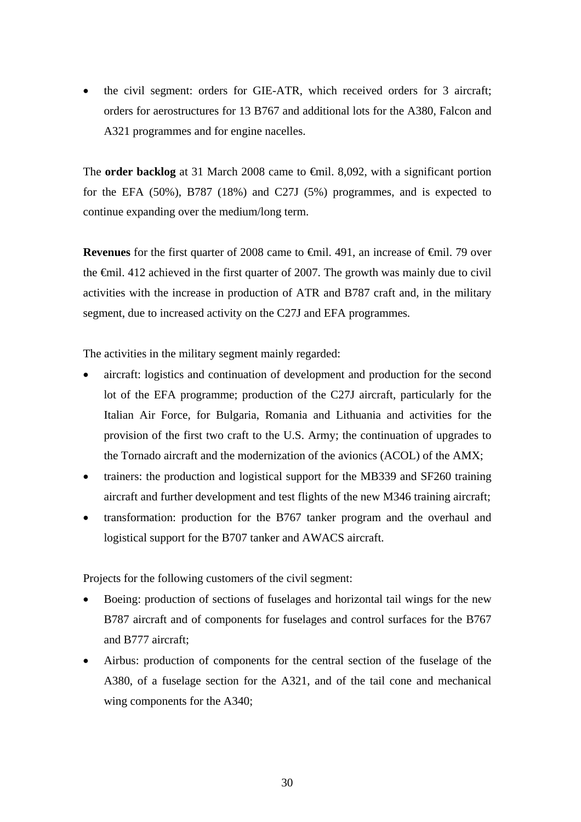• the civil segment: orders for GIE-ATR, which received orders for 3 aircraft; orders for aerostructures for 13 B767 and additional lots for the A380, Falcon and A321 programmes and for engine nacelles.

The **order backlog** at 31 March 2008 came to  $\epsilon$ mil. 8,092, with a significant portion for the EFA (50%), B787 (18%) and C27J (5%) programmes, and is expected to continue expanding over the medium/long term.

**Revenues** for the first quarter of 2008 came to  $\theta$  ∈mil. 491, an increase of  $\theta$  ∈mil. 79 over the €mil. 412 achieved in the first quarter of 2007. The growth was mainly due to civil activities with the increase in production of ATR and B787 craft and, in the military segment, due to increased activity on the C27J and EFA programmes*.*

The activities in the military segment mainly regarded:

- aircraft: logistics and continuation of development and production for the second lot of the EFA programme; production of the C27J aircraft, particularly for the Italian Air Force, for Bulgaria, Romania and Lithuania and activities for the provision of the first two craft to the U.S. Army; the continuation of upgrades to the Tornado aircraft and the modernization of the avionics (ACOL) of the AMX;
- trainers: the production and logistical support for the MB339 and SF260 training aircraft and further development and test flights of the new M346 training aircraft;
- transformation: production for the B767 tanker program and the overhaul and logistical support for the B707 tanker and AWACS aircraft.

Projects for the following customers of the civil segment:

- Boeing: production of sections of fuselages and horizontal tail wings for the new B787 aircraft and of components for fuselages and control surfaces for the B767 and B777 aircraft;
- Airbus: production of components for the central section of the fuselage of the A380, of a fuselage section for the A321, and of the tail cone and mechanical wing components for the A340;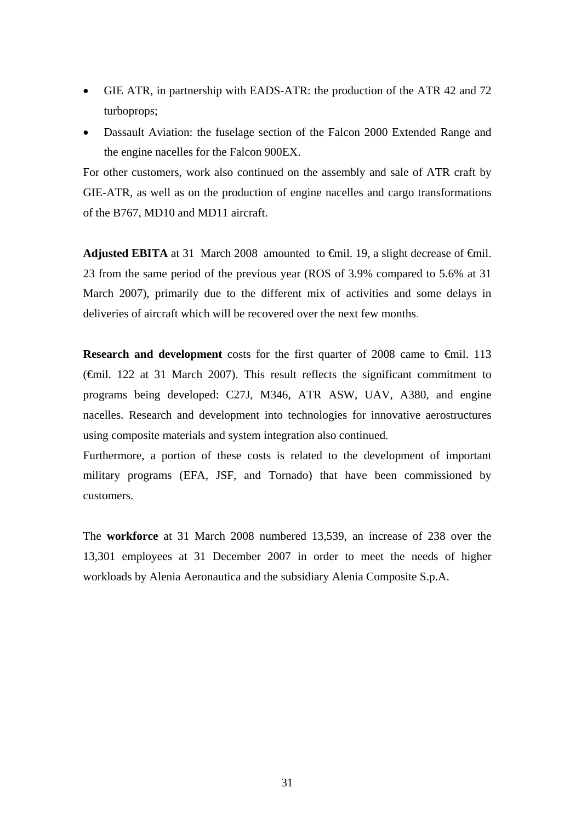- GIE ATR, in partnership with EADS-ATR: the production of the ATR 42 and 72 turboprops;
- Dassault Aviation: the fuselage section of the Falcon 2000 Extended Range and the engine nacelles for the Falcon 900EX.

For other customers, work also continued on the assembly and sale of ATR craft by GIE-ATR, as well as on the production of engine nacelles and cargo transformations of the B767, MD10 and MD11 aircraft.

**Adjusted EBITA** at 31 March 2008 amounted to  $\oplus$ mil. 19, a slight decrease of  $\oplus$ mil. 23 from the same period of the previous year (ROS of 3.9% compared to 5.6% at 31 March 2007), primarily due to the different mix of activities and some delays in deliveries of aircraft which will be recovered over the next few months.

**Research and development** costs for the first quarter of 2008 came to €mil. 113 (€mil. 122 at 31 March 2007). This result reflects the significant commitment to programs being developed: C27J, M346, ATR ASW, UAV, A380, and engine nacelles*.* Research and development into technologies for innovative aerostructures using composite materials and system integration also continued.

Furthermore, a portion of these costs is related to the development of important military programs (EFA, JSF, and Tornado) that have been commissioned by customers.

The **workforce** at 31 March 2008 numbered 13,539, an increase of 238 over the 13,301 employees at 31 December 2007 in order to meet the needs of higher workloads by Alenia Aeronautica and the subsidiary Alenia Composite S.p.A.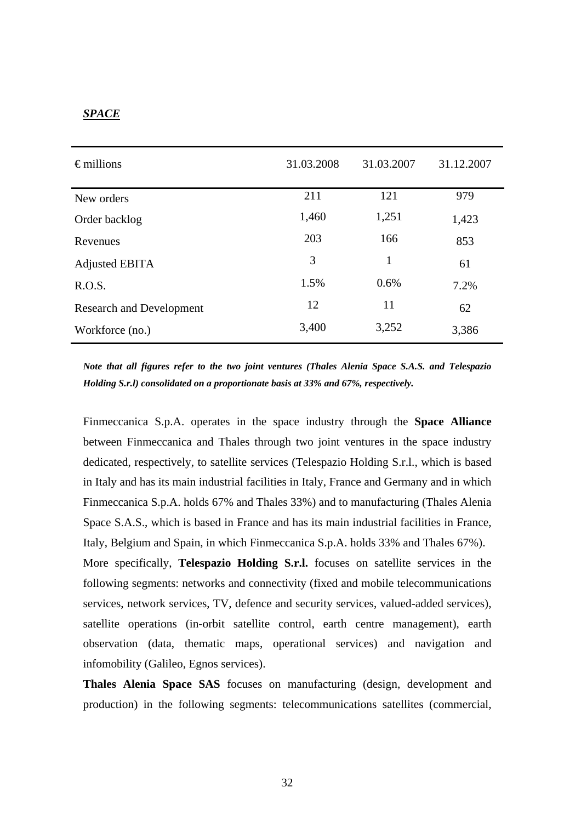## *SPACE*

| $\epsilon$ millions             | 31.03.2008 | 31.03.2007 | 31.12.2007 |
|---------------------------------|------------|------------|------------|
| New orders                      | 211        | 121        | 979        |
| Order backlog                   | 1,460      | 1,251      | 1,423      |
| Revenues                        | 203        | 166        | 853        |
| Adjusted EBITA                  | 3          | 1          | 61         |
| R.O.S.                          | 1.5%       | 0.6%       | 7.2%       |
| <b>Research and Development</b> | 12         | 11         | 62         |
| Workforce (no.)                 | 3,400      | 3,252      | 3,386      |

*Note that all figures refer to the two joint ventures (Thales Alenia Space S.A.S. and Telespazio Holding S.r.l) consolidated on a proportionate basis at 33% and 67%, respectively.* 

Finmeccanica S.p.A. operates in the space industry through the **Space Alliance** between Finmeccanica and Thales through two joint ventures in the space industry dedicated, respectively, to satellite services (Telespazio Holding S.r.l., which is based in Italy and has its main industrial facilities in Italy, France and Germany and in which Finmeccanica S.p.A. holds 67% and Thales 33%) and to manufacturing (Thales Alenia Space S.A.S., which is based in France and has its main industrial facilities in France, Italy, Belgium and Spain, in which Finmeccanica S.p.A. holds 33% and Thales 67%). More specifically, **Telespazio Holding S.r.l.** focuses on satellite services in the following segments: networks and connectivity (fixed and mobile telecommunications services, network services, TV, defence and security services, valued-added services), satellite operations (in-orbit satellite control, earth centre management), earth observation (data, thematic maps, operational services) and navigation and infomobility (Galileo, Egnos services).

**Thales Alenia Space SAS** focuses on manufacturing (design, development and production) in the following segments: telecommunications satellites (commercial,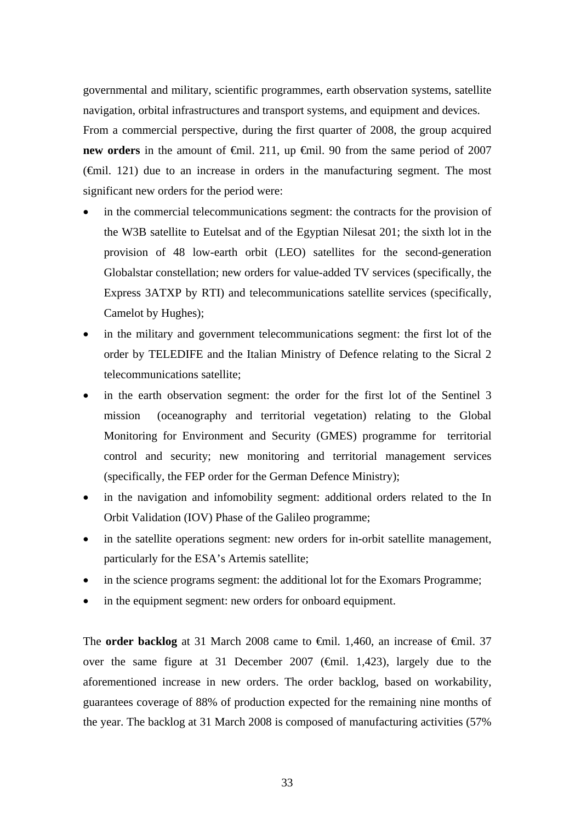governmental and military, scientific programmes, earth observation systems, satellite navigation, orbital infrastructures and transport systems, and equipment and devices. From a commercial perspective, during the first quarter of 2008, the group acquired **new orders** in the amount of €mil. 211, up €mil. 90 from the same period of 2007  $(\text{f})$ . 121) due to an increase in orders in the manufacturing segment. The most significant new orders for the period were:

- in the commercial telecommunications segment: the contracts for the provision of the W3B satellite to Eutelsat and of the Egyptian Nilesat 201; the sixth lot in the provision of 48 low-earth orbit (LEO) satellites for the second-generation Globalstar constellation; new orders for value-added TV services (specifically, the Express 3ATXP by RTI) and telecommunications satellite services (specifically, Camelot by Hughes);
- in the military and government telecommunications segment: the first lot of the order by TELEDIFE and the Italian Ministry of Defence relating to the Sicral 2 telecommunications satellite;
- in the earth observation segment: the order for the first lot of the Sentinel 3 mission (oceanography and territorial vegetation) relating to the Global Monitoring for Environment and Security (GMES) programme for territorial control and security; new monitoring and territorial management services (specifically, the FEP order for the German Defence Ministry);
- in the navigation and infomobility segment: additional orders related to the In Orbit Validation (IOV) Phase of the Galileo programme;
- in the satellite operations segment: new orders for in-orbit satellite management, particularly for the ESA's Artemis satellite;
- in the science programs segment: the additional lot for the Exomars Programme;
- in the equipment segment: new orders for onboard equipment.

The **order backlog** at 31 March 2008 came to €mil. 1,460, an increase of €mil. 37 over the same figure at 31 December 2007 ( $\oplus$ mil. 1,423), largely due to the aforementioned increase in new orders. The order backlog, based on workability, guarantees coverage of 88% of production expected for the remaining nine months of the year. The backlog at 31 March 2008 is composed of manufacturing activities (57%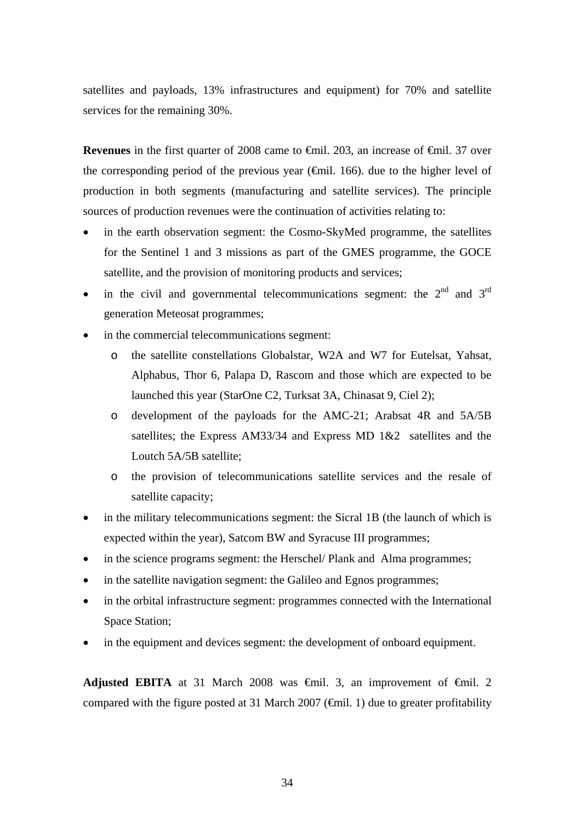satellites and payloads, 13% infrastructures and equipment) for 70% and satellite services for the remaining 30%.

**Revenues** in the first quarter of 2008 came to <del>€</del>mil. 203, an increase of <del>€m</del>il. 37 over the corresponding period of the previous year (€mil. 166). due to the higher level of production in both segments (manufacturing and satellite services). The principle sources of production revenues were the continuation of activities relating to:

- in the earth observation segment: the Cosmo-SkyMed programme, the satellites for the Sentinel 1 and 3 missions as part of the GMES programme, the GOCE satellite, and the provision of monitoring products and services;
- in the civil and governmental telecommunications segment: the  $2<sup>nd</sup>$  and  $3<sup>rd</sup>$ generation Meteosat programmes;
- in the commercial telecommunications segment:
	- o the satellite constellations Globalstar, W2A and W7 for Eutelsat, Yahsat, Alphabus, Thor 6, Palapa D, Rascom and those which are expected to be launched this year (StarOne C2, Turksat 3A, Chinasat 9, Ciel 2);
	- o development of the payloads for the AMC-21; Arabsat 4R and 5A/5B satellites; the Express AM33/34 and Express MD 1&2 satellites and the Loutch 5A/5B satellite;
	- o the provision of telecommunications satellite services and the resale of satellite capacity;
- in the military telecommunications segment: the Sicral 1B (the launch of which is expected within the year), Satcom BW and Syracuse III programmes;
- in the science programs segment: the Herschel/ Plank and Alma programmes;
- in the satellite navigation segment: the Galileo and Egnos programmes;
- in the orbital infrastructure segment: programmes connected with the International Space Station;
- in the equipment and devices segment: the development of onboard equipment.

**Adjusted EBITA** at 31 March 2008 was  $\oplus$ mil. 3, an improvement of  $\oplus$ mil. 2 compared with the figure posted at 31 March 2007 ( $\epsilon$ mil. 1) due to greater profitability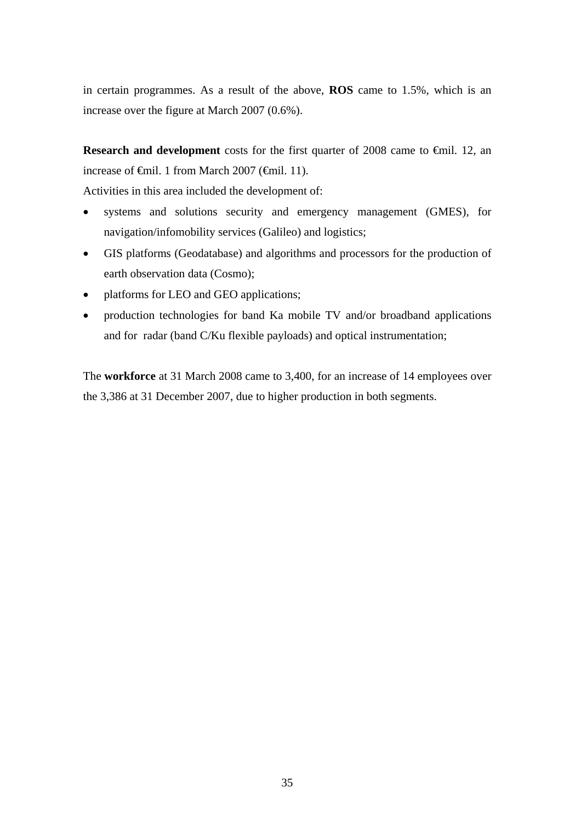in certain programmes. As a result of the above, **ROS** came to 1.5%, which is an increase over the figure at March 2007 (0.6%).

**Research and development** costs for the first quarter of 2008 came to €mil. 12, an increase of €mil. 1 from March 2007 (€mil. 11).

Activities in this area included the development of:

- systems and solutions security and emergency management (GMES), for navigation/infomobility services (Galileo) and logistics;
- GIS platforms (Geodatabase) and algorithms and processors for the production of earth observation data (Cosmo);
- platforms for LEO and GEO applications;
- production technologies for band Ka mobile TV and/or broadband applications and for radar (band C/Ku flexible payloads) and optical instrumentation;

The **workforce** at 31 March 2008 came to 3,400, for an increase of 14 employees over the 3,386 at 31 December 2007, due to higher production in both segments.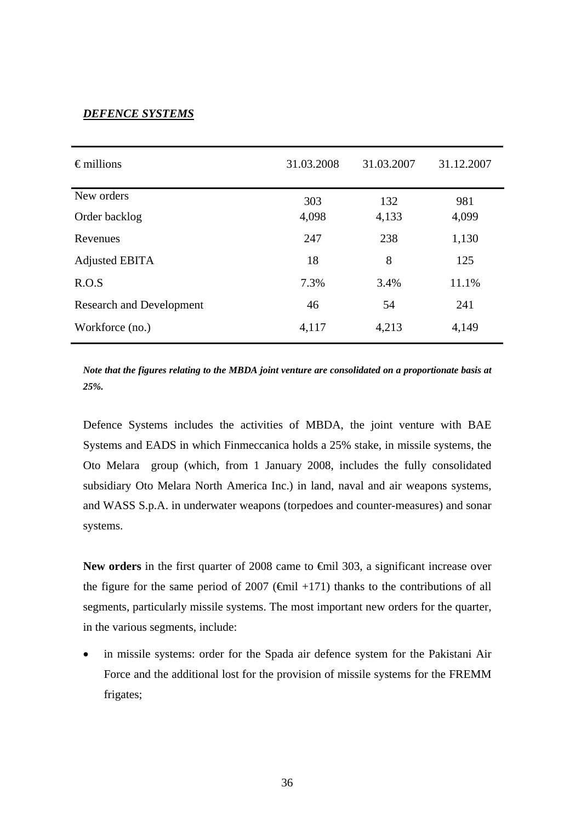# *DEFENCE SYSTEMS*

| $\epsilon$ millions             | 31.03.2008 | 31.03.2007 | 31.12.2007 |
|---------------------------------|------------|------------|------------|
| New orders                      | 303        | 132        | 981        |
| Order backlog                   | 4,098      | 4,133      | 4,099      |
| Revenues                        | 247        | 238        | 1,130      |
| <b>Adjusted EBITA</b>           | 18         | 8          | 125        |
| R.O.S                           | 7.3%       | 3.4%       | 11.1%      |
| <b>Research and Development</b> | 46         | 54         | 241        |
| Workforce (no.)                 | 4,117      | 4,213      | 4,149      |

*Note that the figures relating to the MBDA joint venture are consolidated on a proportionate basis at 25%.*

Defence Systems includes the activities of MBDA, the joint venture with BAE Systems and EADS in which Finmeccanica holds a 25% stake, in missile systems, the Oto Melara group (which, from 1 January 2008, includes the fully consolidated subsidiary Oto Melara North America Inc.) in land, naval and air weapons systems, and WASS S.p.A. in underwater weapons (torpedoes and counter-measures) and sonar systems.

New orders in the first quarter of 2008 came to <del>€</del>mil 303, a significant increase over the figure for the same period of 2007 ( $\theta$ mil +171) thanks to the contributions of all segments, particularly missile systems. The most important new orders for the quarter, in the various segments, include:

in missile systems: order for the Spada air defence system for the Pakistani Air Force and the additional lost for the provision of missile systems for the FREMM frigates;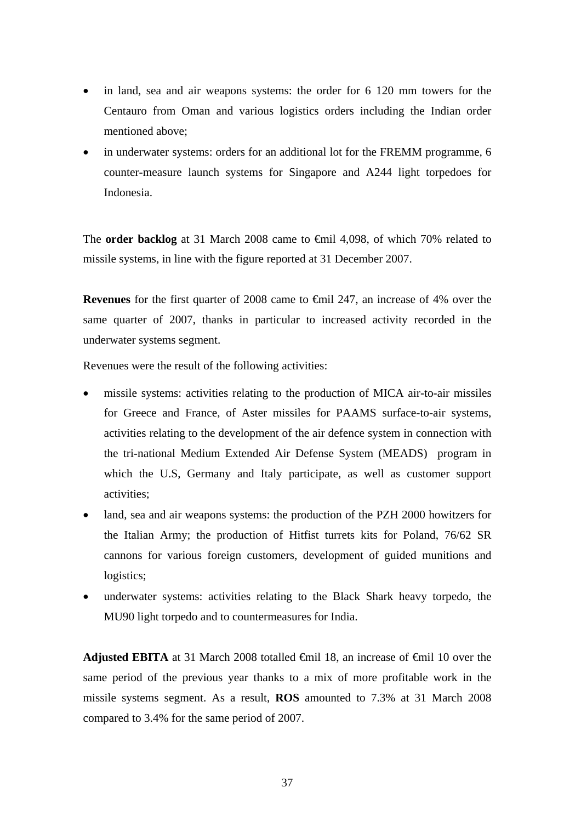- in land, sea and air weapons systems: the order for 6 120 mm towers for the Centauro from Oman and various logistics orders including the Indian order mentioned above;
- in underwater systems: orders for an additional lot for the FREMM programme, 6 counter-measure launch systems for Singapore and A244 light torpedoes for Indonesia.

The **order backlog** at 31 March 2008 came to €mil 4,098, of which 70% related to missile systems, in line with the figure reported at 31 December 2007.

**Revenues** for the first quarter of 2008 came to €mil 247, an increase of 4% over the same quarter of 2007, thanks in particular to increased activity recorded in the underwater systems segment.

Revenues were the result of the following activities:

- missile systems: activities relating to the production of MICA air-to-air missiles for Greece and France, of Aster missiles for PAAMS surface-to-air systems, activities relating to the development of the air defence system in connection with the tri-national Medium Extended Air Defense System (MEADS)program in which the U.S, Germany and Italy participate, as well as customer support activities;
- land, sea and air weapons systems: the production of the PZH 2000 howitzers for the Italian Army; the production of Hitfist turrets kits for Poland, 76/62 SR cannons for various foreign customers, development of guided munitions and logistics;
- underwater systems: activities relating to the Black Shark heavy torpedo, the MU90 light torpedo and to countermeasures for India.

**Adjusted EBITA** at 31 March 2008 totalled <del>€</del>mil 18, an increase of €mil 10 over the same period of the previous year thanks to a mix of more profitable work in the missile systems segment. As a result, **ROS** amounted to 7.3% at 31 March 2008 compared to 3.4% for the same period of 2007.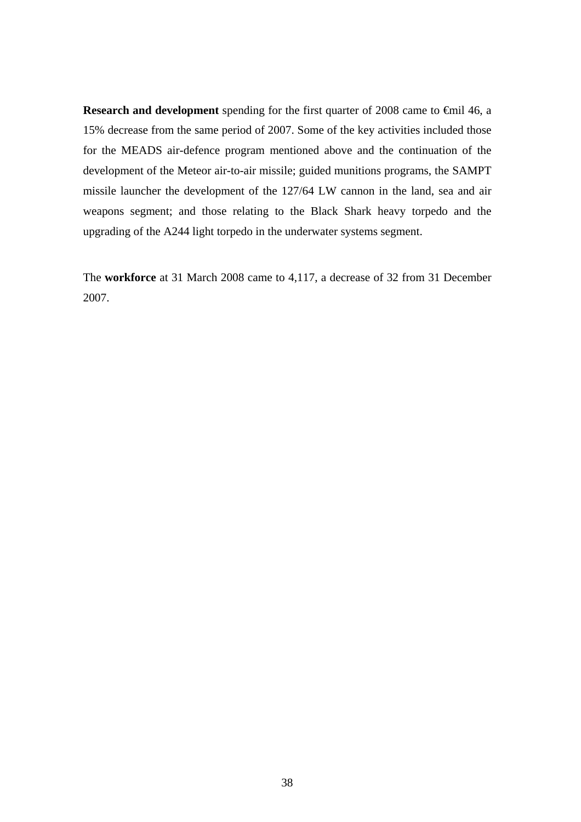**Research and development** spending for the first quarter of 2008 came to €mil 46, a 15% decrease from the same period of 2007. Some of the key activities included those for the MEADS air-defence program mentioned above and the continuation of the development of the Meteor air-to-air missile; guided munitions programs, the SAMPT missile launcher the development of the 127/64 LW cannon in the land, sea and air weapons segment; and those relating to the Black Shark heavy torpedo and the upgrading of the A244 light torpedo in the underwater systems segment.

The **workforce** at 31 March 2008 came to 4,117, a decrease of 32 from 31 December 2007.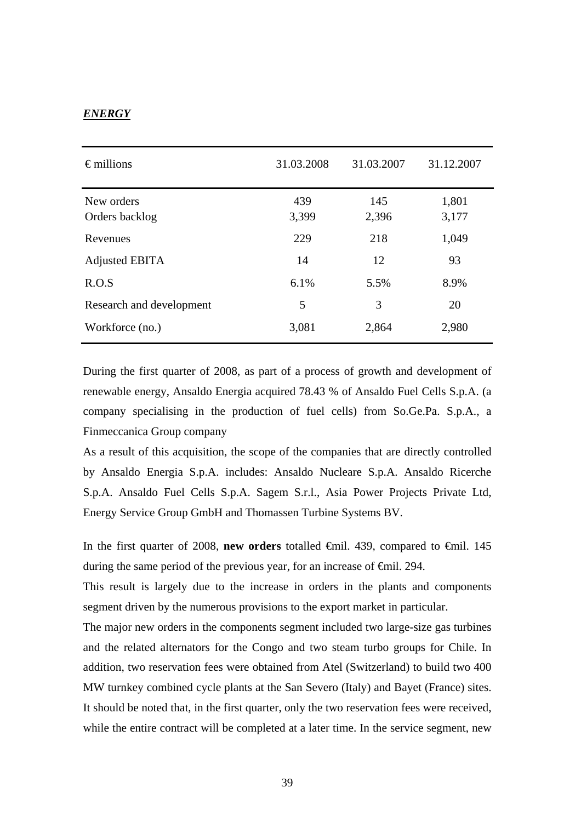#### *ENERGY*

| $\epsilon$ millions          | 31.03.2008   | 31.03.2007   | 31.12.2007     |
|------------------------------|--------------|--------------|----------------|
| New orders<br>Orders backlog | 439<br>3,399 | 145<br>2,396 | 1,801<br>3,177 |
| Revenues                     | 229          | 218          | 1,049          |
| Adjusted EBITA               | 14           | 12           | 93             |
| R.O.S                        | 6.1%         | 5.5%         | 8.9%           |
| Research and development     | 5            | 3            | 20             |
| Workforce (no.)              | 3,081        | 2,864        | 2,980          |

During the first quarter of 2008, as part of a process of growth and development of renewable energy, Ansaldo Energia acquired 78.43 % of Ansaldo Fuel Cells S.p.A. (a company specialising in the production of fuel cells) from So.Ge.Pa. S.p.A., a Finmeccanica Group company

As a result of this acquisition, the scope of the companies that are directly controlled by Ansaldo Energia S.p.A. includes: Ansaldo Nucleare S.p.A. Ansaldo Ricerche S.p.A. Ansaldo Fuel Cells S.p.A. Sagem S.r.l., Asia Power Projects Private Ltd, Energy Service Group GmbH and Thomassen Turbine Systems BV.

In the first quarter of 2008, **new orders** totalled €mil. 439, compared to €mil. 145 during the same period of the previous year, for an increase of <del>€mil</del>. 294.

This result is largely due to the increase in orders in the plants and components segment driven by the numerous provisions to the export market in particular.

The major new orders in the components segment included two large-size gas turbines and the related alternators for the Congo and two steam turbo groups for Chile. In addition, two reservation fees were obtained from Atel (Switzerland) to build two 400 MW turnkey combined cycle plants at the San Severo (Italy) and Bayet (France) sites. It should be noted that, in the first quarter, only the two reservation fees were received, while the entire contract will be completed at a later time. In the service segment, new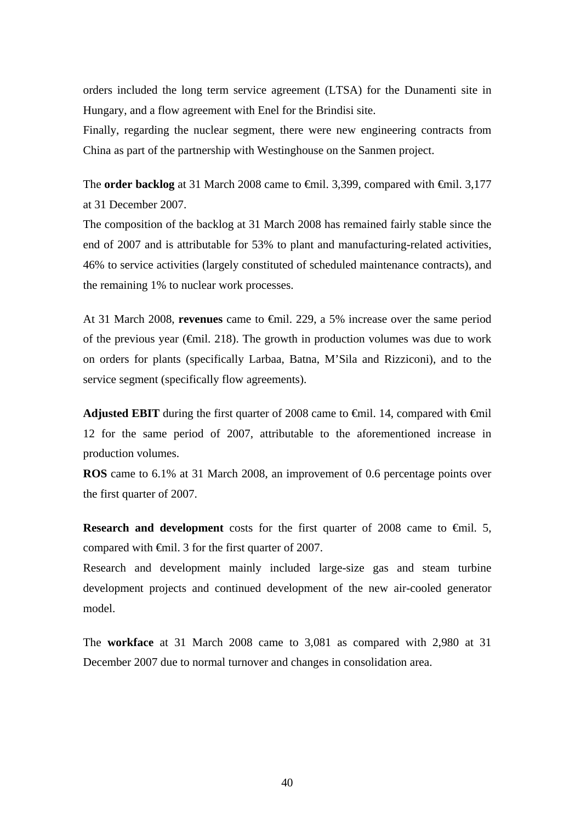orders included the long term service agreement (LTSA) for the Dunamenti site in Hungary, and a flow agreement with Enel for the Brindisi site.

Finally, regarding the nuclear segment, there were new engineering contracts from China as part of the partnership with Westinghouse on the Sanmen project.

The **order backlog** at 31 March 2008 came to <del>€</del>mil. 3,399, compared with <del>€</del>mil. 3,177 at 31 December 2007.

The composition of the backlog at 31 March 2008 has remained fairly stable since the end of 2007 and is attributable for 53% to plant and manufacturing-related activities, 46% to service activities (largely constituted of scheduled maintenance contracts), and the remaining 1% to nuclear work processes.

At 31 March 2008, **revenues** came to €mil. 229, a 5% increase over the same period of the previous year ( $\epsilon$ mil. 218). The growth in production volumes was due to work on orders for plants (specifically Larbaa, Batna, M'Sila and Rizziconi), and to the service segment (specifically flow agreements).

**Adjusted EBIT** during the first quarter of 2008 came to <del>€</del>mil. 14, compared with <del>€</del>mil 12 for the same period of 2007, attributable to the aforementioned increase in production volumes.

**ROS** came to 6.1% at 31 March 2008, an improvement of 0.6 percentage points over the first quarter of 2007.

**Research and development** costs for the first quarter of 2008 came to €mil. 5, compared with €mil. 3 for the first quarter of 2007.

Research and development mainly included large-size gas and steam turbine development projects and continued development of the new air-cooled generator model.

The **workface** at 31 March 2008 came to 3,081 as compared with 2,980 at 31 December 2007 due to normal turnover and changes in consolidation area.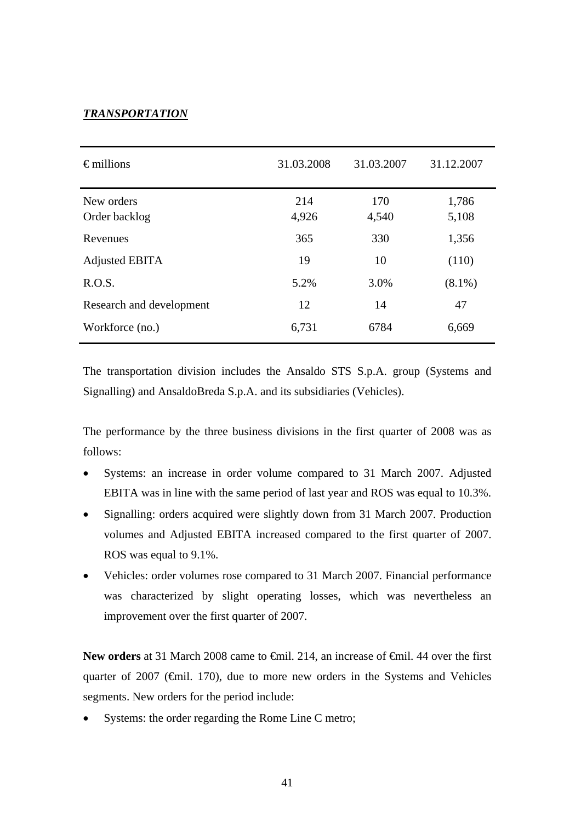#### *TRANSPORTATION*

| $\epsilon$ millions         | 31.03.2008   | 31.03.2007   | 31.12.2007     |
|-----------------------------|--------------|--------------|----------------|
| New orders<br>Order backlog | 214<br>4,926 | 170<br>4,540 | 1,786<br>5,108 |
| Revenues                    | 365          | 330          | 1,356          |
| Adjusted EBITA              | 19           | 10           | (110)          |
| R.O.S.                      | 5.2%         | 3.0%         | $(8.1\%)$      |
| Research and development    | 12           | 14           | 47             |
| Workforce (no.)             | 6,731        | 6784         | 6,669          |

The transportation division includes the Ansaldo STS S.p.A. group (Systems and Signalling) and AnsaldoBreda S.p.A. and its subsidiaries (Vehicles).

The performance by the three business divisions in the first quarter of 2008 was as follows:

- Systems: an increase in order volume compared to 31 March 2007. Adjusted EBITA was in line with the same period of last year and ROS was equal to 10.3%.
- Signalling: orders acquired were slightly down from 31 March 2007. Production volumes and Adjusted EBITA increased compared to the first quarter of 2007. ROS was equal to 9.1%.
- Vehicles: order volumes rose compared to 31 March 2007. Financial performance was characterized by slight operating losses, which was nevertheless an improvement over the first quarter of 2007.

New orders at 31 March 2008 came to <del>€</del>mil. 214, an increase of <del>€</del>mil. 44 over the first quarter of 2007 (€mil. 170), due to more new orders in the Systems and Vehicles segments. New orders for the period include:

Systems: the order regarding the Rome Line C metro;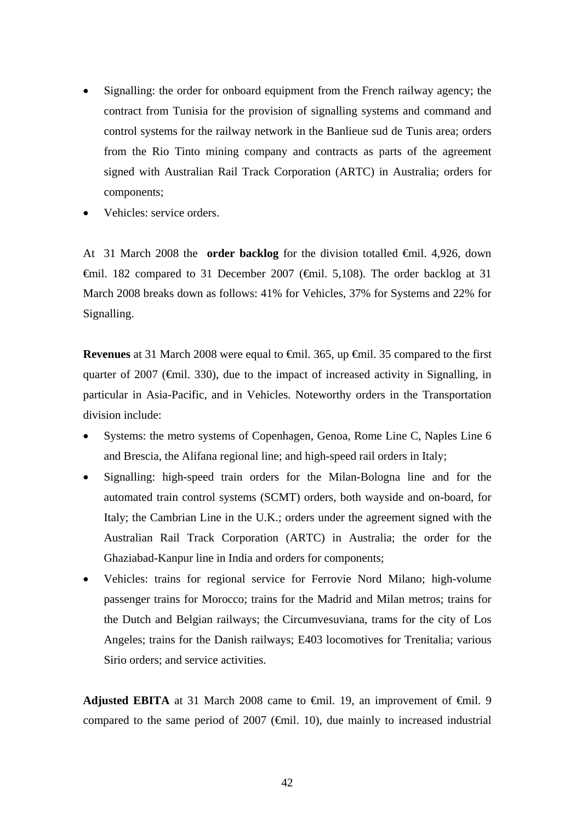- Signalling: the order for onboard equipment from the French railway agency; the contract from Tunisia for the provision of signalling systems and command and control systems for the railway network in the Banlieue sud de Tunis area; orders from the Rio Tinto mining company and contracts as parts of the agreement signed with Australian Rail Track Corporation (ARTC) in Australia; orders for components;
- Vehicles: service orders.

At 31 March 2008 the **order backlog** for the division totalled €mil. 4,926, down  $\theta$ mil. 182 compared to 31 December 2007 ( $\theta$ mil. 5,108). The order backlog at 31 March 2008 breaks down as follows: 41% for Vehicles, 37% for Systems and 22% for Signalling.

**Revenues** at 31 March 2008 were equal to €mil. 365, up €mil. 35 compared to the first quarter of 2007 ( $\epsilon$ mil. 330), due to the impact of increased activity in Signalling, in particular in Asia-Pacific, and in Vehicles. Noteworthy orders in the Transportation division include:

- Systems: the metro systems of Copenhagen, Genoa, Rome Line C, Naples Line 6 and Brescia, the Alifana regional line; and high-speed rail orders in Italy;
- Signalling: high-speed train orders for the Milan-Bologna line and for the automated train control systems (SCMT) orders, both wayside and on-board, for Italy; the Cambrian Line in the U.K.; orders under the agreement signed with the Australian Rail Track Corporation (ARTC) in Australia; the order for the Ghaziabad-Kanpur line in India and orders for components;
- Vehicles: trains for regional service for Ferrovie Nord Milano; high-volume passenger trains for Morocco; trains for the Madrid and Milan metros; trains for the Dutch and Belgian railways; the Circumvesuviana, trams for the city of Los Angeles; trains for the Danish railways; E403 locomotives for Trenitalia; various Sirio orders; and service activities.

**Adjusted EBITA** at 31 March 2008 came to €mil. 19, an improvement of €mil. 9 compared to the same period of 2007 ( $\epsilon$ mil. 10), due mainly to increased industrial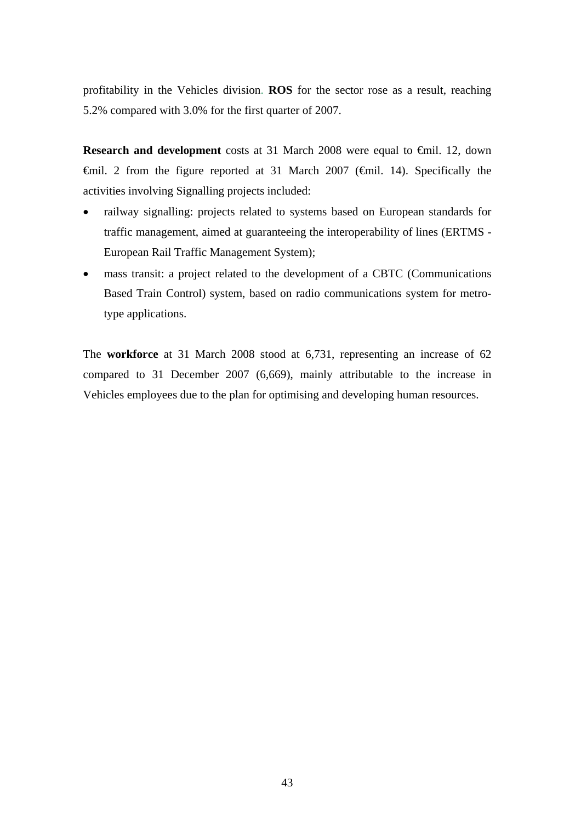profitability in the Vehicles division. **ROS** for the sector rose as a result, reaching 5.2% compared with 3.0% for the first quarter of 2007.

**Research and development** costs at 31 March 2008 were equal to €mil. 12, down €mil. 2 from the figure reported at 31 March 2007 (€mil. 14). Specifically the activities involving Signalling projects included:

- railway signalling: projects related to systems based on European standards for traffic management, aimed at guaranteeing the interoperability of lines (ERTMS - European Rail Traffic Management System);
- mass transit: a project related to the development of a CBTC (Communications Based Train Control) system, based on radio communications system for metrotype applications.

The **workforce** at 31 March 2008 stood at 6,731, representing an increase of 62 compared to 31 December 2007 (6,669), mainly attributable to the increase in Vehicles employees due to the plan for optimising and developing human resources.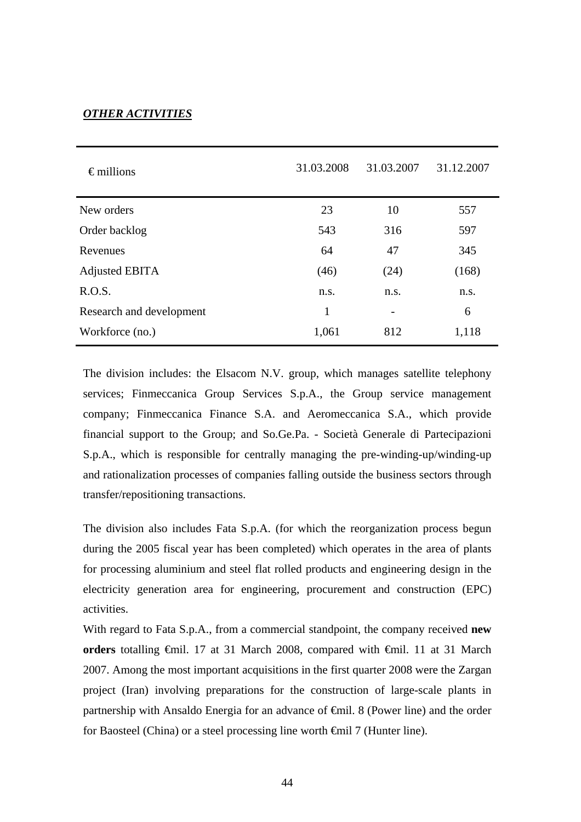#### *OTHER ACTIVITIES*

| $\epsilon$ millions      | 31.03.2008 | 31.03.2007 | 31.12.2007 |
|--------------------------|------------|------------|------------|
| New orders               | 23         | 10         | 557        |
| Order backlog            | 543        | 316        | 597        |
| Revenues                 | 64         | 47         | 345        |
| Adjusted EBITA           | (46)       | (24)       | (168)      |
| R.O.S.                   | n.s.       | n.s.       | n.s.       |
| Research and development | 1          | -          | 6          |
| Workforce (no.)          | 1,061      | 812        | 1,118      |

The division includes: the Elsacom N.V. group, which manages satellite telephony services; Finmeccanica Group Services S.p.A., the Group service management company; Finmeccanica Finance S.A. and Aeromeccanica S.A., which provide financial support to the Group; and So.Ge.Pa. - Società Generale di Partecipazioni S.p.A., which is responsible for centrally managing the pre-winding-up/winding-up and rationalization processes of companies falling outside the business sectors through transfer/repositioning transactions.

The division also includes Fata S.p.A. (for which the reorganization process begun during the 2005 fiscal year has been completed) which operates in the area of plants for processing aluminium and steel flat rolled products and engineering design in the electricity generation area for engineering, procurement and construction (EPC) activities.

With regard to Fata S.p.A., from a commercial standpoint, the company received **new orders** totalling €mil. 17 at 31 March 2008, compared with €mil. 11 at 31 March 2007. Among the most important acquisitions in the first quarter 2008 were the Zargan project (Iran) involving preparations for the construction of large-scale plants in partnership with Ansaldo Energia for an advance of €mil. 8 (Power line) and the order for Baosteel (China) or a steel processing line worth €mil 7 (Hunter line).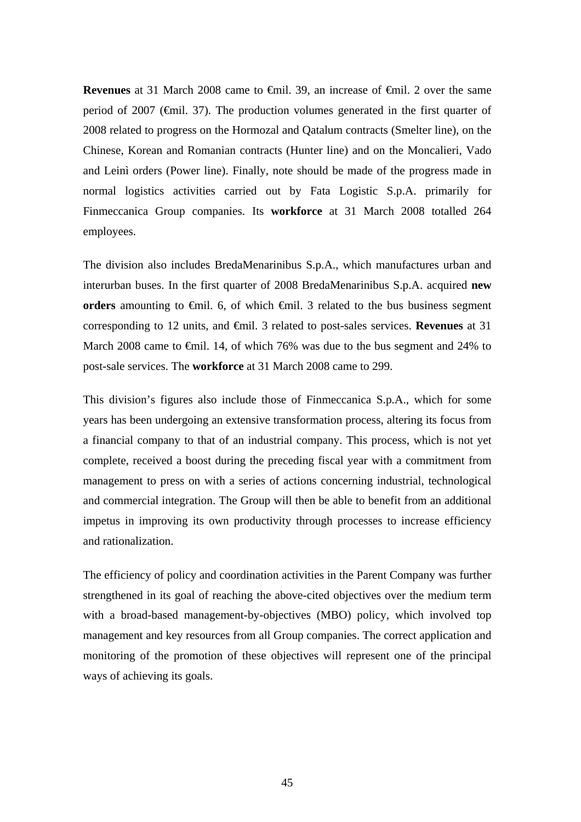**Revenues** at 31 March 2008 came to €mil. 39, an increase of €mil. 2 over the same period of 2007 (€mil. 37). The production volumes generated in the first quarter of 2008 related to progress on the Hormozal and Qatalum contracts (Smelter line), on the Chinese, Korean and Romanian contracts (Hunter line) and on the Moncalieri, Vado and Leinì orders (Power line). Finally, note should be made of the progress made in normal logistics activities carried out by Fata Logistic S.p.A. primarily for Finmeccanica Group companies. Its **workforce** at 31 March 2008 totalled 264 employees.

The division also includes BredaMenarinibus S.p.A., which manufactures urban and interurban buses. In the first quarter of 2008 BredaMenarinibus S.p.A. acquired **new orders** amounting to  $\oplus$ mil. 6, of which  $\oplus$ mil. 3 related to the bus business segment corresponding to 12 units, and €mil. 3 related to post-sales services. **Revenues** at 31 March 2008 came to €mil. 14, of which 76% was due to the bus segment and 24% to post-sale services. The **workforce** at 31 March 2008 came to 299.

This division's figures also include those of Finmeccanica S.p.A., which for some years has been undergoing an extensive transformation process, altering its focus from a financial company to that of an industrial company. This process, which is not yet complete, received a boost during the preceding fiscal year with a commitment from management to press on with a series of actions concerning industrial, technological and commercial integration. The Group will then be able to benefit from an additional impetus in improving its own productivity through processes to increase efficiency and rationalization.

The efficiency of policy and coordination activities in the Parent Company was further strengthened in its goal of reaching the above-cited objectives over the medium term with a broad-based management-by-objectives (MBO) policy, which involved top management and key resources from all Group companies. The correct application and monitoring of the promotion of these objectives will represent one of the principal ways of achieving its goals.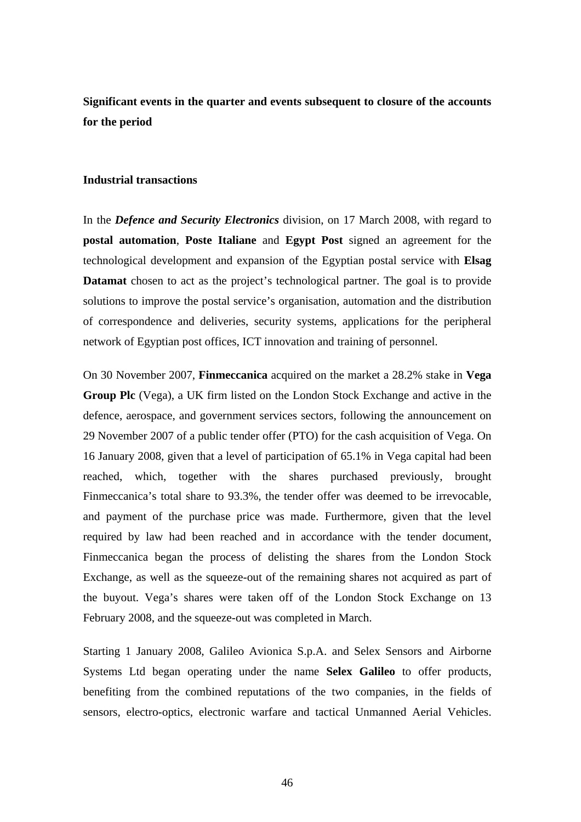**Significant events in the quarter and events subsequent to closure of the accounts for the period** 

#### **Industrial transactions**

In the *Defence and Security Electronics* division, on 17 March 2008, with regard to **postal automation**, **Poste Italiane** and **Egypt Post** signed an agreement for the technological development and expansion of the Egyptian postal service with **Elsag Datamat** chosen to act as the project's technological partner. The goal is to provide solutions to improve the postal service's organisation, automation and the distribution of correspondence and deliveries, security systems, applications for the peripheral network of Egyptian post offices, ICT innovation and training of personnel.

On 30 November 2007, **Finmeccanica** acquired on the market a 28.2% stake in **Vega Group Plc** (Vega), a UK firm listed on the London Stock Exchange and active in the defence, aerospace, and government services sectors, following the announcement on 29 November 2007 of a public tender offer (PTO) for the cash acquisition of Vega. On 16 January 2008, given that a level of participation of 65.1% in Vega capital had been reached, which, together with the shares purchased previously, brought Finmeccanica's total share to 93.3%, the tender offer was deemed to be irrevocable, and payment of the purchase price was made. Furthermore, given that the level required by law had been reached and in accordance with the tender document, Finmeccanica began the process of delisting the shares from the London Stock Exchange, as well as the squeeze-out of the remaining shares not acquired as part of the buyout. Vega's shares were taken off of the London Stock Exchange on 13 February 2008, and the squeeze-out was completed in March.

Starting 1 January 2008, Galileo Avionica S.p.A. and Selex Sensors and Airborne Systems Ltd began operating under the name **Selex Galileo** to offer products, benefiting from the combined reputations of the two companies, in the fields of sensors, electro-optics, electronic warfare and tactical Unmanned Aerial Vehicles.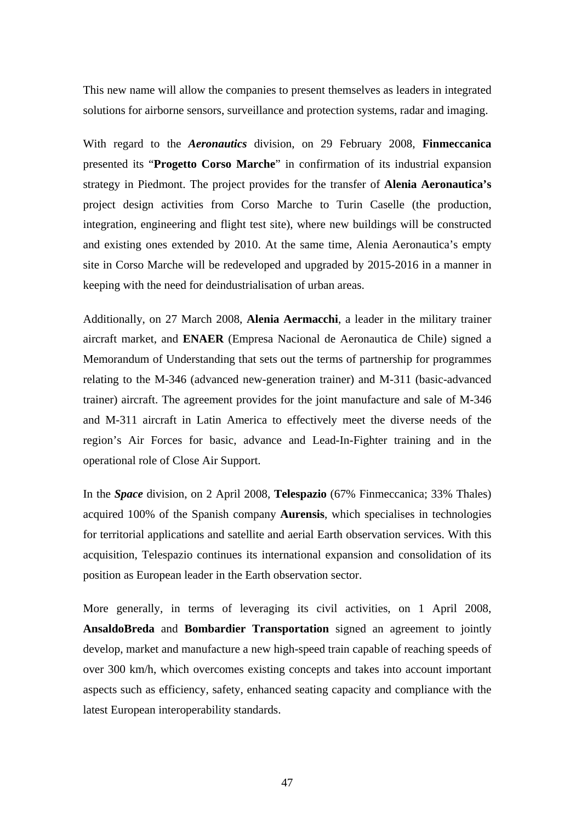This new name will allow the companies to present themselves as leaders in integrated solutions for airborne sensors, surveillance and protection systems, radar and imaging.

With regard to the *Aeronautics* division, on 29 February 2008, **Finmeccanica** presented its "**Progetto Corso Marche**" in confirmation of its industrial expansion strategy in Piedmont. The project provides for the transfer of **Alenia Aeronautica's** project design activities from Corso Marche to Turin Caselle (the production, integration, engineering and flight test site), where new buildings will be constructed and existing ones extended by 2010. At the same time, Alenia Aeronautica's empty site in Corso Marche will be redeveloped and upgraded by 2015-2016 in a manner in keeping with the need for deindustrialisation of urban areas.

Additionally, on 27 March 2008, **Alenia Aermacchi**, a leader in the military trainer aircraft market, and **ENAER** (Empresa Nacional de Aeronautica de Chile) signed a Memorandum of Understanding that sets out the terms of partnership for programmes relating to the M-346 (advanced new-generation trainer) and M-311 (basic-advanced trainer) aircraft. The agreement provides for the joint manufacture and sale of M-346 and M-311 aircraft in Latin America to effectively meet the diverse needs of the region's Air Forces for basic, advance and Lead-In-Fighter training and in the operational role of Close Air Support.

In the *Space* division, on 2 April 2008, **Telespazio** (67% Finmeccanica; 33% Thales) acquired 100% of the Spanish company **Aurensis**, which specialises in technologies for territorial applications and satellite and aerial Earth observation services. With this acquisition, Telespazio continues its international expansion and consolidation of its position as European leader in the Earth observation sector.

More generally, in terms of leveraging its civil activities, on 1 April 2008, **AnsaldoBreda** and **Bombardier Transportation** signed an agreement to jointly develop, market and manufacture a new high-speed train capable of reaching speeds of over 300 km/h, which overcomes existing concepts and takes into account important aspects such as efficiency, safety, enhanced seating capacity and compliance with the latest European interoperability standards.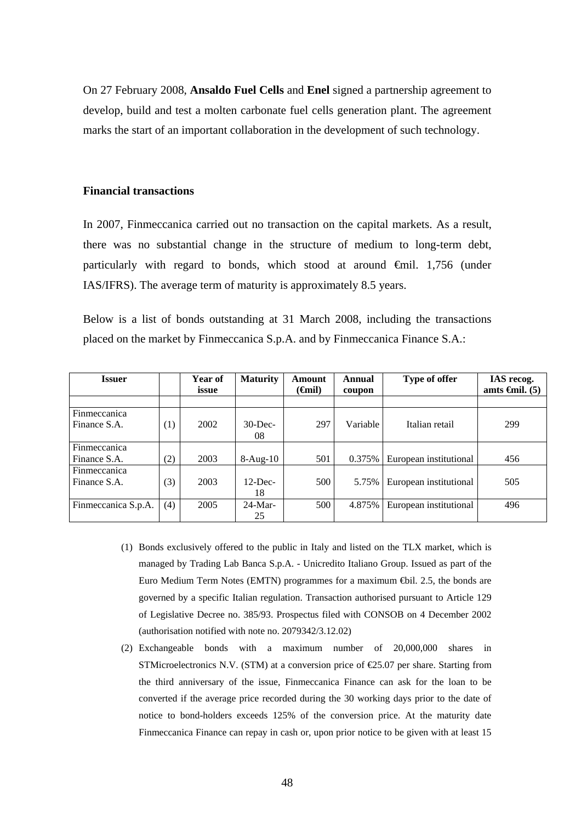On 27 February 2008, **Ansaldo Fuel Cells** and **Enel** signed a partnership agreement to develop, build and test a molten carbonate fuel cells generation plant. The agreement marks the start of an important collaboration in the development of such technology.

#### **Financial transactions**

In 2007, Finmeccanica carried out no transaction on the capital markets. As a result, there was no substantial change in the structure of medium to long-term debt, particularly with regard to bonds, which stood at around €mil. 1,756 (under IAS/IFRS). The average term of maturity is approximately 8.5 years.

Below is a list of bonds outstanding at 31 March 2008, including the transactions placed on the market by Finmeccanica S.p.A. and by Finmeccanica Finance S.A.:

| <b>Issuer</b>                       |     | Year of<br>issue | <b>Maturity</b>  | Amount<br>( <del>G</del> nil) | Annual<br>coupon | Type of offer          | IAS recog.<br>amts $\epsilon$ mil. (5) |
|-------------------------------------|-----|------------------|------------------|-------------------------------|------------------|------------------------|----------------------------------------|
|                                     |     |                  |                  |                               |                  |                        |                                        |
| Finmeccanica<br>Finance S.A.        | (1) | 2002             | $30$ -Dec-<br>08 | 297                           | Variable         | Italian retail         | 299                                    |
| Finmeccanica                        |     |                  |                  |                               |                  |                        |                                        |
| Finance S.A.                        | (2) | 2003             | $8-Aug-10$       | 501                           | 0.375%           | European institutional | 456                                    |
| <b>Finmeccanica</b><br>Finance S.A. | (3) | 2003             | $12$ -Dec-<br>18 | 500                           | 5.75%            | European institutional | 505                                    |
| Finmeccanica S.p.A.                 | (4) | 2005             | $24$ -Mar-<br>25 | 500                           | 4.875%           | European institutional | 496                                    |

- (1) Bonds exclusively offered to the public in Italy and listed on the TLX market, which is managed by Trading Lab Banca S.p.A. - Unicredito Italiano Group. Issued as part of the Euro Medium Term Notes (EMTN) programmes for a maximum €bil. 2.5, the bonds are governed by a specific Italian regulation. Transaction authorised pursuant to Article 129 of Legislative Decree no. 385/93. Prospectus filed with CONSOB on 4 December 2002 (authorisation notified with note no. 2079342/3.12.02)
- (2) Exchangeable bonds with a maximum number of 20,000,000 shares in STMicroelectronics N.V. (STM) at a conversion price of  $\epsilon$ 25.07 per share. Starting from the third anniversary of the issue, Finmeccanica Finance can ask for the loan to be converted if the average price recorded during the 30 working days prior to the date of notice to bond-holders exceeds 125% of the conversion price. At the maturity date Finmeccanica Finance can repay in cash or, upon prior notice to be given with at least 15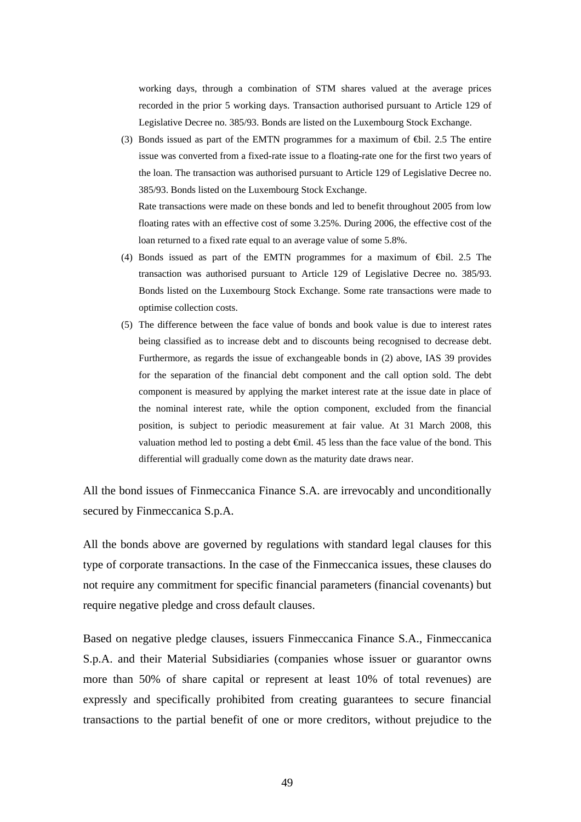working days, through a combination of STM shares valued at the average prices recorded in the prior 5 working days. Transaction authorised pursuant to Article 129 of Legislative Decree no. 385/93. Bonds are listed on the Luxembourg Stock Exchange.

(3) Bonds issued as part of the EMTN programmes for a maximum of €bil. 2.5 The entire issue was converted from a fixed-rate issue to a floating-rate one for the first two years of the loan. The transaction was authorised pursuant to Article 129 of Legislative Decree no. 385/93. Bonds listed on the Luxembourg Stock Exchange.

Rate transactions were made on these bonds and led to benefit throughout 2005 from low floating rates with an effective cost of some 3.25%. During 2006, the effective cost of the loan returned to a fixed rate equal to an average value of some 5.8%.

- (4) Bonds issued as part of the EMTN programmes for a maximum of €bil. 2.5 The transaction was authorised pursuant to Article 129 of Legislative Decree no. 385/93. Bonds listed on the Luxembourg Stock Exchange. Some rate transactions were made to optimise collection costs.
- (5) The difference between the face value of bonds and book value is due to interest rates being classified as to increase debt and to discounts being recognised to decrease debt. Furthermore, as regards the issue of exchangeable bonds in (2) above, IAS 39 provides for the separation of the financial debt component and the call option sold. The debt component is measured by applying the market interest rate at the issue date in place of the nominal interest rate, while the option component, excluded from the financial position, is subject to periodic measurement at fair value. At 31 March 2008, this valuation method led to posting a debt  $\bigoplus$  il. 45 less than the face value of the bond. This differential will gradually come down as the maturity date draws near.

All the bond issues of Finmeccanica Finance S.A. are irrevocably and unconditionally secured by Finmeccanica S.p.A.

All the bonds above are governed by regulations with standard legal clauses for this type of corporate transactions. In the case of the Finmeccanica issues, these clauses do not require any commitment for specific financial parameters (financial covenants) but require negative pledge and cross default clauses.

Based on negative pledge clauses, issuers Finmeccanica Finance S.A., Finmeccanica S.p.A. and their Material Subsidiaries (companies whose issuer or guarantor owns more than 50% of share capital or represent at least 10% of total revenues) are expressly and specifically prohibited from creating guarantees to secure financial transactions to the partial benefit of one or more creditors, without prejudice to the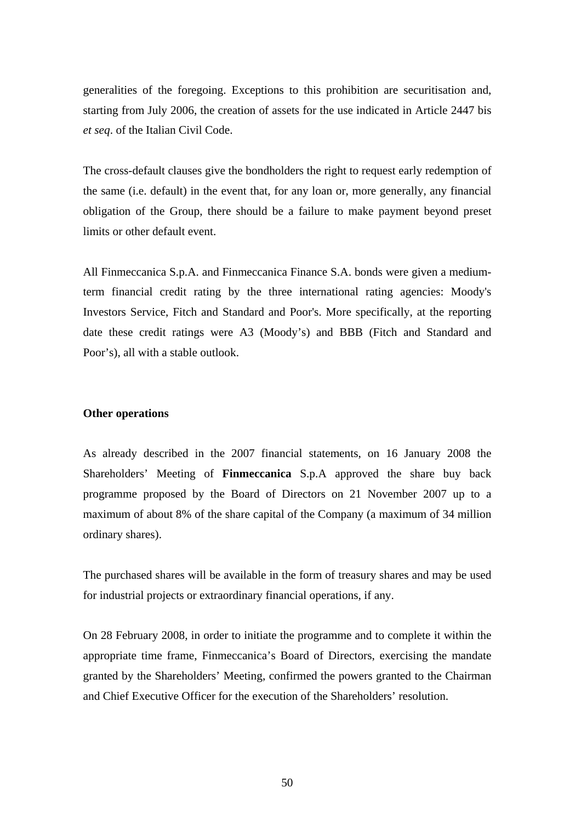generalities of the foregoing. Exceptions to this prohibition are securitisation and, starting from July 2006, the creation of assets for the use indicated in Article 2447 bis *et seq*. of the Italian Civil Code.

The cross-default clauses give the bondholders the right to request early redemption of the same (i.e. default) in the event that, for any loan or, more generally, any financial obligation of the Group, there should be a failure to make payment beyond preset limits or other default event.

All Finmeccanica S.p.A. and Finmeccanica Finance S.A. bonds were given a mediumterm financial credit rating by the three international rating agencies: Moody's Investors Service, Fitch and Standard and Poor's. More specifically, at the reporting date these credit ratings were A3 (Moody's) and BBB (Fitch and Standard and Poor's), all with a stable outlook.

#### **Other operations**

As already described in the 2007 financial statements, on 16 January 2008 the Shareholders' Meeting of **Finmeccanica** S.p.A approved the share buy back programme proposed by the Board of Directors on 21 November 2007 up to a maximum of about 8% of the share capital of the Company (a maximum of 34 million ordinary shares).

The purchased shares will be available in the form of treasury shares and may be used for industrial projects or extraordinary financial operations, if any.

On 28 February 2008, in order to initiate the programme and to complete it within the appropriate time frame, Finmeccanica's Board of Directors, exercising the mandate granted by the Shareholders' Meeting, confirmed the powers granted to the Chairman and Chief Executive Officer for the execution of the Shareholders' resolution.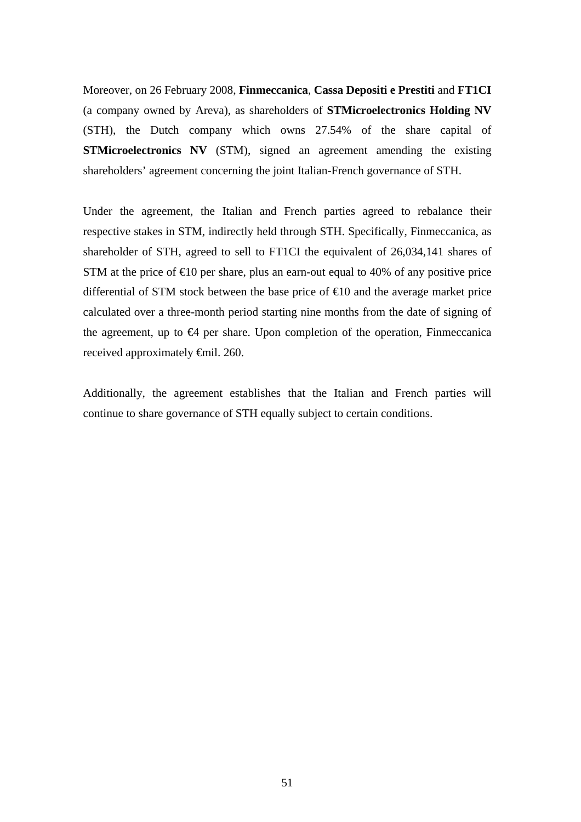Moreover, on 26 February 2008, **Finmeccanica**, **Cassa Depositi e Prestiti** and **FT1CI** (a company owned by Areva), as shareholders of **STMicroelectronics Holding NV** (STH), the Dutch company which owns 27.54% of the share capital of **STMicroelectronics NV** (STM), signed an agreement amending the existing shareholders' agreement concerning the joint Italian-French governance of STH.

Under the agreement, the Italian and French parties agreed to rebalance their respective stakes in STM, indirectly held through STH. Specifically, Finmeccanica, as shareholder of STH, agreed to sell to FT1CI the equivalent of 26,034,141 shares of STM at the price of  $\epsilon 10$  per share, plus an earn-out equal to 40% of any positive price differential of STM stock between the base price of  $\epsilon$ 10 and the average market price calculated over a three-month period starting nine months from the date of signing of the agreement, up to  $\Theta$  per share. Upon completion of the operation, Finmeccanica received approximately €mil. 260.

Additionally, the agreement establishes that the Italian and French parties will continue to share governance of STH equally subject to certain conditions.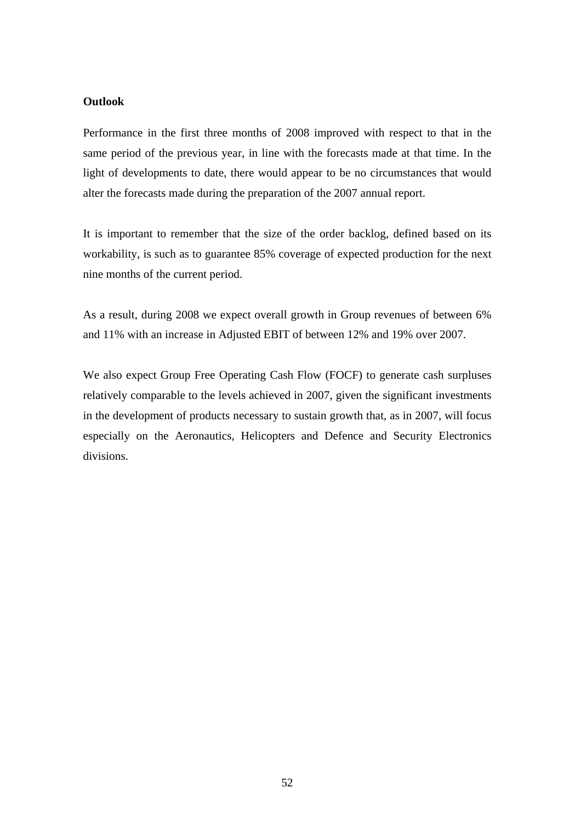#### **Outlook**

Performance in the first three months of 2008 improved with respect to that in the same period of the previous year, in line with the forecasts made at that time. In the light of developments to date, there would appear to be no circumstances that would alter the forecasts made during the preparation of the 2007 annual report.

It is important to remember that the size of the order backlog, defined based on its workability, is such as to guarantee 85% coverage of expected production for the next nine months of the current period.

As a result, during 2008 we expect overall growth in Group revenues of between 6% and 11% with an increase in Adjusted EBIT of between 12% and 19% over 2007.

We also expect Group Free Operating Cash Flow (FOCF) to generate cash surpluses relatively comparable to the levels achieved in 2007, given the significant investments in the development of products necessary to sustain growth that, as in 2007, will focus especially on the Aeronautics, Helicopters and Defence and Security Electronics divisions.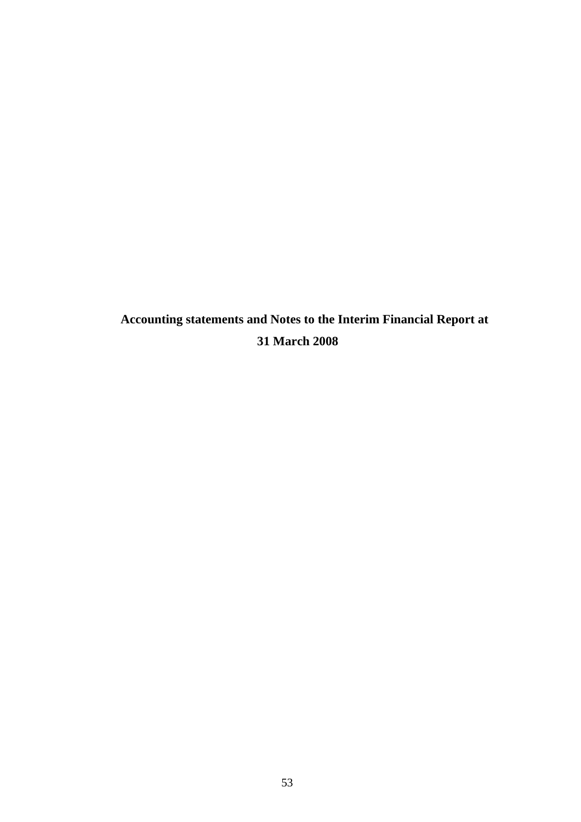**Accounting statements and Notes to the Interim Financial Report at 31 March 2008**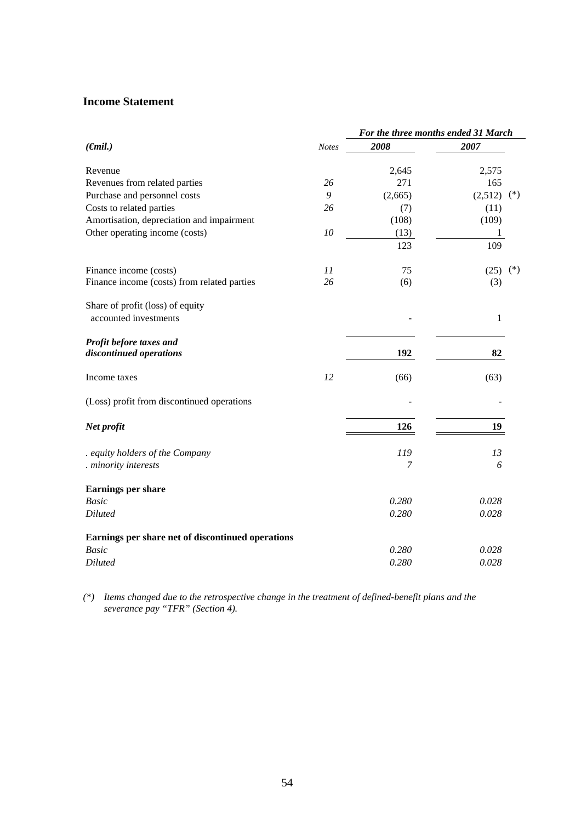#### **Income Statement**

|                                                           | For the three months ended 31 March |         |                  |
|-----------------------------------------------------------|-------------------------------------|---------|------------------|
| $(\epsilon mil.)$                                         | <b>Notes</b>                        | 2008    | 2007             |
|                                                           |                                     |         |                  |
| Revenue                                                   |                                     | 2,645   | 2,575            |
| Revenues from related parties                             | 26                                  | 271     | 165              |
| Purchase and personnel costs                              | 9                                   | (2,665) | (2,512)<br>$(*)$ |
| Costs to related parties                                  | 26                                  | (7)     | (11)             |
| Amortisation, depreciation and impairment                 |                                     | (108)   | (109)            |
| Other operating income (costs)                            | 10                                  | (13)    | 1                |
|                                                           |                                     | 123     | 109              |
| Finance income (costs)                                    | 11                                  | 75      | $(*)$<br>(25)    |
| Finance income (costs) from related parties               | 26                                  | (6)     | (3)              |
| Share of profit (loss) of equity<br>accounted investments |                                     |         | 1                |
|                                                           |                                     |         |                  |
| Profit before taxes and<br>discontinued operations        |                                     | 192     | 82               |
|                                                           |                                     |         |                  |
| Income taxes                                              | 12                                  | (66)    | (63)             |
| (Loss) profit from discontinued operations                |                                     |         |                  |
| Net profit                                                |                                     | 126     | 19               |
| . equity holders of the Company                           |                                     | 119     | 13               |
| . minority interests                                      |                                     | 7       | 6                |
| <b>Earnings per share</b>                                 |                                     |         |                  |
| <b>Basic</b>                                              |                                     | 0.280   | 0.028            |
| <b>Diluted</b>                                            |                                     | 0.280   | 0.028            |
| Earnings per share net of discontinued operations         |                                     |         |                  |
| <b>Basic</b>                                              |                                     | 0.280   | 0.028            |
| <b>Diluted</b>                                            |                                     | 0.280   | 0.028            |

*(\*) Items changed due to the retrospective change in the treatment of defined-benefit plans and the severance pay "TFR" (Section 4).*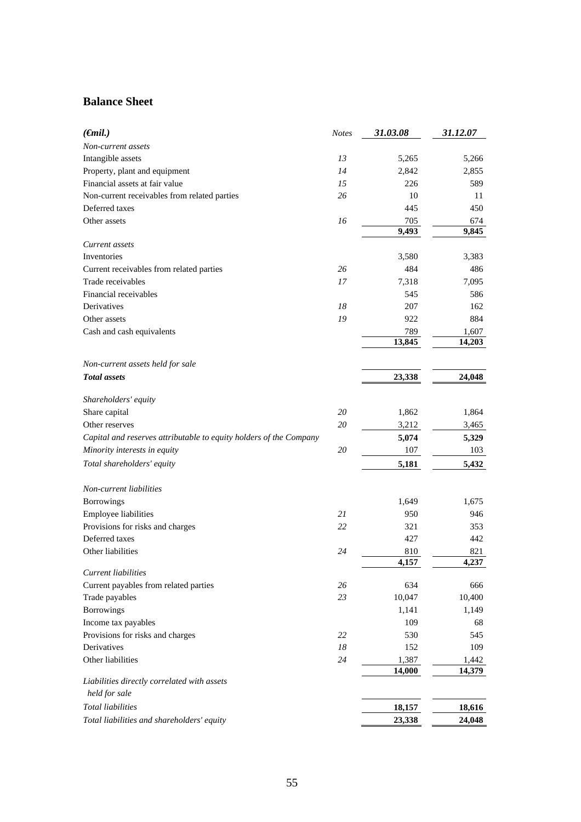## **Balance Sheet**

| $(\epsilon mil.)$                                                  | <b>Notes</b> | 31.03.08 | 31.12.07 |
|--------------------------------------------------------------------|--------------|----------|----------|
| Non-current assets                                                 |              |          |          |
| Intangible assets                                                  | 13           | 5,265    | 5,266    |
| Property, plant and equipment                                      | 14           | 2,842    | 2,855    |
| Financial assets at fair value                                     | 15           | 226      | 589      |
| Non-current receivables from related parties                       | 26           | 10       | 11       |
| Deferred taxes                                                     |              | 445      | 450      |
| Other assets                                                       | 16           | 705      | 674      |
|                                                                    |              | 9,493    | 9,845    |
| Current assets                                                     |              |          |          |
| Inventories                                                        |              | 3,580    | 3,383    |
| Current receivables from related parties                           | 26           | 484      | 486      |
| Trade receivables                                                  | 17           | 7,318    | 7,095    |
| Financial receivables                                              |              | 545      | 586      |
| Derivatives                                                        | 18           | 207      | 162      |
| Other assets                                                       | 19           | 922      | 884      |
| Cash and cash equivalents                                          |              | 789      | 1,607    |
|                                                                    |              | 13,845   | 14,203   |
|                                                                    |              |          |          |
| Non-current assets held for sale                                   |              |          |          |
| <b>Total assets</b>                                                |              | 23,338   | 24,048   |
|                                                                    |              |          |          |
| Shareholders' equity<br>Share capital                              | 20           | 1,862    | 1,864    |
|                                                                    |              |          |          |
| Other reserves                                                     | 20           | 3,212    | 3,465    |
| Capital and reserves attributable to equity holders of the Company |              | 5,074    | 5,329    |
| Minority interests in equity                                       | 20           | 107      | 103      |
| Total shareholders' equity                                         |              | 5,181    | 5,432    |
| Non-current liabilities                                            |              |          |          |
| <b>Borrowings</b>                                                  |              | 1,649    | 1,675    |
| <b>Employee liabilities</b>                                        | 21           | 950      | 946      |
| Provisions for risks and charges                                   | 22           | 321      | 353      |
| Deferred taxes                                                     |              | 427      | 442      |
| Other liabilities                                                  | 24           | 810      | 821      |
|                                                                    |              | 4,157    | 4,237    |
| Current liabilities                                                |              |          |          |
| Current payables from related parties                              | 26           | 634      | 666      |
| Trade payables                                                     | 23           | 10,047   | 10,400   |
| <b>Borrowings</b>                                                  |              | 1,141    | 1,149    |
| Income tax payables                                                |              | 109      | 68       |
| Provisions for risks and charges                                   | 22           | 530      | 545      |
| Derivatives                                                        | 18           | 152      | 109      |
| Other liabilities                                                  | 24           | 1,387    | 1,442    |
| Liabilities directly correlated with assets                        |              | 14,000   | 14,379   |
| held for sale                                                      |              |          |          |
| <b>Total liabilities</b>                                           |              |          |          |
|                                                                    |              | 18,157   | 18,616   |
| Total liabilities and shareholders' equity                         |              | 23,338   | 24,048   |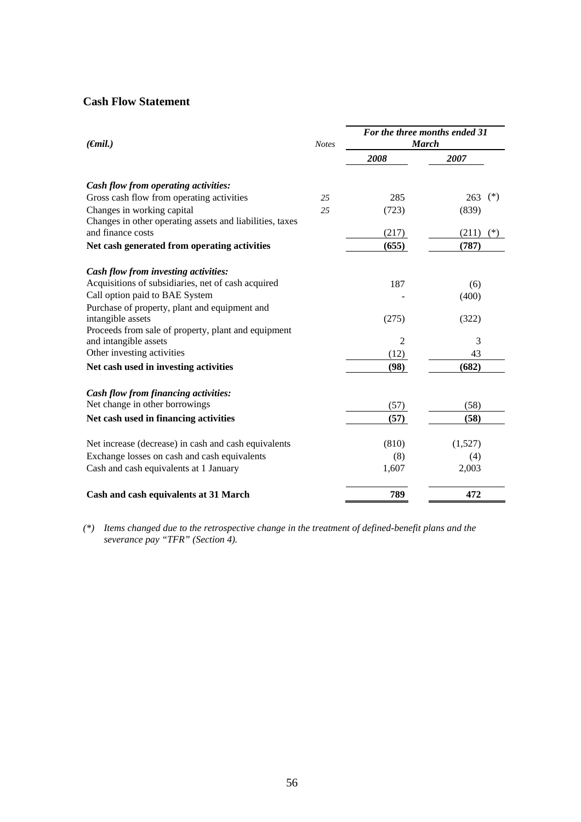## **Cash Flow Statement**

| $(\epsilon mil.)$                                        | <b>Notes</b> | For the three months ended 31<br><b>March</b> |                |  |  |
|----------------------------------------------------------|--------------|-----------------------------------------------|----------------|--|--|
|                                                          |              | 2008                                          | 2007           |  |  |
| Cash flow from operating activities:                     |              |                                               |                |  |  |
| Gross cash flow from operating activities                | 25           | 285                                           | $(*)$<br>263   |  |  |
| Changes in working capital                               | 25           | (723)                                         | (839)          |  |  |
| Changes in other operating assets and liabilities, taxes |              |                                               |                |  |  |
| and finance costs                                        |              | (217)                                         | (211)<br>$(*)$ |  |  |
| Net cash generated from operating activities             |              | (655)                                         | (787)          |  |  |
| Cash flow from investing activities:                     |              |                                               |                |  |  |
| Acquisitions of subsidiaries, net of cash acquired       |              | 187                                           | (6)            |  |  |
| Call option paid to BAE System                           |              |                                               | (400)          |  |  |
| Purchase of property, plant and equipment and            |              |                                               |                |  |  |
| intangible assets                                        |              | (275)                                         | (322)          |  |  |
| Proceeds from sale of property, plant and equipment      |              |                                               |                |  |  |
| and intangible assets                                    |              | 2                                             | 3              |  |  |
| Other investing activities                               |              | (12)                                          | 43             |  |  |
| Net cash used in investing activities                    |              | (98)                                          | (682)          |  |  |
| Cash flow from financing activities:                     |              |                                               |                |  |  |
| Net change in other borrowings                           |              | (57)                                          | (58)           |  |  |
| Net cash used in financing activities                    |              | (57)                                          | (58)           |  |  |
| Net increase (decrease) in cash and cash equivalents     |              | (810)                                         | (1,527)        |  |  |
| Exchange losses on cash and cash equivalents             |              | (8)                                           | (4)            |  |  |
| Cash and cash equivalents at 1 January                   |              | 1,607                                         | 2,003          |  |  |
| Cash and cash equivalents at 31 March                    |              | 789                                           | 472            |  |  |

*(\*) Items changed due to the retrospective change in the treatment of defined-benefit plans and the severance pay "TFR" (Section 4).*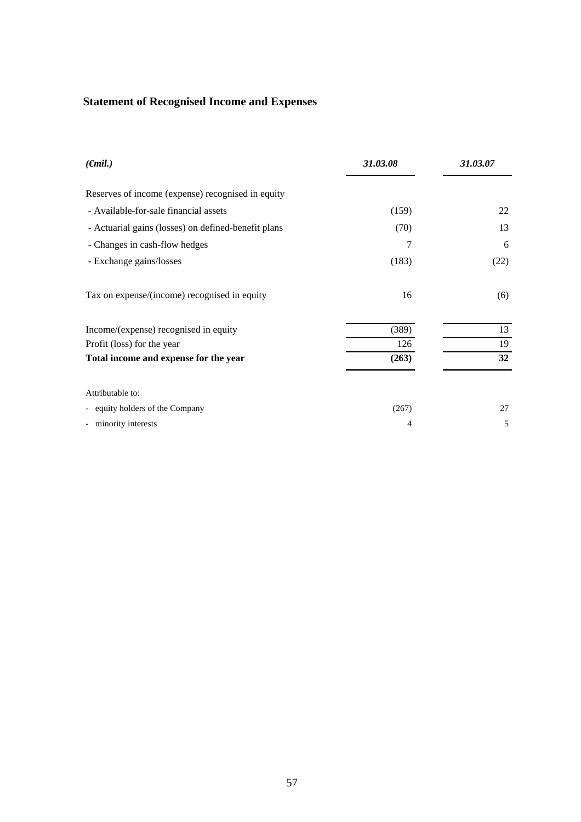## **Statement of Recognised Income and Expenses**

| $(\epsilon$ mil.)                                   | 31.03.08 | 31.03.07 |
|-----------------------------------------------------|----------|----------|
| Reserves of income (expense) recognised in equity   |          |          |
| - Available-for-sale financial assets               | (159)    | 22       |
| - Actuarial gains (losses) on defined-benefit plans | (70)     | 13       |
| - Changes in cash-flow hedges                       | 7        | 6        |
| - Exchange gains/losses                             | (183)    | (22)     |
| Tax on expense/(income) recognised in equity        | 16       | (6)      |
| Income/(expense) recognised in equity               | (389)    | 13       |
| Profit (loss) for the year                          | 126      | 19       |
| Total income and expense for the year               | (263)    | 32       |
| Attributable to:                                    |          |          |
| - equity holders of the Company                     | (267)    | 27       |
| - minority interests                                | 4        | 5        |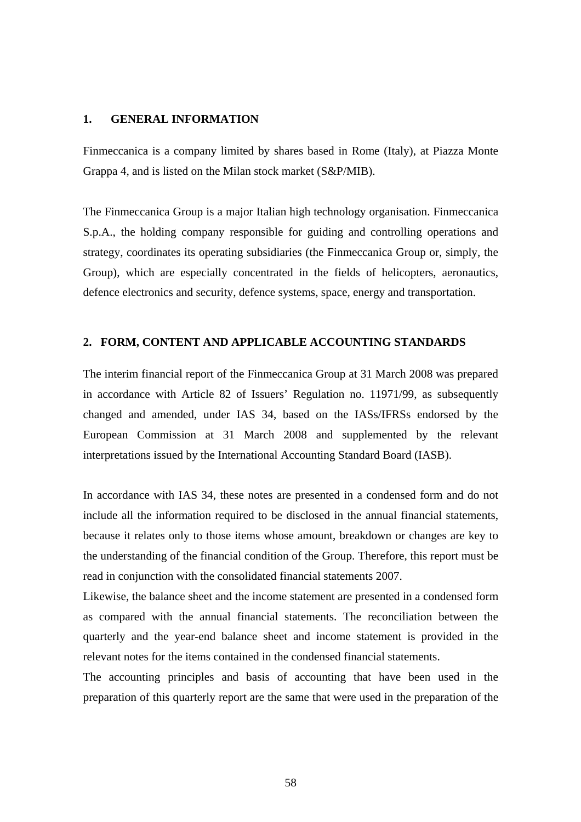#### **1. GENERAL INFORMATION**

Finmeccanica is a company limited by shares based in Rome (Italy), at Piazza Monte Grappa 4, and is listed on the Milan stock market (S&P/MIB).

The Finmeccanica Group is a major Italian high technology organisation. Finmeccanica S.p.A., the holding company responsible for guiding and controlling operations and strategy, coordinates its operating subsidiaries (the Finmeccanica Group or, simply, the Group), which are especially concentrated in the fields of helicopters, aeronautics, defence electronics and security, defence systems, space, energy and transportation.

#### **2. FORM, CONTENT AND APPLICABLE ACCOUNTING STANDARDS**

The interim financial report of the Finmeccanica Group at 31 March 2008 was prepared in accordance with Article 82 of Issuers' Regulation no. 11971/99, as subsequently changed and amended, under IAS 34, based on the IASs/IFRSs endorsed by the European Commission at 31 March 2008 and supplemented by the relevant interpretations issued by the International Accounting Standard Board (IASB).

In accordance with IAS 34, these notes are presented in a condensed form and do not include all the information required to be disclosed in the annual financial statements, because it relates only to those items whose amount, breakdown or changes are key to the understanding of the financial condition of the Group. Therefore, this report must be read in conjunction with the consolidated financial statements 2007.

Likewise, the balance sheet and the income statement are presented in a condensed form as compared with the annual financial statements. The reconciliation between the quarterly and the year-end balance sheet and income statement is provided in the relevant notes for the items contained in the condensed financial statements.

The accounting principles and basis of accounting that have been used in the preparation of this quarterly report are the same that were used in the preparation of the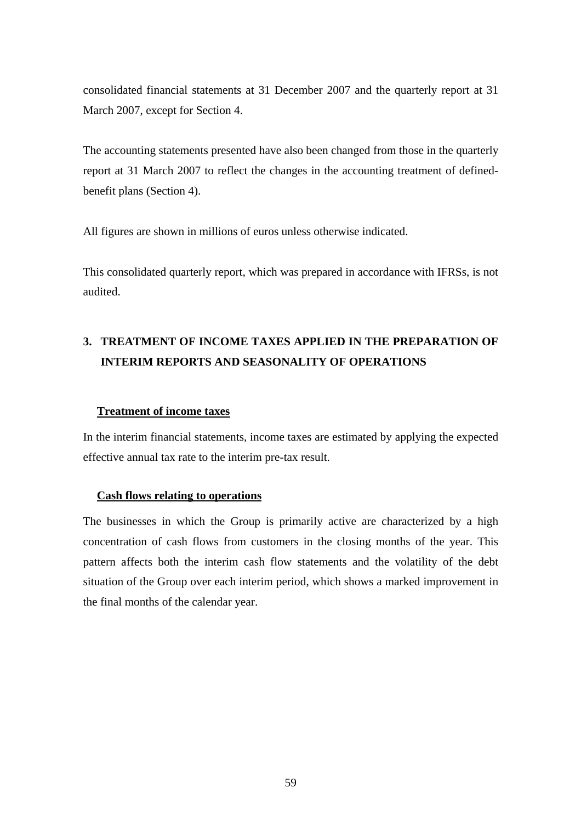consolidated financial statements at 31 December 2007 and the quarterly report at 31 March 2007, except for Section 4.

The accounting statements presented have also been changed from those in the quarterly report at 31 March 2007 to reflect the changes in the accounting treatment of definedbenefit plans (Section 4).

All figures are shown in millions of euros unless otherwise indicated.

This consolidated quarterly report, which was prepared in accordance with IFRSs, is not audited.

# **3. TREATMENT OF INCOME TAXES APPLIED IN THE PREPARATION OF INTERIM REPORTS AND SEASONALITY OF OPERATIONS**

#### **Treatment of income taxes**

In the interim financial statements, income taxes are estimated by applying the expected effective annual tax rate to the interim pre-tax result.

#### **Cash flows relating to operations**

The businesses in which the Group is primarily active are characterized by a high concentration of cash flows from customers in the closing months of the year. This pattern affects both the interim cash flow statements and the volatility of the debt situation of the Group over each interim period, which shows a marked improvement in the final months of the calendar year.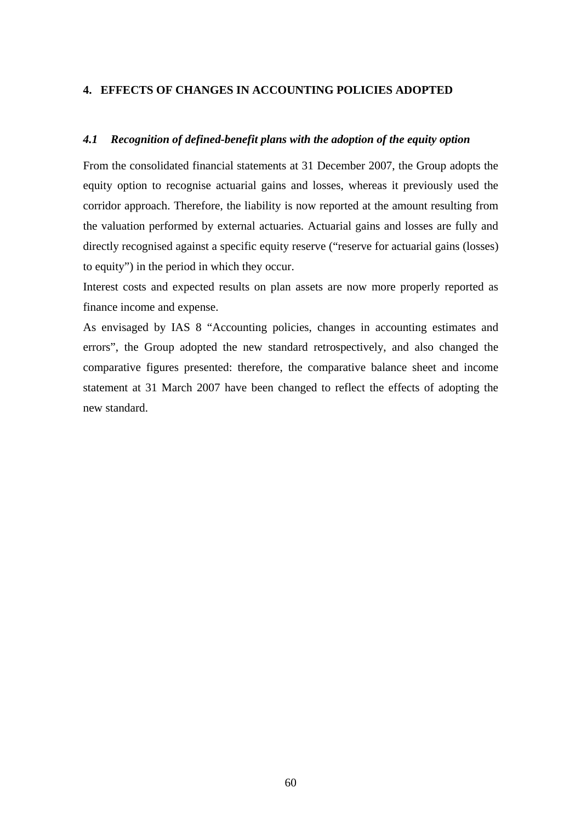#### **4. EFFECTS OF CHANGES IN ACCOUNTING POLICIES ADOPTED**

#### *4.1 Recognition of defined-benefit plans with the adoption of the equity option*

From the consolidated financial statements at 31 December 2007, the Group adopts the equity option to recognise actuarial gains and losses, whereas it previously used the corridor approach. Therefore, the liability is now reported at the amount resulting from the valuation performed by external actuaries. Actuarial gains and losses are fully and directly recognised against a specific equity reserve ("reserve for actuarial gains (losses) to equity") in the period in which they occur.

Interest costs and expected results on plan assets are now more properly reported as finance income and expense.

As envisaged by IAS 8 "Accounting policies, changes in accounting estimates and errors", the Group adopted the new standard retrospectively, and also changed the comparative figures presented: therefore, the comparative balance sheet and income statement at 31 March 2007 have been changed to reflect the effects of adopting the new standard.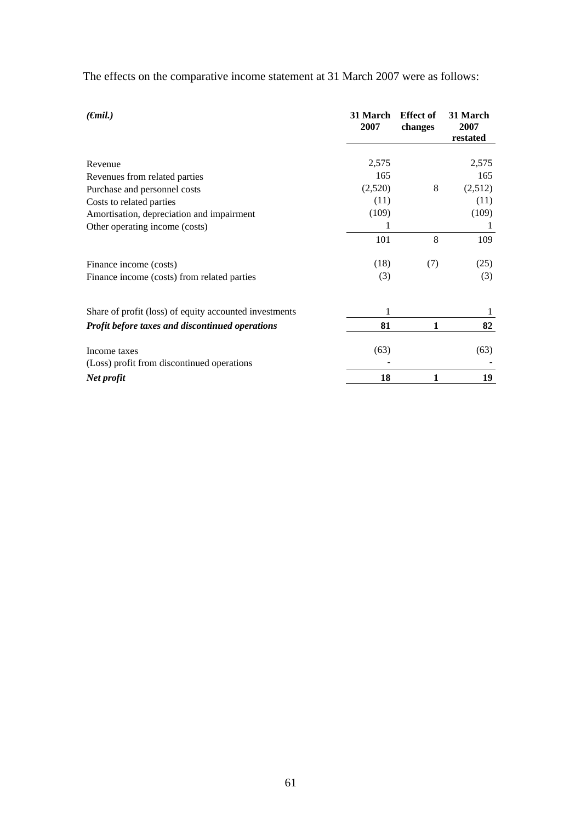| The effects on the comparative income statement at 31 March 2007 were as follows: |  |
|-----------------------------------------------------------------------------------|--|
|-----------------------------------------------------------------------------------|--|

| $(\epsilon$ mil.)                                      | 31 March<br>2007 | <b>Effect of</b><br>changes | 31 March<br>2007<br>restated |
|--------------------------------------------------------|------------------|-----------------------------|------------------------------|
|                                                        |                  |                             |                              |
| Revenue                                                | 2,575            |                             | 2,575                        |
| Revenues from related parties                          | 165              |                             | 165                          |
| Purchase and personnel costs                           | (2,520)          | 8                           | (2,512)                      |
| Costs to related parties                               | (11)             |                             | (11)                         |
| Amortisation, depreciation and impairment              | (109)            |                             | (109)                        |
| Other operating income (costs)                         |                  |                             | 1                            |
|                                                        | 101              | 8                           | 109                          |
| Finance income (costs)                                 | (18)             | (7)                         | (25)                         |
| Finance income (costs) from related parties            | (3)              |                             | (3)                          |
|                                                        |                  |                             |                              |
| Share of profit (loss) of equity accounted investments |                  |                             |                              |
| Profit before taxes and discontinued operations        | 81               | 1                           | 82                           |
| Income taxes                                           | (63)             |                             | (63)                         |
| (Loss) profit from discontinued operations             |                  |                             |                              |
| Net profit                                             | 18               | 1                           | 19                           |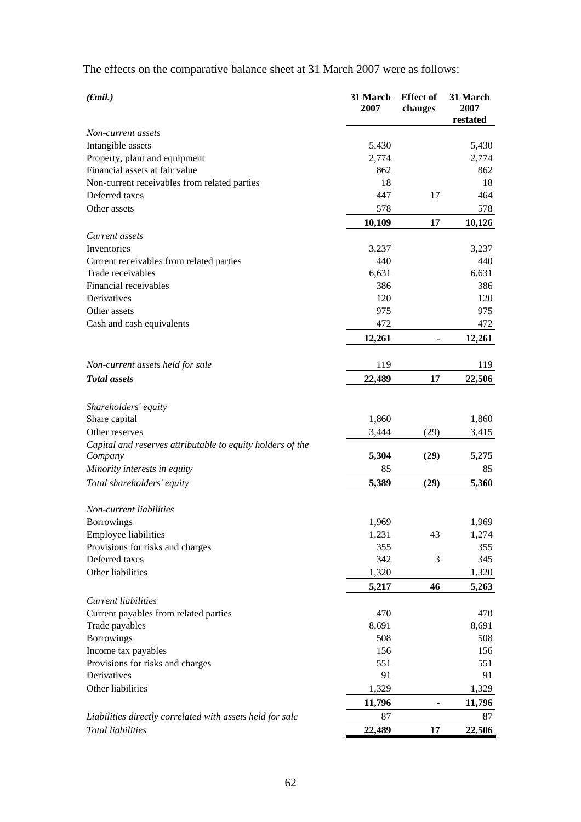The effects on the comparative balance sheet at 31 March 2007 were as follows:

| $(\epsilon mil.)$                                          | 31 March<br>2007 | <b>Effect</b> of<br>changes | 31 March<br>2007<br>restated |
|------------------------------------------------------------|------------------|-----------------------------|------------------------------|
| Non-current assets                                         |                  |                             |                              |
| Intangible assets                                          | 5,430            |                             | 5,430                        |
| Property, plant and equipment                              | 2,774            |                             | 2,774                        |
| Financial assets at fair value                             | 862              |                             | 862                          |
| Non-current receivables from related parties               | 18               |                             | 18                           |
| Deferred taxes                                             | 447              | 17                          | 464                          |
| Other assets                                               | 578              |                             | 578                          |
|                                                            | 10,109           | 17                          | 10,126                       |
| Current assets                                             |                  |                             |                              |
| Inventories                                                | 3,237            |                             | 3,237                        |
| Current receivables from related parties                   | 440              |                             | 440                          |
| Trade receivables                                          | 6,631            |                             | 6,631                        |
| Financial receivables                                      | 386              |                             | 386                          |
| Derivatives                                                | 120              |                             | 120                          |
| Other assets                                               | 975              |                             | 975                          |
| Cash and cash equivalents                                  | 472              |                             | 472                          |
|                                                            | 12,261           | $\blacksquare$              | 12,261                       |
|                                                            |                  |                             |                              |
| Non-current assets held for sale                           | 119              |                             | 119                          |
| <b>Total</b> assets                                        | 22,489           | 17                          | 22,506                       |
| Shareholders' equity                                       |                  |                             |                              |
| Share capital                                              | 1,860            |                             | 1,860                        |
| Other reserves                                             | 3,444            | (29)                        | 3,415                        |
| Capital and reserves attributable to equity holders of the |                  |                             |                              |
| Company                                                    | 5,304            | (29)                        | 5,275                        |
| Minority interests in equity                               | 85               |                             | 85                           |
| Total shareholders' equity                                 | 5,389            | (29)                        | 5,360                        |
|                                                            |                  |                             |                              |
| Non-current liabilities                                    |                  |                             |                              |
| <b>Borrowings</b>                                          | 1,969            |                             | 1,969                        |
| Employee liabilities                                       | 1,231            | 43                          | 1,274                        |
| Provisions for risks and charges                           | 355              |                             | 355                          |
| Deferred taxes                                             | 342              | 3                           | 345                          |
| Other liabilities                                          | 1,320            |                             | 1,320                        |
|                                                            | 5,217            | 46                          | 5,263                        |
| Current liabilities                                        |                  |                             |                              |
| Current payables from related parties                      | 470              |                             | 470                          |
| Trade payables                                             | 8,691            |                             | 8,691                        |
| Borrowings                                                 | 508              |                             | 508                          |
| Income tax payables                                        | 156              |                             | 156                          |
| Provisions for risks and charges                           | 551              |                             | 551                          |
| Derivatives                                                | 91               |                             | 91                           |
| Other liabilities                                          | 1,329            |                             | 1,329                        |
|                                                            | 11,796           |                             | 11,796                       |
| Liabilities directly correlated with assets held for sale  | 87               |                             | 87                           |
| Total liabilities                                          | 22,489           | 17                          | 22,506                       |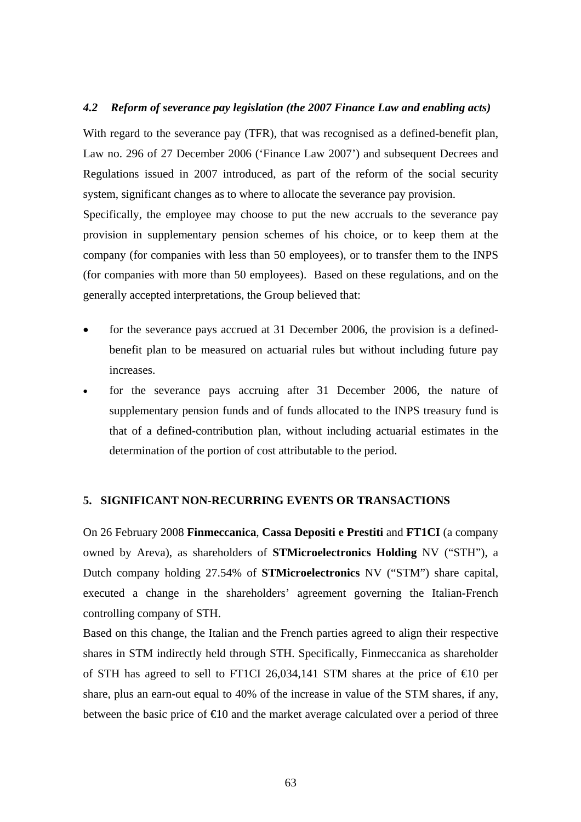#### *4.2 Reform of severance pay legislation (the 2007 Finance Law and enabling acts)*

With regard to the severance pay (TFR), that was recognised as a defined-benefit plan, Law no. 296 of 27 December 2006 ('Finance Law 2007') and subsequent Decrees and Regulations issued in 2007 introduced, as part of the reform of the social security system, significant changes as to where to allocate the severance pay provision. Specifically, the employee may choose to put the new accruals to the severance pay provision in supplementary pension schemes of his choice, or to keep them at the

company (for companies with less than 50 employees), or to transfer them to the INPS (for companies with more than 50 employees). Based on these regulations, and on the generally accepted interpretations, the Group believed that:

- for the severance pays accrued at 31 December 2006, the provision is a definedbenefit plan to be measured on actuarial rules but without including future pay increases.
- for the severance pays accruing after 31 December 2006, the nature of supplementary pension funds and of funds allocated to the INPS treasury fund is that of a defined-contribution plan, without including actuarial estimates in the determination of the portion of cost attributable to the period.

#### **5. SIGNIFICANT NON-RECURRING EVENTS OR TRANSACTIONS**

On 26 February 2008 **Finmeccanica**, **Cassa Depositi e Prestiti** and **FT1CI** (a company owned by Areva), as shareholders of **STMicroelectronics Holding** NV ("STH"), a Dutch company holding 27.54% of **STMicroelectronics** NV ("STM") share capital, executed a change in the shareholders' agreement governing the Italian-French controlling company of STH.

Based on this change, the Italian and the French parties agreed to align their respective shares in STM indirectly held through STH. Specifically, Finmeccanica as shareholder of STH has agreed to sell to FT1CI 26,034,141 STM shares at the price of  $\epsilon$ 10 per share, plus an earn-out equal to 40% of the increase in value of the STM shares, if any, between the basic price of  $\epsilon 10$  and the market average calculated over a period of three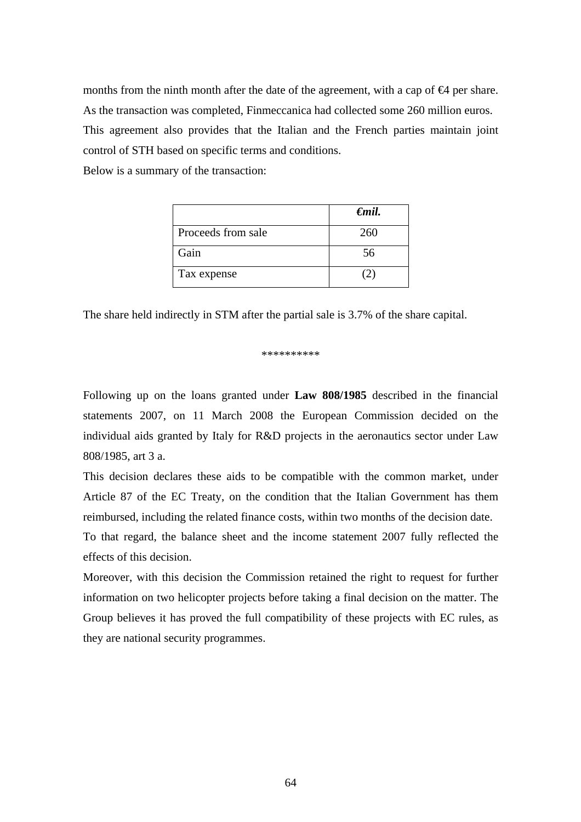months from the ninth month after the date of the agreement, with a cap of  $\Theta$  per share. As the transaction was completed, Finmeccanica had collected some 260 million euros. This agreement also provides that the Italian and the French parties maintain joint control of STH based on specific terms and conditions.

Below is a summary of the transaction:

|                    | $\epsilon$ mil. |
|--------------------|-----------------|
| Proceeds from sale | 260             |
| Gain               | 56              |
| Tax expense        |                 |

The share held indirectly in STM after the partial sale is 3.7% of the share capital.

\*\*\*\*\*\*\*\*\*\*

Following up on the loans granted under **Law 808/1985** described in the financial statements 2007, on 11 March 2008 the European Commission decided on the individual aids granted by Italy for R&D projects in the aeronautics sector under Law 808/1985, art 3 a.

This decision declares these aids to be compatible with the common market, under Article 87 of the EC Treaty, on the condition that the Italian Government has them reimbursed, including the related finance costs, within two months of the decision date.

To that regard, the balance sheet and the income statement 2007 fully reflected the effects of this decision.

Moreover, with this decision the Commission retained the right to request for further information on two helicopter projects before taking a final decision on the matter. The Group believes it has proved the full compatibility of these projects with EC rules, as they are national security programmes.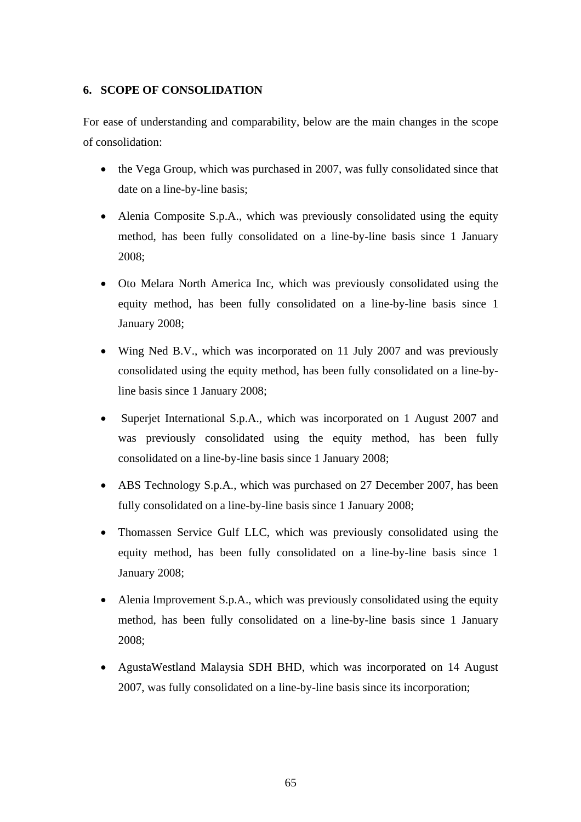#### **6. SCOPE OF CONSOLIDATION**

For ease of understanding and comparability, below are the main changes in the scope of consolidation:

- the Vega Group, which was purchased in 2007, was fully consolidated since that date on a line-by-line basis;
- Alenia Composite S.p.A., which was previously consolidated using the equity method, has been fully consolidated on a line-by-line basis since 1 January 2008;
- Oto Melara North America Inc, which was previously consolidated using the equity method, has been fully consolidated on a line-by-line basis since 1 January 2008;
- Wing Ned B.V., which was incorporated on 11 July 2007 and was previously consolidated using the equity method, has been fully consolidated on a line-byline basis since 1 January 2008;
- Superjet International S.p.A., which was incorporated on 1 August 2007 and was previously consolidated using the equity method, has been fully consolidated on a line-by-line basis since 1 January 2008;
- ABS Technology S.p.A., which was purchased on 27 December 2007, has been fully consolidated on a line-by-line basis since 1 January 2008;
- Thomassen Service Gulf LLC, which was previously consolidated using the equity method, has been fully consolidated on a line-by-line basis since 1 January 2008;
- Alenia Improvement S.p.A., which was previously consolidated using the equity method, has been fully consolidated on a line-by-line basis since 1 January 2008;
- AgustaWestland Malaysia SDH BHD, which was incorporated on 14 August 2007, was fully consolidated on a line-by-line basis since its incorporation;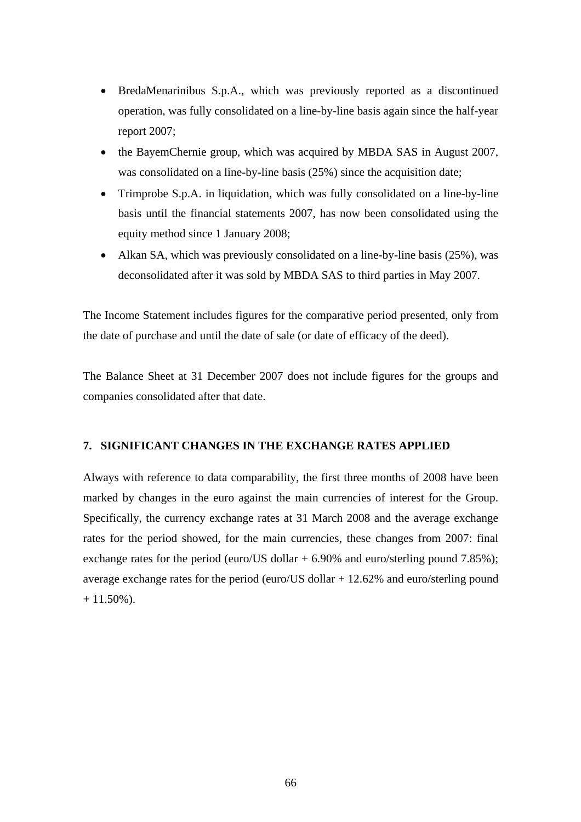- BredaMenarinibus S.p.A., which was previously reported as a discontinued operation, was fully consolidated on a line-by-line basis again since the half-year report 2007;
- the BayemChernie group, which was acquired by MBDA SAS in August 2007, was consolidated on a line-by-line basis (25%) since the acquisition date;
- Trimprobe S.p.A. in liquidation, which was fully consolidated on a line-by-line basis until the financial statements 2007, has now been consolidated using the equity method since 1 January 2008;
- Alkan SA, which was previously consolidated on a line-by-line basis (25%), was deconsolidated after it was sold by MBDA SAS to third parties in May 2007.

The Income Statement includes figures for the comparative period presented, only from the date of purchase and until the date of sale (or date of efficacy of the deed).

The Balance Sheet at 31 December 2007 does not include figures for the groups and companies consolidated after that date.

#### **7. SIGNIFICANT CHANGES IN THE EXCHANGE RATES APPLIED**

Always with reference to data comparability, the first three months of 2008 have been marked by changes in the euro against the main currencies of interest for the Group. Specifically, the currency exchange rates at 31 March 2008 and the average exchange rates for the period showed, for the main currencies, these changes from 2007: final exchange rates for the period (euro/US dollar  $+ 6.90\%$  and euro/sterling pound 7.85%); average exchange rates for the period (euro/US dollar + 12.62% and euro/sterling pound  $+ 11.50\%$ ).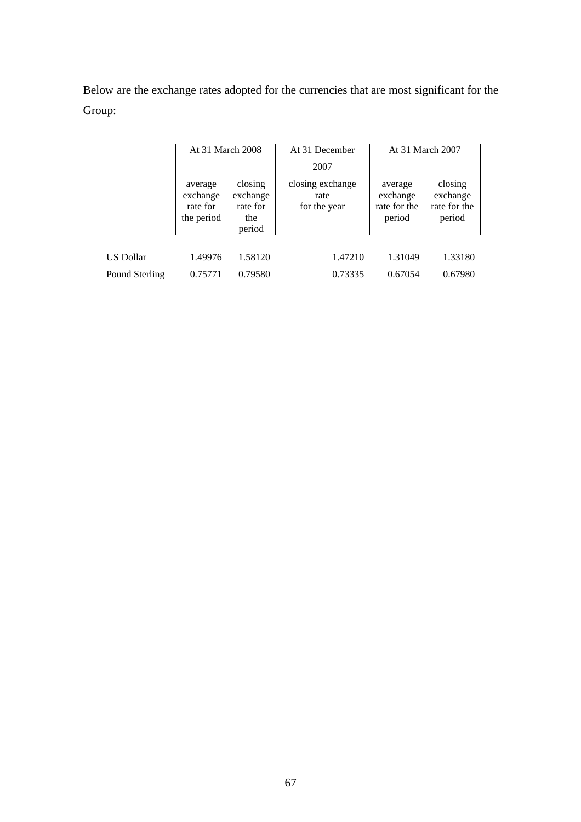Below are the exchange rates adopted for the currencies that are most significant for the Group:

|                  | At 31 March 2008                              |                                                  | At 31 December                           | At 31 March 2007                              |                                               |
|------------------|-----------------------------------------------|--------------------------------------------------|------------------------------------------|-----------------------------------------------|-----------------------------------------------|
|                  |                                               |                                                  | 2007                                     |                                               |                                               |
|                  | average<br>exchange<br>rate for<br>the period | closing<br>exchange<br>rate for<br>the<br>period | closing exchange<br>rate<br>for the year | average<br>exchange<br>rate for the<br>period | closing<br>exchange<br>rate for the<br>period |
| <b>US Dollar</b> | 1.49976                                       | 1.58120                                          | 1.47210                                  | 1.31049                                       | 1.33180                                       |
|                  |                                               |                                                  |                                          |                                               |                                               |
| Pound Sterling   | 0.75771                                       | 0.79580                                          | 0.73335                                  | 0.67054                                       | 0.67980                                       |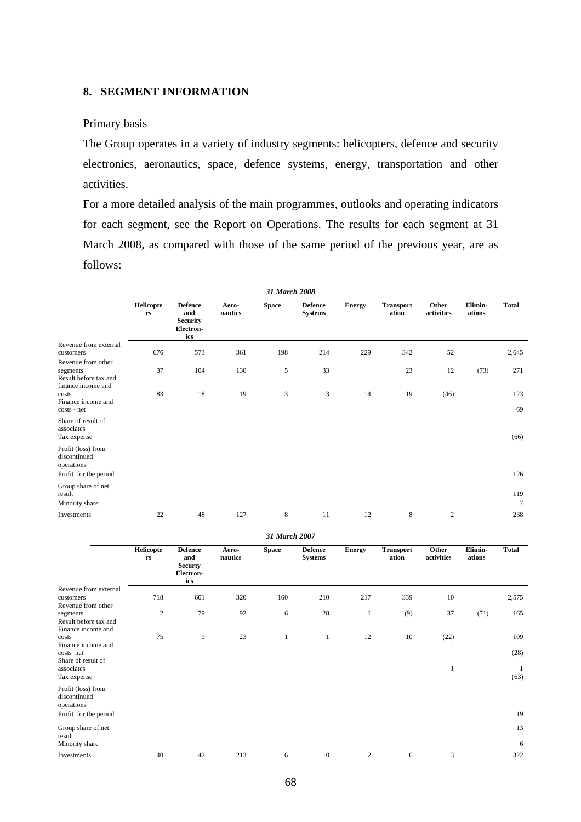#### **8. SEGMENT INFORMATION**

#### Primary basis

The Group operates in a variety of industry segments: helicopters, defence and security electronics, aeronautics, space, defence systems, energy, transportation and other activities.

For a more detailed analysis of the main programmes, outlooks and operating indicators for each segment, see the Report on Operations. The results for each segment at 31 March 2008, as compared with those of the same period of the previous year, are as follows:

| 31 March 2008                                                                 |                        |                                                              |                  |              |                                  |               |                           |                     |                   |                        |
|-------------------------------------------------------------------------------|------------------------|--------------------------------------------------------------|------------------|--------------|----------------------------------|---------------|---------------------------|---------------------|-------------------|------------------------|
|                                                                               | <b>Helicopte</b><br>rs | <b>Defence</b><br>and<br><b>Security</b><br>Electron-<br>ics | Aero-<br>nautics | <b>Space</b> | <b>Defence</b><br><b>Systems</b> | <b>Energy</b> | <b>Transport</b><br>ation | Other<br>activities | Elimin-<br>ations | <b>Total</b>           |
| Revenue from external<br>customers                                            | 676                    | 573                                                          | 361              | 198          | 214                              | 229           | 342                       | 52                  |                   | 2,645                  |
| Revenue from other<br>segments<br>Result before tax and<br>finance income and | 37                     | 104                                                          | 130              | $\sqrt{5}$   | 33                               |               | 23                        | 12                  | (73)              | 271                    |
| costs<br>Finance income and<br>costs - net                                    | 83                     | 18                                                           | 19               | 3            | 13                               | 14            | 19                        | (46)                |                   | 123<br>69              |
| Share of result of<br>associates<br>Tax expense                               |                        |                                                              |                  |              |                                  |               |                           |                     |                   | (66)                   |
| Profit (loss) from<br>discontinued<br>operations                              |                        |                                                              |                  |              |                                  |               |                           |                     |                   |                        |
| Profit for the period                                                         |                        |                                                              |                  |              |                                  |               |                           |                     |                   | 126                    |
| Group share of net<br>result<br>Minority share                                |                        |                                                              |                  |              |                                  |               |                           |                     |                   | 119<br>$7\phantom{.0}$ |
| Investments                                                                   | 22                     | 48                                                           | 127              | 8            | 11                               | 12            | 8                         | $\boldsymbol{2}$    |                   | 238                    |

*31 March 2007* 

|                                                                               | <b>Helicopte</b><br>$\mathbf{r}\mathbf{s}$ | <b>Defence</b><br>and<br><b>Securty</b><br>Electron-<br>ics | Aero-<br>nautics | <b>Space</b> | <b>Defence</b><br><b>Systems</b> | <b>Energy</b>  | <b>Transport</b><br>ation | Other<br>activities | Elimin-<br>ations | <b>Total</b> |
|-------------------------------------------------------------------------------|--------------------------------------------|-------------------------------------------------------------|------------------|--------------|----------------------------------|----------------|---------------------------|---------------------|-------------------|--------------|
| Revenue from external                                                         |                                            |                                                             |                  |              |                                  |                |                           |                     |                   |              |
| customers                                                                     | 718                                        | 601                                                         | 320              | 160          | 210                              | 217            | 339                       | 10                  |                   | 2,575        |
| Revenue from other<br>segments<br>Result before tax and<br>Finance income and | $\overline{2}$                             | 79                                                          | 92               | 6            | 28                               | $\mathbf{1}$   | (9)                       | 37                  | (71)              | 165          |
| costs                                                                         | 75                                         | 9                                                           | 23               | 1            | 1                                | 12             | 10                        | (22)                |                   | 109          |
| Finance income and<br>costs net<br>Share of result of                         |                                            |                                                             |                  |              |                                  |                |                           |                     |                   | (28)         |
| associates<br>Tax expense                                                     |                                            |                                                             |                  |              |                                  |                |                           | 1                   |                   | (63)         |
| Profit (loss) from<br>discontinued<br>operations                              |                                            |                                                             |                  |              |                                  |                |                           |                     |                   |              |
| Profit for the period                                                         |                                            |                                                             |                  |              |                                  |                |                           |                     |                   | 19           |
| Group share of net<br>result                                                  |                                            |                                                             |                  |              |                                  |                |                           |                     |                   | 13           |
| Minority share                                                                |                                            |                                                             |                  |              |                                  |                |                           |                     |                   | 6            |
| Investments                                                                   | 40                                         | 42                                                          | 213              | 6            | $10\,$                           | $\overline{2}$ | 6                         | 3                   |                   | 322          |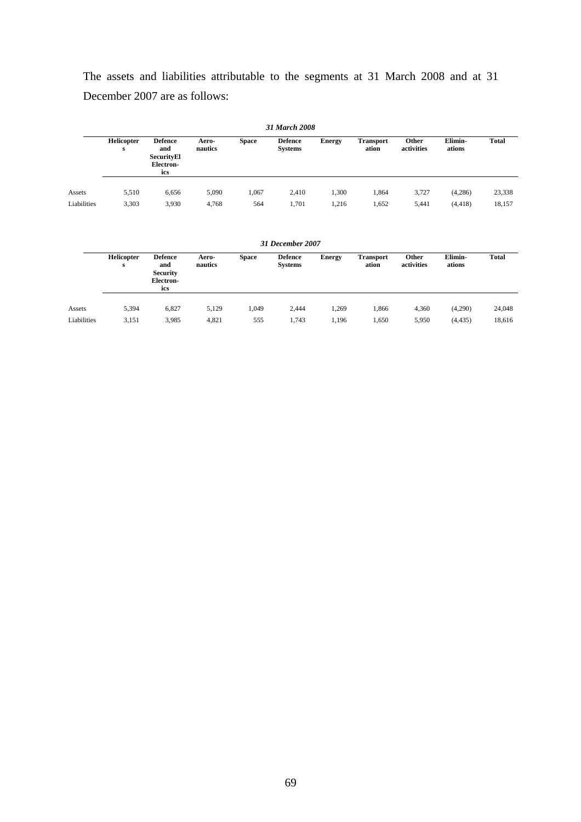The assets and liabilities attributable to the segments at 31 March 2008 and at 31 December 2007 are as follows:

| 31 March 2008 |                 |                                                                |                  |              |                                  |               |                           |                     |                   |              |
|---------------|-----------------|----------------------------------------------------------------|------------------|--------------|----------------------------------|---------------|---------------------------|---------------------|-------------------|--------------|
|               | Helicopter<br>s | <b>Defence</b><br>and<br><b>SecurityEl</b><br>Electron-<br>ics | Aero-<br>nautics | <b>Space</b> | <b>Defence</b><br><b>Systems</b> | <b>Energy</b> | <b>Transport</b><br>ation | Other<br>activities | Elimin-<br>ations | <b>Total</b> |
| Assets        | 5,510           | 6,656                                                          | 5,090            | 1,067        | 2,410                            | 1,300         | 1,864                     | 3,727               | (4,286)           | 23,338       |
| Liabilities   | 3,303           | 3,930                                                          | 4,768            | 564          | 1,701                            | 1,216         | 1,652                     | 5,441               | (4, 418)          | 18,157       |
|               |                 |                                                                |                  |              | 31 December 2007                 |               |                           |                     |                   |              |
|               | Helicopter<br>s | <b>Defence</b><br>and<br><b>Security</b><br>Electron-<br>ics   | Aero-<br>nautics | <b>Space</b> | <b>Defence</b><br><b>Systems</b> | <b>Energy</b> | <b>Transport</b><br>ation | Other<br>activities | Elimin-<br>ations | <b>Total</b> |
| Assets        | 5,394           | 6,827                                                          | 5,129            | 1,049        | 2,444                            | 1,269         | 1,866                     | 4,360               | (4,290)           | 24,048       |
| Liabilities   | 3,151           | 3,985                                                          | 4,821            | 555          | 1,743                            | 1,196         | 1,650                     | 5,950               | (4, 435)          | 18,616       |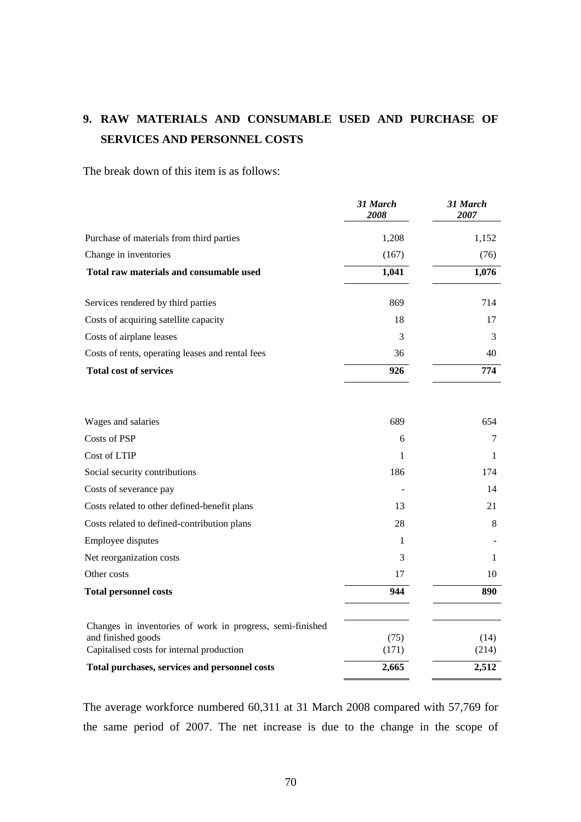# **9. RAW MATERIALS AND CONSUMABLE USED AND PURCHASE OF SERVICES AND PERSONNEL COSTS**

The break down of this item is as follows:

|                                                                 | 31 March<br>2008 | 31 March<br>2007 |
|-----------------------------------------------------------------|------------------|------------------|
| Purchase of materials from third parties                        | 1,208            | 1,152            |
| Change in inventories                                           | (167)            | (76)             |
| Total raw materials and consumable used                         | 1,041            | 1,076            |
| Services rendered by third parties                              | 869              | 714              |
| Costs of acquiring satellite capacity                           | 18               | 17               |
| Costs of airplane leases                                        | 3                | 3                |
| Costs of rents, operating leases and rental fees                | 36               | 40               |
| <b>Total cost of services</b>                                   | 926              | 774              |
| Wages and salaries                                              | 689              | 654              |
| Costs of PSP                                                    | 6                | 7                |
| Cost of LTIP                                                    | 1                | 1                |
| Social security contributions                                   | 186              | 174              |
| Costs of severance pay                                          |                  | 14               |
| Costs related to other defined-benefit plans                    | 13               | 21               |
| Costs related to defined-contribution plans                     | 28               | 8                |
| Employee disputes                                               | 1                |                  |
| Net reorganization costs                                        | 3                | 1                |
| Other costs                                                     | 17               | 10               |
| <b>Total personnel costs</b>                                    | 944              | 890              |
| Changes in inventories of work in progress, semi-finished       |                  |                  |
| and finished goods<br>Capitalised costs for internal production | (75)<br>(171)    | (14)<br>(214)    |
| Total purchases, services and personnel costs                   | 2,665            | 2,512            |

The average workforce numbered 60,311 at 31 March 2008 compared with 57,769 for the same period of 2007. The net increase is due to the change in the scope of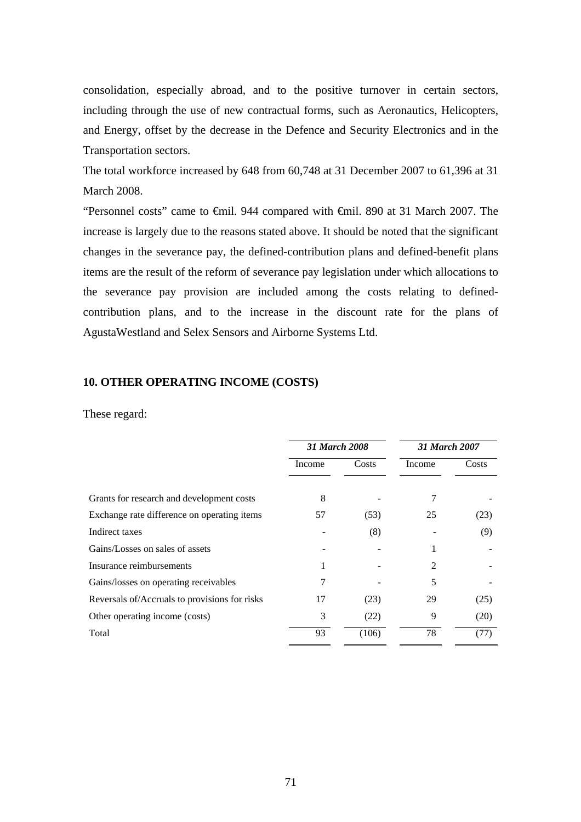consolidation, especially abroad, and to the positive turnover in certain sectors, including through the use of new contractual forms, such as Aeronautics, Helicopters, and Energy, offset by the decrease in the Defence and Security Electronics and in the Transportation sectors.

The total workforce increased by 648 from 60,748 at 31 December 2007 to 61,396 at 31 March 2008.

"Personnel costs" came to €mil. 944 compared with €mil. 890 at 31 March 2007. The increase is largely due to the reasons stated above. It should be noted that the significant changes in the severance pay, the defined-contribution plans and defined-benefit plans items are the result of the reform of severance pay legislation under which allocations to the severance pay provision are included among the costs relating to definedcontribution plans, and to the increase in the discount rate for the plans of AgustaWestland and Selex Sensors and Airborne Systems Ltd.

#### **10. OTHER OPERATING INCOME (COSTS)**

#### These regard:

|                                               | <b>31 March 2008</b> |       | 31 March 2007 |       |  |
|-----------------------------------------------|----------------------|-------|---------------|-------|--|
|                                               | Income               | Costs | Income        | Costs |  |
|                                               |                      |       |               |       |  |
| Grants for research and development costs     | 8                    |       |               |       |  |
| Exchange rate difference on operating items   | 57                   | (53)  | 25            | (23)  |  |
| Indirect taxes                                |                      | (8)   |               | (9)   |  |
| Gains/Losses on sales of assets               |                      |       |               |       |  |
| Insurance reimbursements                      |                      |       | 2             |       |  |
| Gains/losses on operating receivables         | 7                    |       | 5             |       |  |
| Reversals of/Accruals to provisions for risks | 17                   | (23)  | 29            | (25)  |  |
| Other operating income (costs)                | 3                    | (22)  | 9             | (20)  |  |
| Total                                         | 93                   | (106) | 78            | (77)  |  |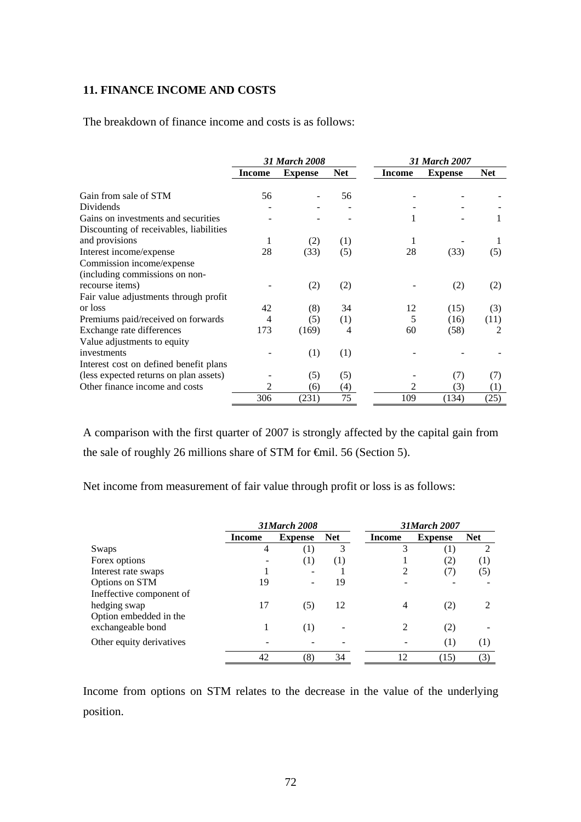#### **11. FINANCE INCOME AND COSTS**

The breakdown of finance income and costs is as follows:

|                                         |        | 31 March 2008  |            |        | 31 March 2007  |                  |  |  |
|-----------------------------------------|--------|----------------|------------|--------|----------------|------------------|--|--|
|                                         | Income | <b>Expense</b> | <b>Net</b> | Income | <b>Expense</b> | <b>Net</b>       |  |  |
| Gain from sale of STM                   | 56     |                | 56         |        |                |                  |  |  |
| <b>Dividends</b>                        |        |                |            |        |                |                  |  |  |
| Gains on investments and securities     |        |                |            |        |                |                  |  |  |
| Discounting of receivables, liabilities |        |                |            |        |                |                  |  |  |
| and provisions                          | 1      | (2)            | (1)        | 1      |                |                  |  |  |
| Interest income/expense                 | 28     | (33)           | (5)        | 28     | (33)           | (5)              |  |  |
| Commission income/expense               |        |                |            |        |                |                  |  |  |
| (including commissions on non-          |        |                |            |        |                |                  |  |  |
| recourse items)                         |        | (2)            | (2)        |        | (2)            | (2)              |  |  |
| Fair value adjustments through profit   |        |                |            |        |                |                  |  |  |
| or loss                                 | 42     | (8)            | 34         | 12     | (15)           | (3)              |  |  |
| Premiums paid/received on forwards      | 4      | (5)            | (1)        | 5      | (16)           | (11)             |  |  |
| Exchange rate differences               | 173    | (169)          | 4          | 60     | (58)           | $\mathfrak{D}$   |  |  |
| Value adjustments to equity             |        |                |            |        |                |                  |  |  |
| investments                             |        | (1)            | (1)        |        |                |                  |  |  |
| Interest cost on defined benefit plans  |        |                |            |        |                |                  |  |  |
| (less expected returns on plan assets)  |        | (5)            | (5)        |        | (7)            | (7)              |  |  |
| Other finance income and costs          |        | (6)            | (4)        | 2      | (3)            | $\left(1\right)$ |  |  |
|                                         | 306    | (231)          | 75         | 109    | (134)          | (25)             |  |  |

A comparison with the first quarter of 2007 is strongly affected by the capital gain from the sale of roughly 26 millions share of STM for €mil. 56 (Section 5).

Net income from measurement of fair value through profit or loss is as follows:

|                          |                | <b>31March 2008</b> |            |               | <b>31March 2007</b> |            |  |  |
|--------------------------|----------------|---------------------|------------|---------------|---------------------|------------|--|--|
|                          | Income         | <b>Expense</b>      | <b>Net</b> | <b>Income</b> | <b>Expense</b>      | <b>Net</b> |  |  |
| Swaps                    | $\overline{4}$ | (1)                 | 3          | 3             | (1)                 | 2          |  |  |
| Forex options            |                | (1)                 | (1)        |               | (2)                 | (1)        |  |  |
| Interest rate swaps      |                |                     |            |               | (7)                 | (5)        |  |  |
| Options on STM           | 19             |                     | 19         |               |                     |            |  |  |
| Ineffective component of |                |                     |            |               |                     |            |  |  |
| hedging swap             | 17             | (5)                 | 12         | 4             | (2)                 |            |  |  |
| Option embedded in the   |                |                     |            |               |                     |            |  |  |
| exchangeable bond        |                | (1)                 |            |               | (2)                 |            |  |  |
| Other equity derivatives |                |                     |            |               | (1)                 | (1)        |  |  |
|                          | 42             | (8)                 | 34         | 12            | (15)                | (3)        |  |  |

Income from options on STM relates to the decrease in the value of the underlying position.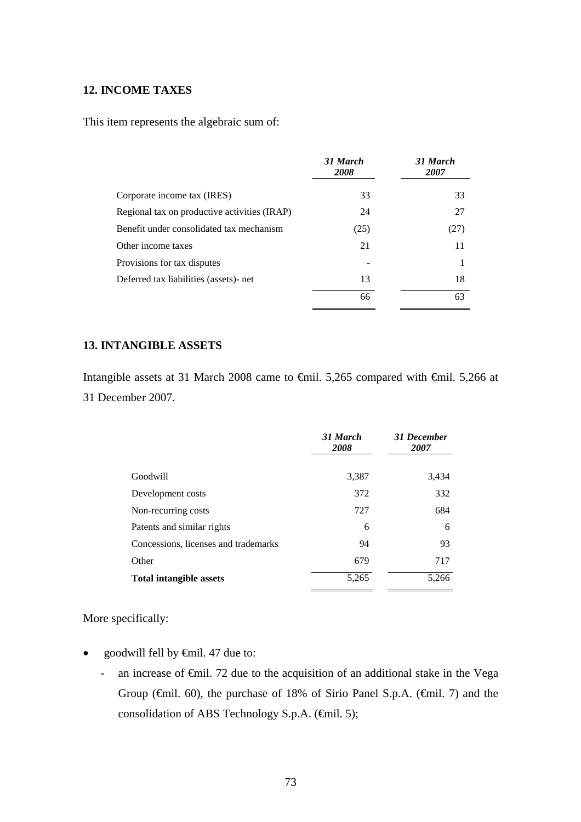## **12. INCOME TAXES**

This item represents the algebraic sum of:

|                                              | 31 March<br>2008 | 31 March<br>2007 |
|----------------------------------------------|------------------|------------------|
| Corporate income tax (IRES)                  | 33               | 33               |
| Regional tax on productive activities (IRAP) | 24               | 27               |
| Benefit under consolidated tax mechanism     | (25)             | (27)             |
| Other income taxes                           | 21               | 11               |
| Provisions for tax disputes                  |                  |                  |
| Deferred tax liabilities (assets)- net       | 13               | 18               |
|                                              | 66               | 63               |

#### **13. INTANGIBLE ASSETS**

Intangible assets at 31 March 2008 came to €mil. 5,265 compared with €mil. 5,266 at 31 December 2007.

|                                      | 31 March<br><b>2008</b> | 31 December<br>2007 |
|--------------------------------------|-------------------------|---------------------|
| Goodwill                             | 3,387                   | 3,434               |
| Development costs                    | 372                     | 332                 |
| Non-recurring costs                  | 727                     | 684                 |
| Patents and similar rights           | 6                       | 6                   |
| Concessions, licenses and trademarks | 94                      | 93                  |
| Other                                | 679                     | 717                 |
| <b>Total intangible assets</b>       | 5,265                   | 5,266               |

More specifically:

- goodwill fell by €mil. 47 due to:
	- an increase of €mil. 72 due to the acquisition of an additional stake in the Vega Group ( $\oplus$ mil. 60), the purchase of 18% of Sirio Panel S.p.A. ( $\oplus$ mil. 7) and the consolidation of ABS Technology S.p.A. (€mil. 5);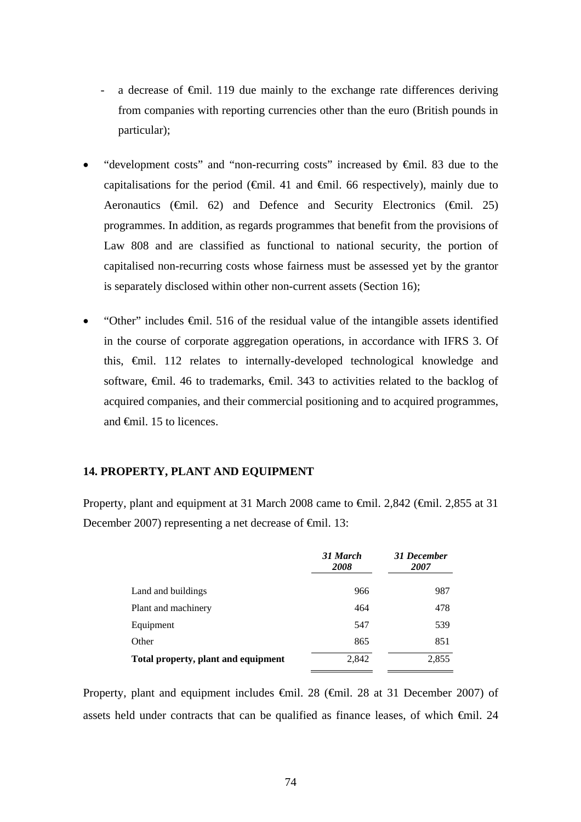- a decrease of  $\epsilon$ mil. 119 due mainly to the exchange rate differences deriving from companies with reporting currencies other than the euro (British pounds in particular);
- "development costs" and "non-recurring costs" increased by €mil. 83 due to the capitalisations for the period ( $\bigoplus$ mil. 41 and  $\bigoplus$ mil. 66 respectively), mainly due to Aeronautics ( $\oplus$ mil. 62) and Defence and Security Electronics ( $\oplus$ mil. 25) programmes. In addition, as regards programmes that benefit from the provisions of Law 808 and are classified as functional to national security, the portion of capitalised non-recurring costs whose fairness must be assessed yet by the grantor is separately disclosed within other non-current assets (Section 16);
- "Other" includes €mil. 516 of the residual value of the intangible assets identified in the course of corporate aggregation operations, in accordance with IFRS 3. Of this, €mil. 112 relates to internally-developed technological knowledge and software,  $\epsilon$ mil. 46 to trademarks,  $\epsilon$ mil. 343 to activities related to the backlog of acquired companies, and their commercial positioning and to acquired programmes, and €mil. 15 to licences.

## **14. PROPERTY, PLANT AND EQUIPMENT**

Property, plant and equipment at 31 March 2008 came to €mil. 2,842 (€mil. 2,855 at 31 December 2007) representing a net decrease of <del>€</del>mil. 13:

|                                     | 31 March<br>2008 | 31 December<br>2007 |
|-------------------------------------|------------------|---------------------|
| Land and buildings                  | 966              | 987                 |
| Plant and machinery                 | 464              | 478                 |
| Equipment                           | 547              | 539                 |
| Other                               | 865              | 851                 |
| Total property, plant and equipment | 2,842            | 2,855               |

Property, plant and equipment includes €mil. 28 (€mil. 28 at 31 December 2007) of assets held under contracts that can be qualified as finance leases, of which €mil. 24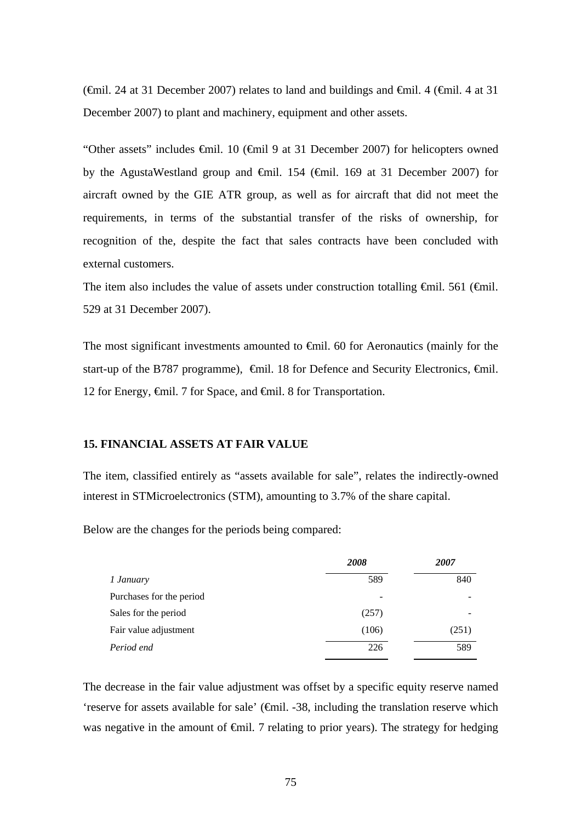( $\epsilon$ mil. 24 at 31 December 2007) relates to land and buildings and  $\epsilon$ mil. 4 ( $\epsilon$ mil. 4 at 31 December 2007) to plant and machinery, equipment and other assets.

"Other assets" includes €mil. 10 (€mil 9 at 31 December 2007) for helicopters owned by the AgustaWestland group and  $\oplus$ mil. 154 ( $\oplus$ mil. 169 at 31 December 2007) for aircraft owned by the GIE ATR group, as well as for aircraft that did not meet the requirements, in terms of the substantial transfer of the risks of ownership, for recognition of the, despite the fact that sales contracts have been concluded with external customers.

The item also includes the value of assets under construction totalling  $\theta$ mil. 561 ( $\theta$ mil. 529 at 31 December 2007).

The most significant investments amounted to €mil. 60 for Aeronautics (mainly for the start-up of the B787 programme),  $\oplus$ mil. 18 for Defence and Security Electronics,  $\oplus$ mil. 12 for Energy, €mil. 7 for Space, and €mil. 8 for Transportation.

#### **15. FINANCIAL ASSETS AT FAIR VALUE**

The item, classified entirely as "assets available for sale", relates the indirectly-owned interest in STMicroelectronics (STM), amounting to 3.7% of the share capital.

Below are the changes for the periods being compared:

|                          | 2008  | 2007  |
|--------------------------|-------|-------|
| 1 January                | 589   | 840   |
| Purchases for the period |       |       |
| Sales for the period     | (257) |       |
| Fair value adjustment    | (106) | (251) |
| Period end               | 226   | 589   |

The decrease in the fair value adjustment was offset by a specific equity reserve named 'reserve for assets available for sale' (€mil. -38, including the translation reserve which was negative in the amount of  $\epsilon$ mil. 7 relating to prior years). The strategy for hedging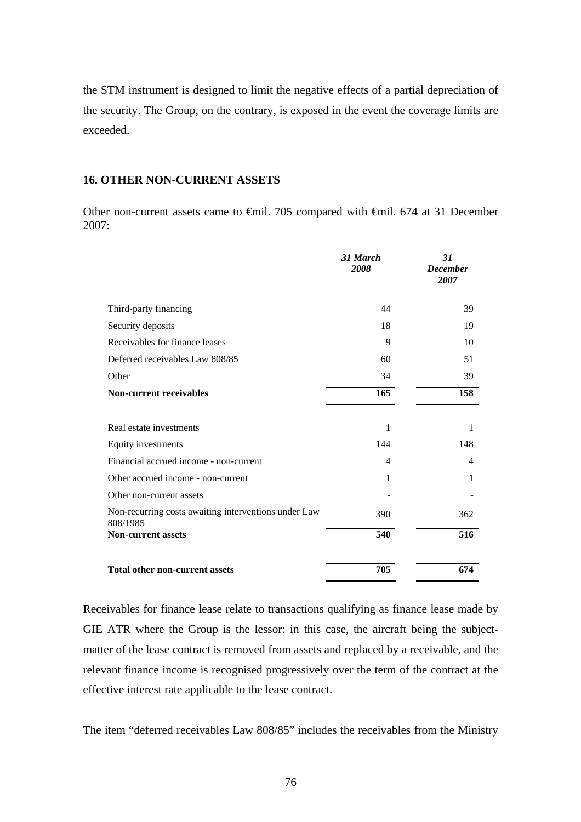the STM instrument is designed to limit the negative effects of a partial depreciation of the security. The Group, on the contrary, is exposed in the event the coverage limits are exceeded.

## **16. OTHER NON-CURRENT ASSETS**

Other non-current assets came to €mil. 705 compared with €mil. 674 at 31 December 2007:

|                                                                  | 31 March<br>2008 | 31<br><b>December</b><br>2007 |
|------------------------------------------------------------------|------------------|-------------------------------|
| Third-party financing                                            | 44               | 39                            |
| Security deposits                                                | 18               | 19                            |
| Receivables for finance leases                                   | 9                | 10                            |
| Deferred receivables Law 808/85                                  | 60               | 51                            |
| Other                                                            | 34               | 39                            |
| <b>Non-current receivables</b>                                   | 165              | 158                           |
| Real estate investments                                          | 1                | 1                             |
| Equity investments                                               | 144              | 148                           |
| Financial accrued income - non-current                           | 4                | 4                             |
| Other accrued income - non-current                               | 1                | 1                             |
| Other non-current assets                                         |                  |                               |
| Non-recurring costs awaiting interventions under Law<br>808/1985 | 390              | 362                           |
| <b>Non-current assets</b>                                        | 540              | 516                           |
| <b>Total other non-current assets</b>                            | 705              | 674                           |

Receivables for finance lease relate to transactions qualifying as finance lease made by GIE ATR where the Group is the lessor: in this case, the aircraft being the subjectmatter of the lease contract is removed from assets and replaced by a receivable, and the relevant finance income is recognised progressively over the term of the contract at the effective interest rate applicable to the lease contract.

The item "deferred receivables Law 808/85" includes the receivables from the Ministry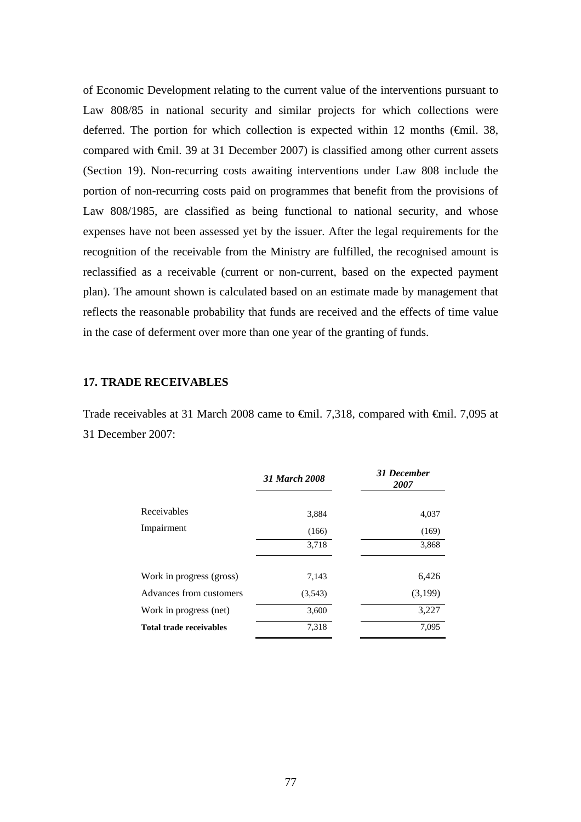of Economic Development relating to the current value of the interventions pursuant to Law 808/85 in national security and similar projects for which collections were deferred. The portion for which collection is expected within 12 months ( $\epsilon$ mil. 38, compared with €mil. 39 at 31 December 2007) is classified among other current assets (Section 19). Non-recurring costs awaiting interventions under Law 808 include the portion of non-recurring costs paid on programmes that benefit from the provisions of Law 808/1985, are classified as being functional to national security, and whose expenses have not been assessed yet by the issuer. After the legal requirements for the recognition of the receivable from the Ministry are fulfilled, the recognised amount is reclassified as a receivable (current or non-current, based on the expected payment plan). The amount shown is calculated based on an estimate made by management that reflects the reasonable probability that funds are received and the effects of time value in the case of deferment over more than one year of the granting of funds.

## **17. TRADE RECEIVABLES**

Trade receivables at 31 March 2008 came to €mil. 7,318, compared with €mil. 7,095 at 31 December 2007:

|                                | <b>31 March 2008</b> | <b>31 December</b><br>2007 |
|--------------------------------|----------------------|----------------------------|
| Receivables                    | 3,884                | 4,037                      |
| Impairment                     | (166)                | (169)                      |
|                                | 3,718                | 3,868                      |
|                                |                      |                            |
| Work in progress (gross)       | 7,143                | 6,426                      |
| Advances from customers        | (3,543)              | (3,199)                    |
| Work in progress (net)         | 3,600                | 3,227                      |
| <b>Total trade receivables</b> | 7,318                | 7,095                      |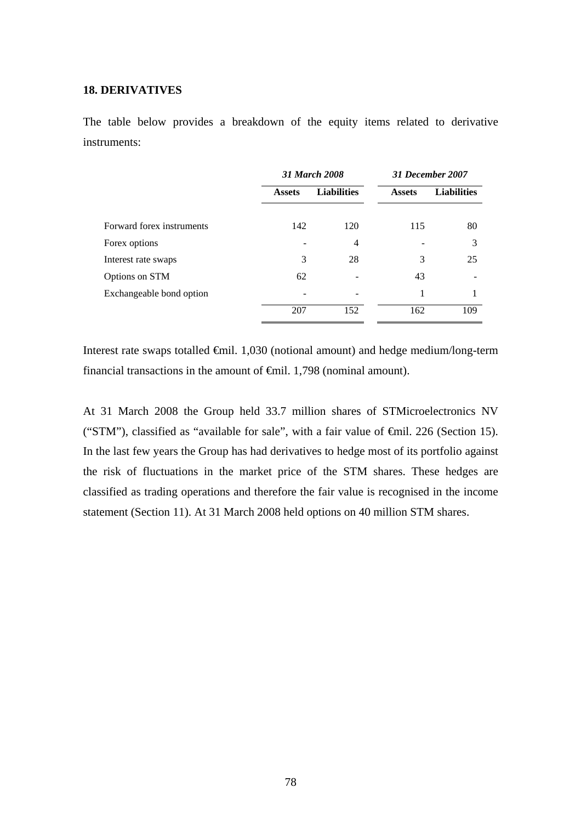#### **18. DERIVATIVES**

The table below provides a breakdown of the equity items related to derivative instruments:

|                           | <b>31 March 2008</b> |                    |               | 31 December 2007   |
|---------------------------|----------------------|--------------------|---------------|--------------------|
|                           | <b>Assets</b>        | <b>Liabilities</b> | <b>Assets</b> | <b>Liabilities</b> |
| Forward forex instruments | 142                  | 120                | 115           | 80                 |
| Forex options             |                      | 4                  |               | 3                  |
| Interest rate swaps       | 3                    | 28                 | 3             | 25                 |
| Options on STM            | 62                   |                    | 43            |                    |
| Exchangeable bond option  |                      |                    | 1             |                    |
|                           | 207                  | 152                | 162           | 109                |

Interest rate swaps totalled €mil. 1,030 (notional amount) and hedge medium/long-term financial transactions in the amount of  $\epsilon$ mil. 1,798 (nominal amount).

At 31 March 2008 the Group held 33.7 million shares of STMicroelectronics NV ("STM"), classified as "available for sale", with a fair value of €mil. 226 (Section 15). In the last few years the Group has had derivatives to hedge most of its portfolio against the risk of fluctuations in the market price of the STM shares. These hedges are classified as trading operations and therefore the fair value is recognised in the income statement (Section 11). At 31 March 2008 held options on 40 million STM shares.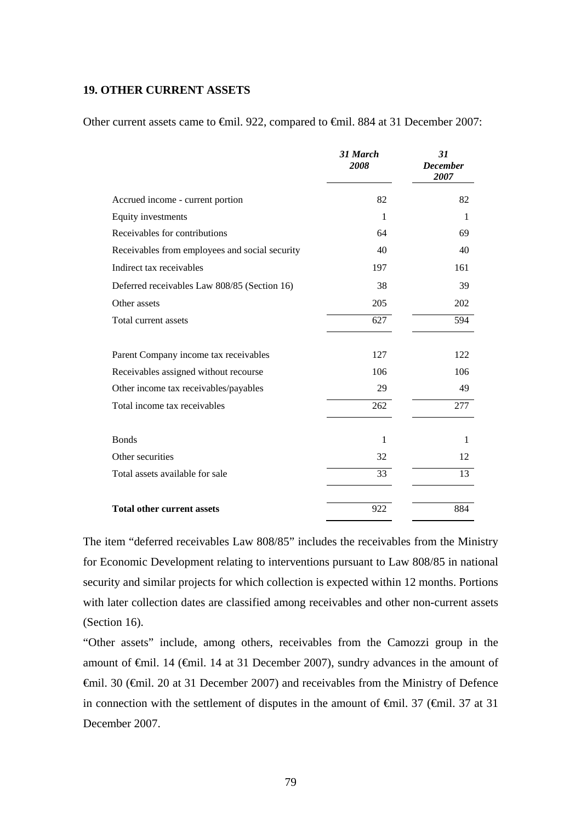#### **19. OTHER CURRENT ASSETS**

Other current assets came to €mil. 922, compared to €mil. 884 at 31 December 2007:

|                                                | 31 March<br>2008 | 31<br><b>December</b><br>2007 |
|------------------------------------------------|------------------|-------------------------------|
| Accrued income - current portion               | 82               | 82                            |
| Equity investments                             | $\mathbf{1}$     | 1                             |
| Receivables for contributions                  | 64               | 69                            |
| Receivables from employees and social security | 40               | 40                            |
| Indirect tax receivables                       | 197              | 161                           |
| Deferred receivables Law 808/85 (Section 16)   | 38               | 39                            |
| Other assets                                   | 205              | 202                           |
| Total current assets                           | 627              | 594                           |
| Parent Company income tax receivables          | 127              | 122                           |
| Receivables assigned without recourse          | 106              | 106                           |
| Other income tax receivables/payables          | 29               | 49                            |
| Total income tax receivables                   | 262              | 277                           |
| <b>Bonds</b>                                   | 1                | 1                             |
| Other securities                               | 32               | 12                            |
| Total assets available for sale                | 33               | 13                            |
| <b>Total other current assets</b>              | 922              | 884                           |

The item "deferred receivables Law 808/85" includes the receivables from the Ministry for Economic Development relating to interventions pursuant to Law 808/85 in national security and similar projects for which collection is expected within 12 months. Portions with later collection dates are classified among receivables and other non-current assets (Section 16).

"Other assets" include, among others, receivables from the Camozzi group in the amount of €mil. 14 (€mil. 14 at 31 December 2007), sundry advances in the amount of €mil. 30 (€mil. 20 at 31 December 2007) and receivables from the Ministry of Defence in connection with the settlement of disputes in the amount of  $\theta$ mil. 37 ( $\theta$ mil. 37 at 31 December 2007.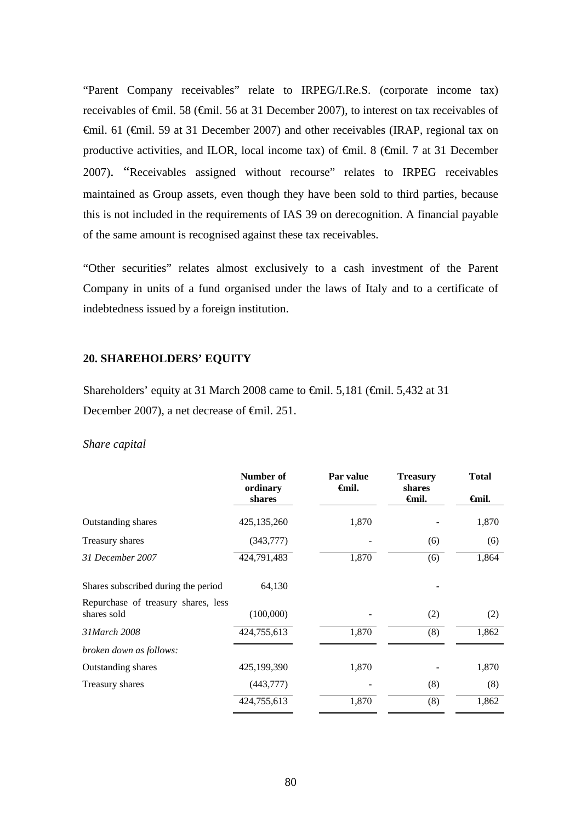"Parent Company receivables" relate to IRPEG/I.Re.S. (corporate income tax) receivables of €mil. 58 (€mil. 56 at 31 December 2007), to interest on tax receivables of €mil. 61 (€mil. 59 at 31 December 2007) and other receivables (IRAP, regional tax on productive activities, and ILOR, local income tax) of  $\theta$ mil. 8 ( $\theta$ mil. 7 at 31 December 2007). "Receivables assigned without recourse" relates to IRPEG receivables maintained as Group assets, even though they have been sold to third parties, because this is not included in the requirements of IAS 39 on derecognition. A financial payable of the same amount is recognised against these tax receivables.

"Other securities" relates almost exclusively to a cash investment of the Parent Company in units of a fund organised under the laws of Italy and to a certificate of indebtedness issued by a foreign institution.

#### **20. SHAREHOLDERS' EQUITY**

Shareholders' equity at 31 March 2008 came to  $\epsilon$ mil. 5,181 ( $\epsilon$ mil. 5,432 at 31 December 2007), a net decrease of <del>€mil</del>. 251.

#### *Share capital*

|                                                    | Number of<br>ordinary<br>shares | Par value<br><del>∈</del> mil. | <b>Treasury</b><br>shares<br><b>€mil.</b> | <b>Total</b><br><b>€mil.</b> |
|----------------------------------------------------|---------------------------------|--------------------------------|-------------------------------------------|------------------------------|
|                                                    |                                 |                                |                                           |                              |
| Outstanding shares                                 | 425,135,260                     | 1,870                          |                                           | 1,870                        |
| Treasury shares                                    | (343,777)                       |                                | (6)                                       | (6)                          |
| 31 December 2007                                   | 424,791,483                     | 1,870                          | (6)                                       | 1,864                        |
| Shares subscribed during the period                | 64,130                          |                                |                                           |                              |
| Repurchase of treasury shares, less<br>shares sold | (100,000)                       |                                | (2)                                       | (2)                          |
| 31 March 2008                                      | 424,755,613                     | 1,870                          | (8)                                       | 1,862                        |
| broken down as follows:                            |                                 |                                |                                           |                              |
| Outstanding shares                                 | 425,199,390                     | 1,870                          |                                           | 1,870                        |
| Treasury shares                                    | (443,777)                       |                                | (8)                                       | (8)                          |
|                                                    | 424,755,613                     | 1,870                          | (8)                                       | 1,862                        |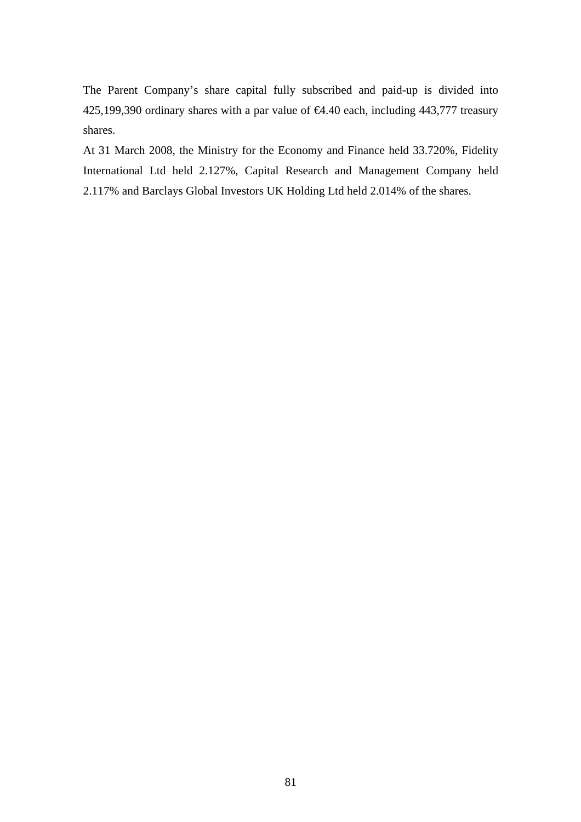The Parent Company's share capital fully subscribed and paid-up is divided into 425,199,390 ordinary shares with a par value of €4.40 each, including 443,777 treasury shares.

At 31 March 2008, the Ministry for the Economy and Finance held 33.720%, Fidelity International Ltd held 2.127%, Capital Research and Management Company held 2.117% and Barclays Global Investors UK Holding Ltd held 2.014% of the shares.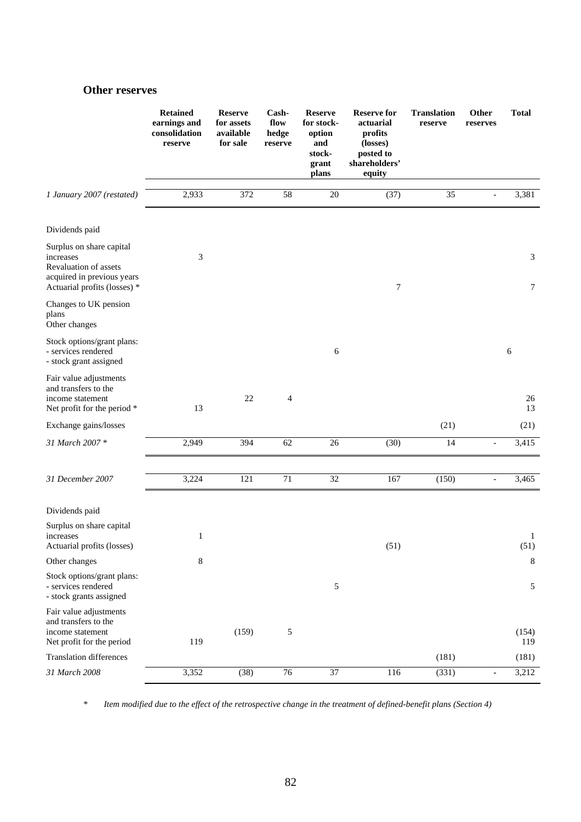## **Other reserves**

|                                                                                                                              | <b>Retained</b><br>earnings and<br>consolidation<br>reserve | <b>Reserve</b><br>for assets<br>available<br>for sale | Cash-<br>flow<br>hedge<br>reserve | <b>Reserve</b><br>for stock-<br>option<br>and<br>stock-<br>grant<br>plans | <b>Reserve for</b><br>actuarial<br>profits<br>(losses)<br>posted to<br>shareholders'<br>equity | <b>Translation</b><br>reserve | Other<br><b>Total</b><br>reserves |
|------------------------------------------------------------------------------------------------------------------------------|-------------------------------------------------------------|-------------------------------------------------------|-----------------------------------|---------------------------------------------------------------------------|------------------------------------------------------------------------------------------------|-------------------------------|-----------------------------------|
| 1 January 2007 (restated)                                                                                                    | 2,933                                                       | 372                                                   | 58                                | 20                                                                        | (37)                                                                                           | 35                            | 3,381<br>$\qquad \qquad -$        |
| Dividends paid                                                                                                               |                                                             |                                                       |                                   |                                                                           |                                                                                                |                               |                                   |
| Surplus on share capital<br>increases<br>Revaluation of assets<br>acquired in previous years<br>Actuarial profits (losses) * | 3                                                           |                                                       |                                   |                                                                           | 7                                                                                              |                               | 3<br>$\tau$                       |
| Changes to UK pension<br>plans<br>Other changes                                                                              |                                                             |                                                       |                                   |                                                                           |                                                                                                |                               |                                   |
| Stock options/grant plans:<br>- services rendered<br>- stock grant assigned                                                  |                                                             |                                                       |                                   | 6                                                                         |                                                                                                |                               | 6                                 |
| Fair value adjustments<br>and transfers to the<br>income statement<br>Net profit for the period *                            | 13                                                          | 22                                                    | $\overline{4}$                    |                                                                           |                                                                                                |                               | 26<br>13                          |
| Exchange gains/losses                                                                                                        |                                                             |                                                       |                                   |                                                                           |                                                                                                | (21)                          | (21)                              |
| 31 March 2007 *                                                                                                              | 2,949                                                       | 394                                                   | 62                                | $26\,$                                                                    | (30)                                                                                           | 14                            | 3,415<br>$\overline{\phantom{m}}$ |
| 31 December 2007                                                                                                             | 3,224                                                       | 121                                                   | 71                                | 32                                                                        | 167                                                                                            | (150)                         | 3,465<br>$\overline{\phantom{0}}$ |
| Dividends paid                                                                                                               |                                                             |                                                       |                                   |                                                                           |                                                                                                |                               |                                   |
| Surplus on share capital<br>increases<br>Actuarial profits (losses)                                                          | 1                                                           |                                                       |                                   |                                                                           | (51)                                                                                           |                               | $\mathbf{1}$<br>(51)              |
| Other changes                                                                                                                | 8                                                           |                                                       |                                   |                                                                           |                                                                                                |                               | 8                                 |
| Stock options/grant plans:<br>- services rendered<br>- stock grants assigned                                                 |                                                             |                                                       |                                   | 5                                                                         |                                                                                                |                               | 5                                 |
| Fair value adjustments<br>and transfers to the<br>income statement<br>Net profit for the period                              | 119                                                         | (159)                                                 | 5                                 |                                                                           |                                                                                                |                               | (154)<br>119                      |
| <b>Translation differences</b>                                                                                               |                                                             |                                                       |                                   |                                                                           |                                                                                                | (181)                         | (181)                             |
| 31 March 2008                                                                                                                | 3,352                                                       | (38)                                                  | $76\,$                            | 37                                                                        | 116                                                                                            | (331)                         | 3,212<br>$\overline{\phantom{a}}$ |

*\* Item modified due to the effect of the retrospective change in the treatment of defined-benefit plans (Section 4)*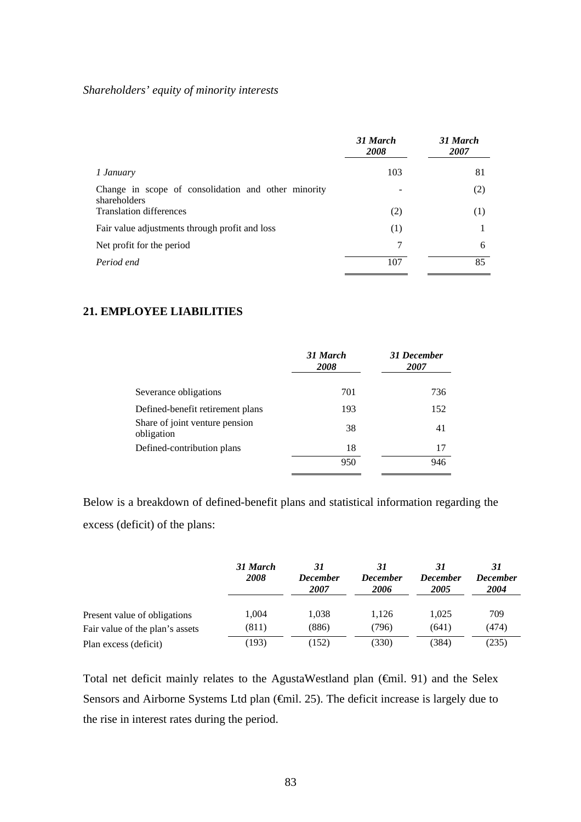# *Shareholders' equity of minority interests*

|                                                                     | 31 March<br><b>2008</b> | 31 March<br>2007 |
|---------------------------------------------------------------------|-------------------------|------------------|
| 1 January                                                           | 103                     | 81               |
| Change in scope of consolidation and other minority<br>shareholders |                         | (2)              |
| <b>Translation differences</b>                                      | (2)                     | (1)              |
| Fair value adjustments through profit and loss                      | (1)                     |                  |
| Net profit for the period                                           | 7                       | 6                |
| Period end                                                          | 107                     | 85               |

# **21. EMPLOYEE LIABILITIES**

|                                              | 31 March<br>2008 | 31 December<br>2007 |
|----------------------------------------------|------------------|---------------------|
| Severance obligations                        | 701              | 736                 |
| Defined-benefit retirement plans             | 193              | 152                 |
| Share of joint venture pension<br>obligation | 38               | 41                  |
| Defined-contribution plans                   | 18               | 17                  |
|                                              | 950              | 946                 |

Below is a breakdown of defined-benefit plans and statistical information regarding the excess (deficit) of the plans:

|                                 | 31 March<br>2008 | 31<br><b>December</b><br>2007 | <b>December</b><br>2006 | <b>December</b><br>2005 | 31<br><b>December</b><br>2004 |
|---------------------------------|------------------|-------------------------------|-------------------------|-------------------------|-------------------------------|
| Present value of obligations    | 1.004            | 1.038                         | 1.126                   | 1.025                   | 709                           |
| Fair value of the plan's assets | (811)            | (886)                         | (796)                   | (641)                   | (474)                         |
| Plan excess (deficit)           | (193)            | (152)                         | (330)                   | (384)                   | (235)                         |

Total net deficit mainly relates to the AgustaWestland plan (€mil. 91) and the Selex Sensors and Airborne Systems Ltd plan (€mil. 25). The deficit increase is largely due to the rise in interest rates during the period.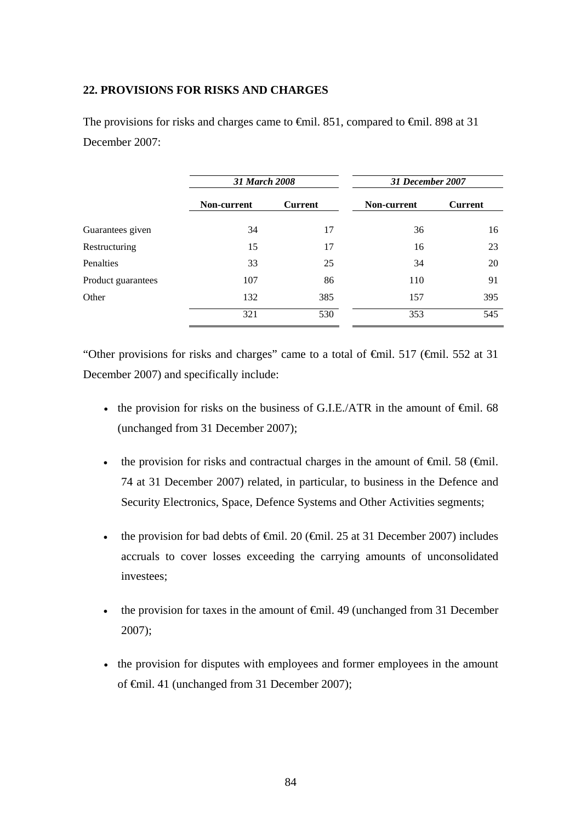# **22. PROVISIONS FOR RISKS AND CHARGES**

The provisions for risks and charges came to €mil. 851, compared to €mil. 898 at 31 December 2007:

|                    | 31 March 2008 |                | 31 December 2007 |                |  |
|--------------------|---------------|----------------|------------------|----------------|--|
|                    | Non-current   | <b>Current</b> | Non-current      | <b>Current</b> |  |
| Guarantees given   | 34            | 17             | 36               | 16             |  |
| Restructuring      | 15            | 17             | 16               | 23             |  |
| <b>Penalties</b>   | 33            | 25             | 34               | 20             |  |
| Product guarantees | 107           | 86             | 110              | 91             |  |
| Other              | 132           | 385            | 157              | 395            |  |
|                    | 321           | 530            | 353              | 545            |  |

"Other provisions for risks and charges" came to a total of  $\theta$ mil. 517 ( $\theta$ mil. 552 at 31 December 2007) and specifically include:

- the provision for risks on the business of G.I.E./ATR in the amount of  $\epsilon$ mil. 68 (unchanged from 31 December 2007);
- the provision for risks and contractual charges in the amount of  $\epsilon$ mil. 58 ( $\epsilon$ mil. 74 at 31 December 2007) related, in particular, to business in the Defence and Security Electronics, Space, Defence Systems and Other Activities segments;
- the provision for bad debts of  $\epsilon$ mil. 20 ( $\epsilon$ mil. 25 at 31 December 2007) includes accruals to cover losses exceeding the carrying amounts of unconsolidated investees;
- the provision for taxes in the amount of  $\epsilon$ mil. 49 (unchanged from 31 December 2007);
- the provision for disputes with employees and former employees in the amount of €mil. 41 (unchanged from 31 December 2007);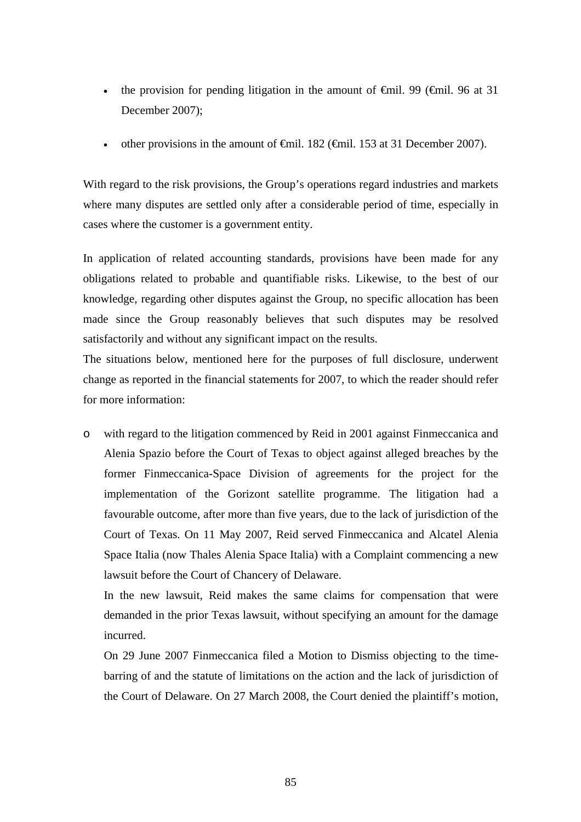- the provision for pending litigation in the amount of  $\theta$ mil. 99 ( $\theta$ mil. 96 at 31 December 2007);
- other provisions in the amount of  $\theta$ mil. 182 ( $\theta$ mil. 153 at 31 December 2007).

With regard to the risk provisions, the Group's operations regard industries and markets where many disputes are settled only after a considerable period of time, especially in cases where the customer is a government entity.

In application of related accounting standards, provisions have been made for any obligations related to probable and quantifiable risks. Likewise, to the best of our knowledge, regarding other disputes against the Group, no specific allocation has been made since the Group reasonably believes that such disputes may be resolved satisfactorily and without any significant impact on the results.

The situations below, mentioned here for the purposes of full disclosure, underwent change as reported in the financial statements for 2007, to which the reader should refer for more information:

o with regard to the litigation commenced by Reid in 2001 against Finmeccanica and Alenia Spazio before the Court of Texas to object against alleged breaches by the former Finmeccanica-Space Division of agreements for the project for the implementation of the Gorizont satellite programme. The litigation had a favourable outcome, after more than five years, due to the lack of jurisdiction of the Court of Texas. On 11 May 2007, Reid served Finmeccanica and Alcatel Alenia Space Italia (now Thales Alenia Space Italia) with a Complaint commencing a new lawsuit before the Court of Chancery of Delaware.

In the new lawsuit, Reid makes the same claims for compensation that were demanded in the prior Texas lawsuit, without specifying an amount for the damage incurred.

On 29 June 2007 Finmeccanica filed a Motion to Dismiss objecting to the timebarring of and the statute of limitations on the action and the lack of jurisdiction of the Court of Delaware. On 27 March 2008, the Court denied the plaintiff's motion,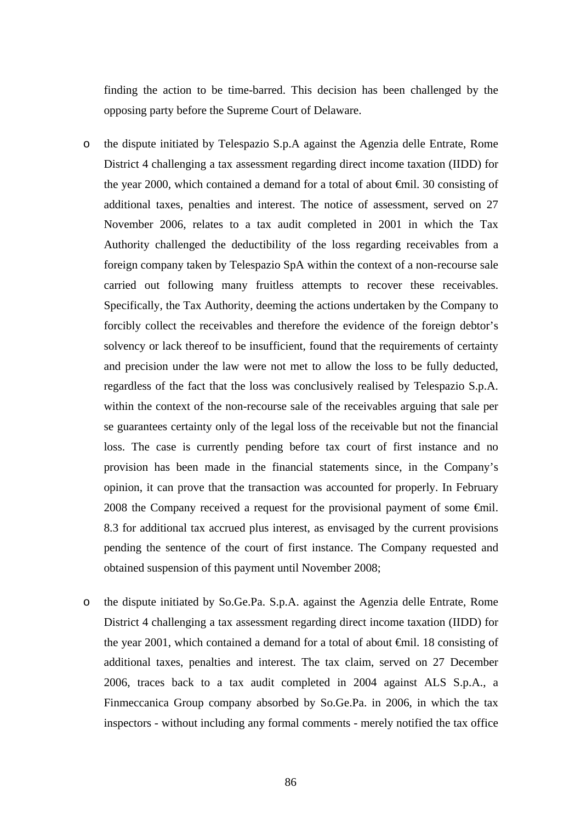finding the action to be time-barred. This decision has been challenged by the opposing party before the Supreme Court of Delaware.

- o the dispute initiated by Telespazio S.p.A against the Agenzia delle Entrate, Rome District 4 challenging a tax assessment regarding direct income taxation (IIDD) for the year 2000, which contained a demand for a total of about €mil. 30 consisting of additional taxes, penalties and interest. The notice of assessment, served on 27 November 2006, relates to a tax audit completed in 2001 in which the Tax Authority challenged the deductibility of the loss regarding receivables from a foreign company taken by Telespazio SpA within the context of a non-recourse sale carried out following many fruitless attempts to recover these receivables. Specifically, the Tax Authority, deeming the actions undertaken by the Company to forcibly collect the receivables and therefore the evidence of the foreign debtor's solvency or lack thereof to be insufficient, found that the requirements of certainty and precision under the law were not met to allow the loss to be fully deducted, regardless of the fact that the loss was conclusively realised by Telespazio S.p.A. within the context of the non-recourse sale of the receivables arguing that sale per se guarantees certainty only of the legal loss of the receivable but not the financial loss. The case is currently pending before tax court of first instance and no provision has been made in the financial statements since, in the Company's opinion, it can prove that the transaction was accounted for properly. In February 2008 the Company received a request for the provisional payment of some €mil. 8.3 for additional tax accrued plus interest, as envisaged by the current provisions pending the sentence of the court of first instance. The Company requested and obtained suspension of this payment until November 2008;
- o the dispute initiated by So.Ge.Pa. S.p.A. against the Agenzia delle Entrate, Rome District 4 challenging a tax assessment regarding direct income taxation (IIDD) for the year 2001, which contained a demand for a total of about €mil. 18 consisting of additional taxes, penalties and interest. The tax claim, served on 27 December 2006, traces back to a tax audit completed in 2004 against ALS S.p.A., a Finmeccanica Group company absorbed by So.Ge.Pa. in 2006, in which the tax inspectors - without including any formal comments - merely notified the tax office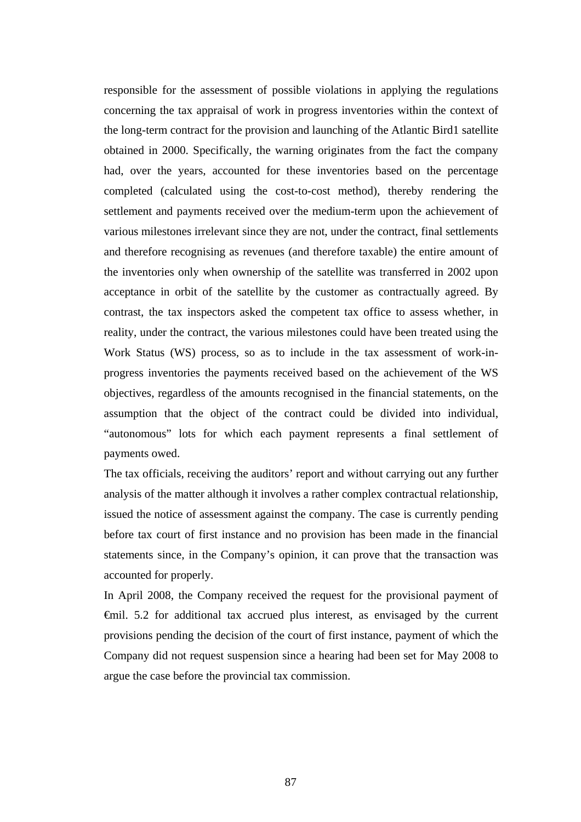responsible for the assessment of possible violations in applying the regulations concerning the tax appraisal of work in progress inventories within the context of the long-term contract for the provision and launching of the Atlantic Bird1 satellite obtained in 2000. Specifically, the warning originates from the fact the company had, over the years, accounted for these inventories based on the percentage completed (calculated using the cost-to-cost method), thereby rendering the settlement and payments received over the medium-term upon the achievement of various milestones irrelevant since they are not, under the contract, final settlements and therefore recognising as revenues (and therefore taxable) the entire amount of the inventories only when ownership of the satellite was transferred in 2002 upon acceptance in orbit of the satellite by the customer as contractually agreed. By contrast, the tax inspectors asked the competent tax office to assess whether, in reality, under the contract, the various milestones could have been treated using the Work Status (WS) process, so as to include in the tax assessment of work-inprogress inventories the payments received based on the achievement of the WS objectives, regardless of the amounts recognised in the financial statements, on the assumption that the object of the contract could be divided into individual, "autonomous" lots for which each payment represents a final settlement of payments owed.

The tax officials, receiving the auditors' report and without carrying out any further analysis of the matter although it involves a rather complex contractual relationship, issued the notice of assessment against the company. The case is currently pending before tax court of first instance and no provision has been made in the financial statements since, in the Company's opinion, it can prove that the transaction was accounted for properly.

In April 2008, the Company received the request for the provisional payment of €mil. 5.2 for additional tax accrued plus interest, as envisaged by the current provisions pending the decision of the court of first instance, payment of which the Company did not request suspension since a hearing had been set for May 2008 to argue the case before the provincial tax commission.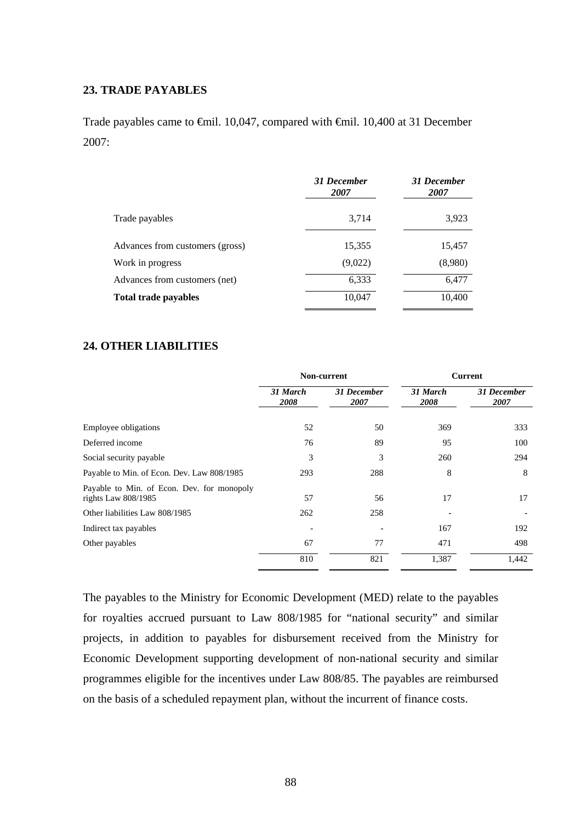## **23. TRADE PAYABLES**

Trade payables came to €mil. 10,047, compared with €mil. 10,400 at 31 December 2007:

|                                 | 31 December<br>2007 | 31 December<br>2007 |
|---------------------------------|---------------------|---------------------|
| Trade payables                  | 3,714               | 3,923               |
| Advances from customers (gross) | 15,355              | 15,457              |
| Work in progress                | (9,022)             | (8,980)             |
| Advances from customers (net)   | 6,333               | 6,477               |
| <b>Total trade payables</b>     | 10,047              | 10,400              |

#### **24. OTHER LIABILITIES**

|                                                                     |                  | Non-current         | <b>Current</b>   |                            |  |
|---------------------------------------------------------------------|------------------|---------------------|------------------|----------------------------|--|
|                                                                     | 31 March<br>2008 | 31 December<br>2007 | 31 March<br>2008 | <b>31 December</b><br>2007 |  |
| <b>Employee obligations</b>                                         | 52               | 50                  | 369              | 333                        |  |
| Deferred income                                                     | 76               | 89                  | 95               | 100                        |  |
| Social security payable                                             | 3                | 3                   | 260              | 294                        |  |
| Payable to Min. of Econ. Dev. Law 808/1985                          | 293              | 288                 | 8                | 8                          |  |
| Payable to Min. of Econ. Dev. for monopoly<br>rights Law $808/1985$ | 57               | 56                  | 17               | 17                         |  |
| Other liabilities Law 808/1985                                      | 262              | 258                 |                  |                            |  |
| Indirect tax payables                                               |                  |                     | 167              | 192                        |  |
| Other payables                                                      | 67               | 77                  | 471              | 498                        |  |
|                                                                     | 810              | 821                 | 1,387            | 1,442                      |  |

The payables to the Ministry for Economic Development (MED) relate to the payables for royalties accrued pursuant to Law 808/1985 for "national security" and similar projects, in addition to payables for disbursement received from the Ministry for Economic Development supporting development of non-national security and similar programmes eligible for the incentives under Law 808/85. The payables are reimbursed on the basis of a scheduled repayment plan, without the incurrent of finance costs.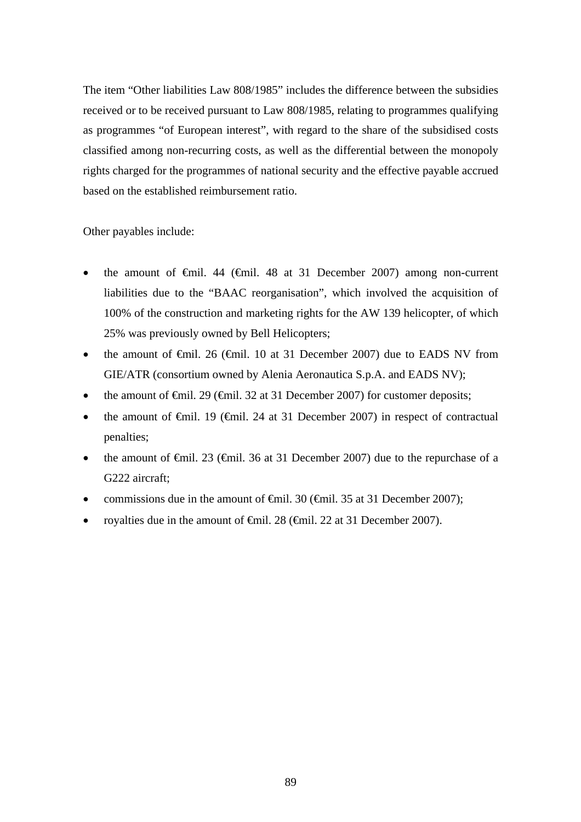The item "Other liabilities Law 808/1985" includes the difference between the subsidies received or to be received pursuant to Law 808/1985, relating to programmes qualifying as programmes "of European interest", with regard to the share of the subsidised costs classified among non-recurring costs, as well as the differential between the monopoly rights charged for the programmes of national security and the effective payable accrued based on the established reimbursement ratio.

Other payables include:

- the amount of  $\epsilon$ mil. 44 ( $\epsilon$ mil. 48 at 31 December 2007) among non-current liabilities due to the "BAAC reorganisation", which involved the acquisition of 100% of the construction and marketing rights for the AW 139 helicopter, of which 25% was previously owned by Bell Helicopters;
- the amount of  $\theta$ mil. 26 ( $\theta$ mil. 10 at 31 December 2007) due to EADS NV from GIE/ATR (consortium owned by Alenia Aeronautica S.p.A. and EADS NV);
- the amount of  $\epsilon$ mil. 29 ( $\epsilon$ mil. 32 at 31 December 2007) for customer deposits;
- the amount of  $\theta$ mil. 19 ( $\theta$ mil. 24 at 31 December 2007) in respect of contractual penalties;
- the amount of  $\epsilon$ mil. 23 ( $\epsilon$ mil. 36 at 31 December 2007) due to the repurchase of a G222 aircraft;
- commissions due in the amount of  $\theta$ mil. 30 ( $\theta$ mil. 35 at 31 December 2007);
- royalties due in the amount of €mil. 28 (€mil. 22 at 31 December 2007).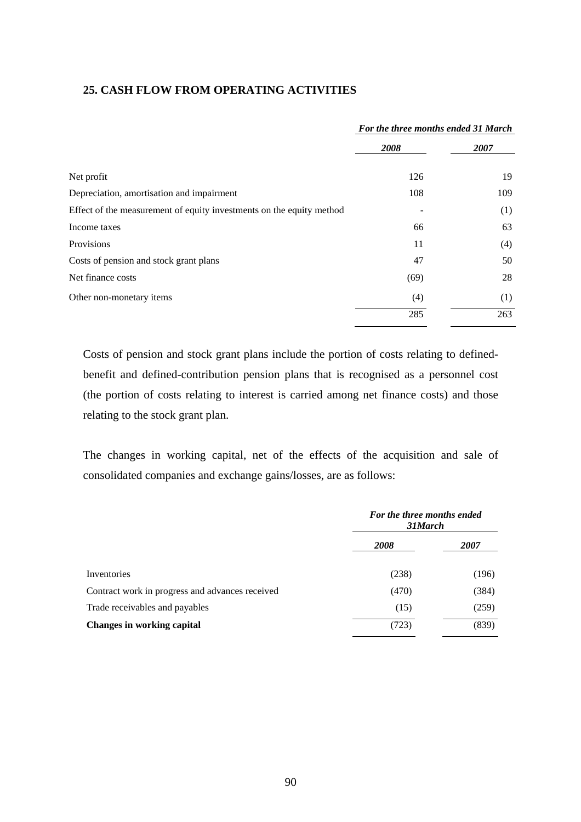## **25. CASH FLOW FROM OPERATING ACTIVITIES**

|                                                                      | For the three months ended 31 March |      |  |
|----------------------------------------------------------------------|-------------------------------------|------|--|
|                                                                      | 2008                                | 2007 |  |
| Net profit                                                           | 126                                 | 19   |  |
| Depreciation, amortisation and impairment                            | 108                                 | 109  |  |
| Effect of the measurement of equity investments on the equity method |                                     | (1)  |  |
| Income taxes                                                         | 66                                  | 63   |  |
| Provisions                                                           | 11                                  | (4)  |  |
| Costs of pension and stock grant plans                               | 47                                  | 50   |  |
| Net finance costs                                                    | (69)                                | 28   |  |
| Other non-monetary items                                             | (4)                                 | (1)  |  |
|                                                                      | 285                                 | 263  |  |

Costs of pension and stock grant plans include the portion of costs relating to definedbenefit and defined-contribution pension plans that is recognised as a personnel cost (the portion of costs relating to interest is carried among net finance costs) and those relating to the stock grant plan.

The changes in working capital, net of the effects of the acquisition and sale of consolidated companies and exchange gains/losses, are as follows:

|                                                 | For the three months ended<br>31 March |             |  |
|-------------------------------------------------|----------------------------------------|-------------|--|
|                                                 | 2008                                   | <i>2007</i> |  |
| Inventories                                     | (238)                                  | (196)       |  |
| Contract work in progress and advances received | (470)                                  | (384)       |  |
| Trade receivables and payables                  | (15)                                   | (259)       |  |
| <b>Changes in working capital</b>               | (723)                                  | (839)       |  |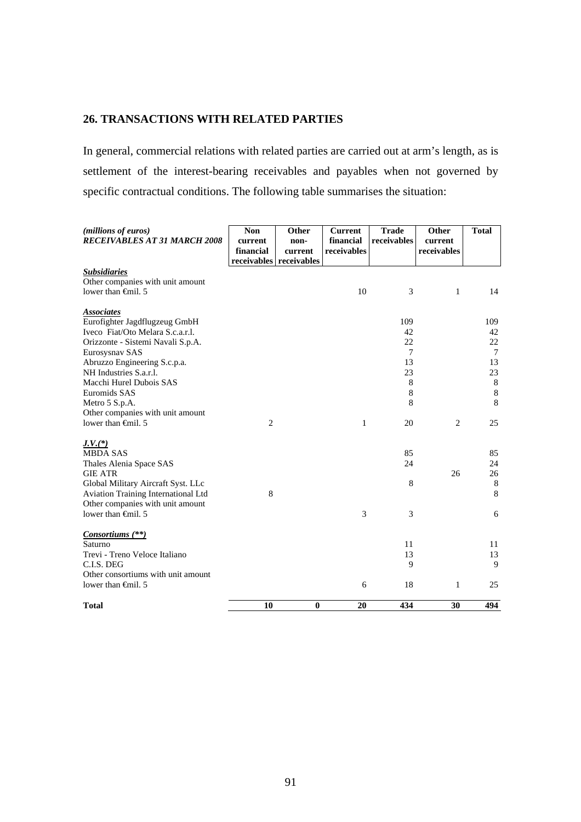# **26. TRANSACTIONS WITH RELATED PARTIES**

In general, commercial relations with related parties are carried out at arm's length, as is settlement of the interest-bearing receivables and payables when not governed by specific contractual conditions. The following table summarises the situation:

| (millions of euros)<br><b>RECEIVABLES AT 31 MARCH 2008</b>                                                    | <b>Non</b><br>current<br>financial | Other<br>non-<br>current | <b>Current</b><br>financial<br>receivables | <b>Trade</b><br>receivables | <b>Other</b><br>current<br>receivables | <b>Total</b>       |
|---------------------------------------------------------------------------------------------------------------|------------------------------------|--------------------------|--------------------------------------------|-----------------------------|----------------------------------------|--------------------|
|                                                                                                               |                                    | receivables receivables  |                                            |                             |                                        |                    |
| <b>Subsidiaries</b><br>Other companies with unit amount<br>lower than $\oplus$ finil. 5                       |                                    |                          | 10                                         | 3                           | 1                                      | 14                 |
| <b>Associates</b><br>Eurofighter Jagdflugzeug GmbH<br>Iveco Fiat/Oto Melara S.c.a.r.l.                        |                                    |                          |                                            | 109<br>42<br>22             |                                        | 109<br>42<br>22    |
| Orizzonte - Sistemi Navali S.p.A.<br>Eurosysnav SAS                                                           |                                    |                          |                                            | 7                           |                                        | $\tau$             |
| Abruzzo Engineering S.c.p.a.<br>NH Industries S.a.r.l.                                                        |                                    |                          |                                            | 13<br>23                    |                                        | 13<br>23           |
| Macchi Hurel Dubois SAS<br>Euromids SAS                                                                       |                                    |                          |                                            | $\,$ 8 $\,$<br>8            |                                        | $\,8\,$<br>$\,8\,$ |
| Metro 5 S.p.A.<br>Other companies with unit amount                                                            |                                    |                          |                                            | 8                           |                                        | 8                  |
| lower than $\oplus$ finil. 5                                                                                  | $\overline{c}$                     |                          | 1                                          | 20                          | $\overline{2}$                         | 25                 |
| $J.V.(*)$<br><b>MBDA SAS</b>                                                                                  |                                    |                          |                                            | 85                          |                                        | 85                 |
| Thales Alenia Space SAS<br><b>GIE ATR</b>                                                                     |                                    |                          |                                            | 24                          | 26                                     | 24<br>26           |
| Global Military Aircraft Syst. LLc<br>Aviation Training International Ltd<br>Other companies with unit amount | 8                                  |                          |                                            | $\,8\,$                     |                                        | 8<br>8             |
| lower than $\oplus$ finil. 5                                                                                  |                                    |                          | 3                                          | 3                           |                                        | 6                  |
| Consortiums (**)<br>Saturno                                                                                   |                                    |                          |                                            | 11                          |                                        | 11                 |
| Trevi - Treno Veloce Italiano                                                                                 |                                    |                          |                                            | 13                          |                                        | 13                 |
| C.I.S. DEG                                                                                                    |                                    |                          |                                            | 9                           |                                        | 9                  |
| Other consortiums with unit amount                                                                            |                                    |                          |                                            |                             |                                        |                    |
| lower than $\epsilon$ mil. 5                                                                                  |                                    |                          | 6                                          | 18                          | 1                                      | 25                 |
| <b>Total</b>                                                                                                  | 10                                 | $\bf{0}$                 | 20                                         | 434                         | 30                                     | 494                |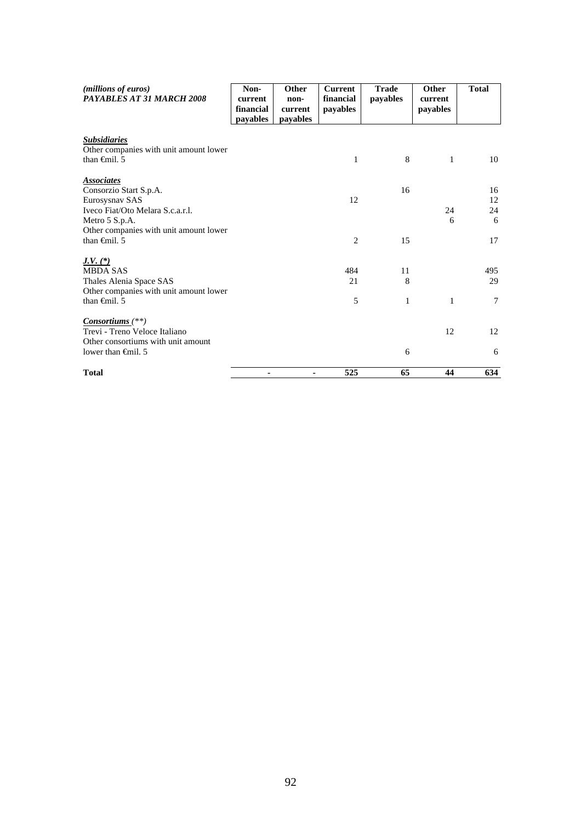| ( <i>millions of euros</i> )<br>PAYABLES AT 31 MARCH 2008 | Non-<br>current<br>financial<br>payables | Other<br>non-<br>current<br>payables | <b>Current</b><br>financial<br>payables | <b>Trade</b><br>payables | Other<br>current<br>payables | <b>Total</b> |
|-----------------------------------------------------------|------------------------------------------|--------------------------------------|-----------------------------------------|--------------------------|------------------------------|--------------|
| <b>Subsidiaries</b>                                       |                                          |                                      |                                         |                          |                              |              |
| Other companies with unit amount lower                    |                                          |                                      |                                         |                          |                              |              |
| than $\oplus$ finil. 5                                    |                                          |                                      | 1                                       | 8                        | 1                            | 10           |
| <i><b>Associates</b></i>                                  |                                          |                                      |                                         |                          |                              |              |
| Consorzio Start S.p.A.                                    |                                          |                                      |                                         | 16                       |                              | 16           |
| Eurosysnav SAS                                            |                                          |                                      | 12                                      |                          |                              | 12           |
| Iveco Fiat/Oto Melara S.c.a.r.l.                          |                                          |                                      |                                         |                          | 24                           | 24           |
| Metro 5 S.p.A.                                            |                                          |                                      |                                         |                          | 6                            | 6            |
| Other companies with unit amount lower                    |                                          |                                      |                                         |                          |                              |              |
| than $\theta$ mil. 5                                      |                                          |                                      | $\overline{c}$                          | 15                       |                              | 17           |
| $J.V. (*)$                                                |                                          |                                      |                                         |                          |                              |              |
| <b>MBDA SAS</b>                                           |                                          |                                      | 484                                     | 11                       |                              | 495          |
| Thales Alenia Space SAS                                   |                                          |                                      | 21                                      | 8                        |                              | 29           |
| Other companies with unit amount lower                    |                                          |                                      |                                         |                          |                              |              |
| than $\oplus$ finil. 5                                    |                                          |                                      | 5                                       | 1                        | 1                            | $\tau$       |
| $Consortiums$ <sup>(**)</sup>                             |                                          |                                      |                                         |                          |                              |              |
| Trevi - Treno Veloce Italiano                             |                                          |                                      |                                         |                          | 12                           | 12           |
| Other consortiums with unit amount                        |                                          |                                      |                                         |                          |                              |              |
| lower than $\oplus$ finil. 5                              |                                          |                                      |                                         | 6                        |                              | 6            |
| <b>Total</b>                                              |                                          |                                      | 525                                     | 65                       | 44                           | 634          |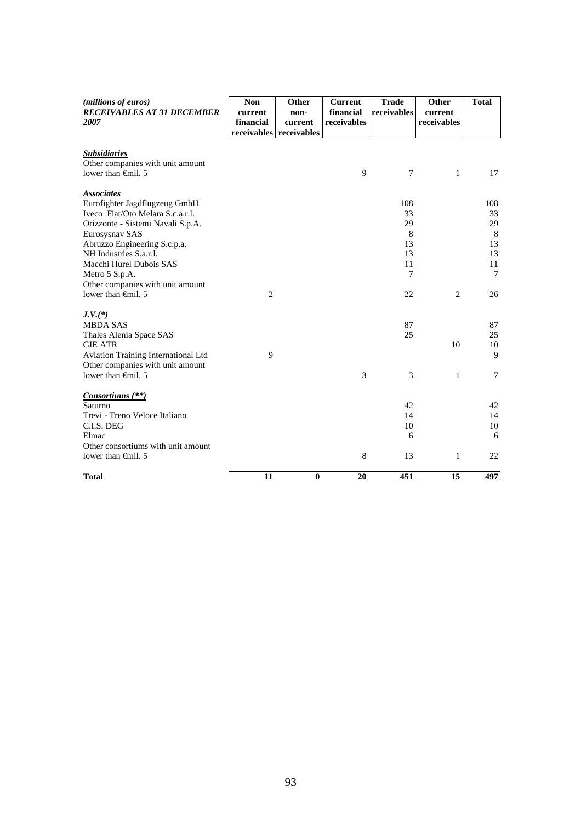| (millions of euros)<br><b>RECEIVABLES AT 31 DECEMBER</b><br>2007        | <b>Non</b><br>current<br>financial | Other<br>non-<br>current<br>receivables receivables | <b>Current</b><br>financial<br>receivables | <b>Trade</b><br>receivables | Other<br>current<br>receivables | <b>Total</b> |
|-------------------------------------------------------------------------|------------------------------------|-----------------------------------------------------|--------------------------------------------|-----------------------------|---------------------------------|--------------|
| <b>Subsidiaries</b><br>Other companies with unit amount                 |                                    |                                                     |                                            |                             |                                 |              |
| lower than $\oplus$ finil. 5                                            |                                    |                                                     | 9                                          | $\tau$                      | $\mathbf{1}$                    | 17           |
| <b>Associates</b>                                                       |                                    |                                                     |                                            |                             |                                 |              |
| Eurofighter Jagdflugzeug GmbH                                           |                                    |                                                     |                                            | 108                         |                                 | 108          |
| Iveco Fiat/Oto Melara S.c.a.r.l.                                        |                                    |                                                     |                                            | 33                          |                                 | 33           |
| Orizzonte - Sistemi Navali S.p.A.                                       |                                    |                                                     |                                            | 29<br>8                     |                                 | 29<br>8      |
| Eurosysnav SAS<br>Abruzzo Engineering S.c.p.a.                          |                                    |                                                     |                                            | 13                          |                                 | 13           |
| NH Industries S.a.r.l.                                                  |                                    |                                                     |                                            | 13                          |                                 | 13           |
| Macchi Hurel Dubois SAS                                                 |                                    |                                                     |                                            | 11                          |                                 | 11           |
| Metro 5 S.p.A.                                                          |                                    |                                                     |                                            | 7                           |                                 | $\tau$       |
| Other companies with unit amount                                        |                                    |                                                     |                                            |                             |                                 |              |
| lower than <del>C</del> inil. 5                                         | $\overline{2}$                     |                                                     |                                            | 22                          | $\overline{c}$                  | 26           |
| $J.V.$ (*)                                                              |                                    |                                                     |                                            |                             |                                 |              |
| <b>MBDA SAS</b>                                                         |                                    |                                                     |                                            | 87                          |                                 | 87           |
| Thales Alenia Space SAS                                                 |                                    |                                                     |                                            | 25                          |                                 | 25           |
| <b>GIE ATR</b>                                                          |                                    |                                                     |                                            |                             | 10                              | 10<br>9      |
| Aviation Training International Ltd<br>Other companies with unit amount | 9                                  |                                                     |                                            |                             |                                 |              |
| lower than $\oplus$ finil. 5                                            |                                    |                                                     | 3                                          | 3                           | 1                               | $\tau$       |
| Consortiums (**)                                                        |                                    |                                                     |                                            |                             |                                 |              |
| Saturno                                                                 |                                    |                                                     |                                            | 42                          |                                 | 42           |
| Trevi - Treno Veloce Italiano                                           |                                    |                                                     |                                            | 14                          |                                 | 14           |
| C.I.S. DEG                                                              |                                    |                                                     |                                            | 10                          |                                 | 10           |
| Elmac                                                                   |                                    |                                                     |                                            | 6                           |                                 | 6            |
| Other consortiums with unit amount                                      |                                    |                                                     |                                            |                             |                                 |              |
| lower than $\oplus$ finil. 5                                            |                                    |                                                     | 8                                          | 13                          | 1                               | 22           |
| <b>Total</b>                                                            | 11                                 | $\bf{0}$                                            | 20                                         | 451                         | 15                              | 497          |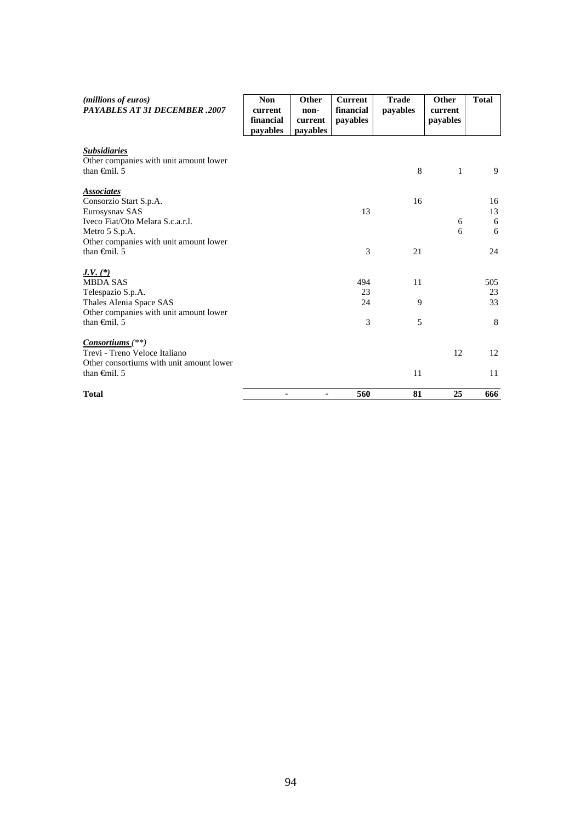| ( <i>millions of euros</i> )<br><b>PAYABLES AT 31 DECEMBER .2007</b> | <b>Non</b><br>current<br>financial<br>pavables | Other<br>non-<br>current<br>payables | <b>Current</b><br>financial<br>payables | <b>Trade</b><br>payables | Other<br>current<br>payables | <b>Total</b> |
|----------------------------------------------------------------------|------------------------------------------------|--------------------------------------|-----------------------------------------|--------------------------|------------------------------|--------------|
| <b>Subsidiaries</b><br>Other companies with unit amount lower        |                                                |                                      |                                         |                          |                              |              |
| than $\oplus$ finil. 5                                               |                                                |                                      |                                         | 8                        | $\mathbf{1}$                 | 9            |
| <b>Associates</b>                                                    |                                                |                                      |                                         |                          |                              |              |
| Consorzio Start S.p.A.                                               |                                                |                                      |                                         | 16                       |                              | 16           |
| Eurosysnav SAS<br>Iveco Fiat/Oto Melara S.c.a.r.l.                   |                                                |                                      | 13                                      |                          |                              | 13           |
| Metro 5 S.p.A.                                                       |                                                |                                      |                                         |                          | 6<br>6                       | 6<br>6       |
| Other companies with unit amount lower                               |                                                |                                      |                                         |                          |                              |              |
| than $\oplus$ finil. 5                                               |                                                |                                      | 3                                       | 21                       |                              | 24           |
| <u>J.V. <math>(*)</math></u>                                         |                                                |                                      |                                         |                          |                              |              |
| <b>MBDA SAS</b>                                                      |                                                |                                      | 494                                     | 11                       |                              | 505          |
| Telespazio S.p.A.                                                    |                                                |                                      | 23                                      |                          |                              | 23           |
| Thales Alenia Space SAS                                              |                                                |                                      | 24                                      | 9                        |                              | 33           |
| Other companies with unit amount lower                               |                                                |                                      |                                         |                          |                              |              |
| than $\epsilon$ mil. 5                                               |                                                |                                      | 3                                       | 5                        |                              | 8            |
| $Consortiums$ <sup>(**)</sup> )                                      |                                                |                                      |                                         |                          |                              |              |
| Trevi - Treno Veloce Italiano                                        |                                                |                                      |                                         |                          | 12                           | 12           |
| Other consortiums with unit amount lower                             |                                                |                                      |                                         |                          |                              |              |
| than $\oplus$ finil. 5                                               |                                                |                                      |                                         | 11                       |                              | 11           |
| <b>Total</b>                                                         |                                                |                                      | 560                                     | 81                       | 25                           | 666          |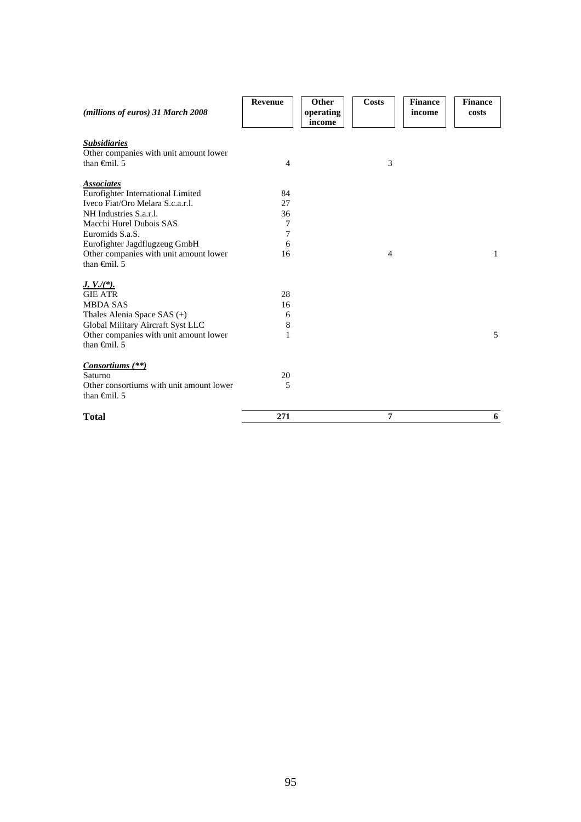| (millions of euros) 31 March 2008        | Revenue | Other<br>operating<br>income | <b>Costs</b>   | <b>Finance</b><br>income | <b>Finance</b><br>costs |
|------------------------------------------|---------|------------------------------|----------------|--------------------------|-------------------------|
| <b>Subsidiaries</b>                      |         |                              |                |                          |                         |
| Other companies with unit amount lower   |         |                              |                |                          |                         |
| than $\oplus$ finil. 5                   | 4       |                              | 3              |                          |                         |
| <b>Associates</b>                        |         |                              |                |                          |                         |
| Eurofighter International Limited        | 84      |                              |                |                          |                         |
| Iveco Fiat/Oro Melara S.c.a.r.l.         | 27      |                              |                |                          |                         |
| NH Industries S.a.r.l.                   | 36      |                              |                |                          |                         |
| Macchi Hurel Dubois SAS                  | 7       |                              |                |                          |                         |
| Euromids S.a.S.                          | 7       |                              |                |                          |                         |
| Eurofighter Jagdflugzeug GmbH            | 6       |                              |                |                          |                         |
| Other companies with unit amount lower   | 16      |                              | $\overline{4}$ |                          | 1                       |
| than $\oplus$ nil. 5                     |         |                              |                |                          |                         |
| $J. V./(*)$ .                            |         |                              |                |                          |                         |
| <b>GIE ATR</b>                           | 28      |                              |                |                          |                         |
| <b>MBDA SAS</b>                          | 16      |                              |                |                          |                         |
| Thales Alenia Space SAS (+)              | 6       |                              |                |                          |                         |
| Global Military Aircraft Syst LLC        | 8       |                              |                |                          |                         |
| Other companies with unit amount lower   | 1       |                              |                |                          | 5                       |
| than $\oplus$ finil. 5                   |         |                              |                |                          |                         |
| Consortiums (**)                         |         |                              |                |                          |                         |
| Saturno                                  | 20      |                              |                |                          |                         |
| Other consortiums with unit amount lower | 5       |                              |                |                          |                         |
| than $\oplus$ finil. 5                   |         |                              |                |                          |                         |
| <b>Total</b>                             | 271     |                              | $\overline{7}$ |                          | 6                       |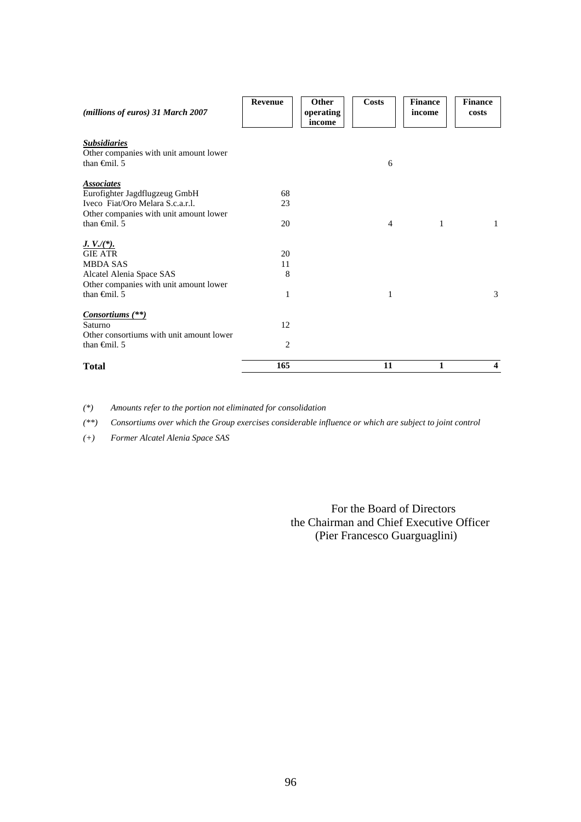| (millions of euros) 31 March 2007                                                     | <b>Revenue</b> | <b>Other</b><br>operating<br>income | <b>Costs</b>   | <b>Finance</b><br>income | <b>Finance</b><br>costs |
|---------------------------------------------------------------------------------------|----------------|-------------------------------------|----------------|--------------------------|-------------------------|
| <b>Subsidiaries</b><br>Other companies with unit amount lower<br>than $\theta$ mil. 5 |                |                                     | 6              |                          |                         |
| <b>Associates</b>                                                                     |                |                                     |                |                          |                         |
| Eurofighter Jagdflugzeug GmbH<br>Iveco Fiat/Oro Melara S.c.a.r.l.                     | 68             |                                     |                |                          |                         |
|                                                                                       | 23             |                                     |                |                          |                         |
| Other companies with unit amount lower<br>than $\oplus$ finil. 5                      | 20             |                                     | $\overline{4}$ | 1                        | $\mathbf{1}$            |
|                                                                                       |                |                                     |                |                          |                         |
| $J. V./(*)$ .                                                                         |                |                                     |                |                          |                         |
| <b>GIE ATR</b>                                                                        | 20             |                                     |                |                          |                         |
| <b>MBDA SAS</b>                                                                       | 11             |                                     |                |                          |                         |
| Alcatel Alenia Space SAS                                                              | 8              |                                     |                |                          |                         |
| Other companies with unit amount lower                                                |                |                                     |                |                          |                         |
| than $\oplus$ finil. 5                                                                | 1              |                                     | 1              |                          | 3                       |
| Consortiums (**)                                                                      |                |                                     |                |                          |                         |
| Saturno                                                                               | 12             |                                     |                |                          |                         |
| Other consortiums with unit amount lower                                              |                |                                     |                |                          |                         |
| than $\oplus$ finil. 5                                                                | $\overline{c}$ |                                     |                |                          |                         |
| <b>Total</b>                                                                          | 165            |                                     | 11             | 1                        | $\overline{\mathbf{4}}$ |

*(\*) Amounts refer to the portion not eliminated for consolidation* 

*(\*\*) Consortiums over which the Group exercises considerable influence or which are subject to joint control* 

*(+) Former Alcatel Alenia Space SAS* 

 For the Board of Directors the Chairman and Chief Executive Officer (Pier Francesco Guarguaglini)